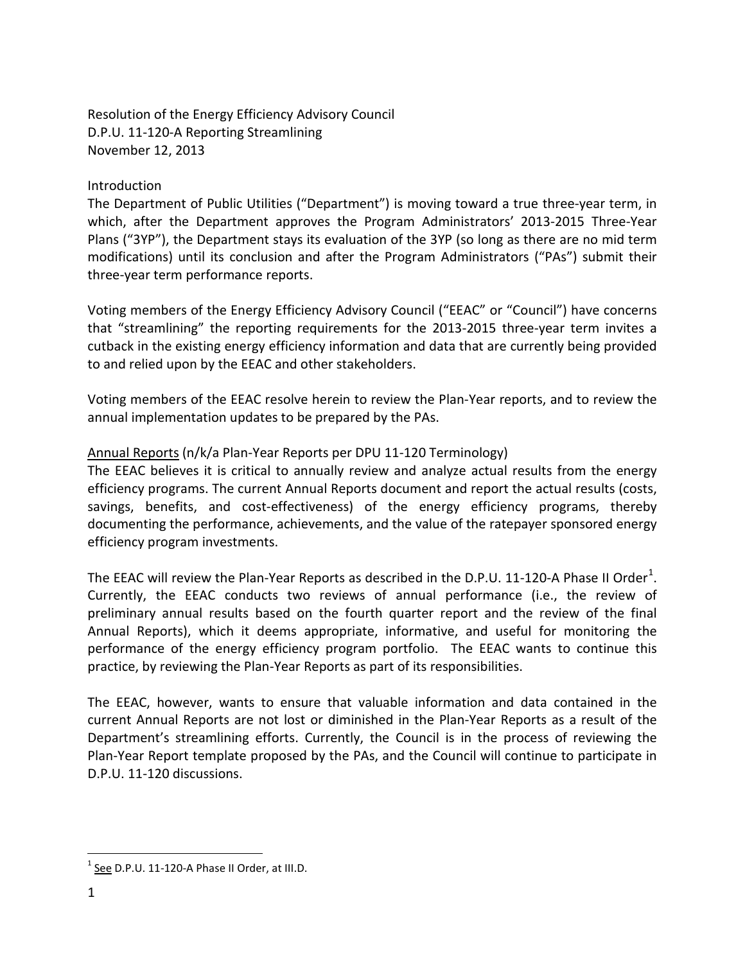Resolution of the Energy Efficiency Advisory Council D.P.U. 11-120-A Reporting Streamlining November 12, 2013

## **Introduction**

The Department of Public Utilities ("Department") is moving toward a true three-year term, in which, after the Department approves the Program Administrators' 2013-2015 Three-Year Plans ("3YP"), the Department stays its evaluation of the 3YP (so long as there are no mid term modifications) until its conclusion and after the Program Administrators ("PAs") submit their three-year term performance reports.

Voting members of the Energy Efficiency Advisory Council ("EEAC" or "Council") have concerns that "streamlining" the reporting requirements for the 2013-2015 three-year term invites a cutback in the existing energy efficiency information and data that are currently being provided to and relied upon by the EEAC and other stakeholders.

Voting members of the EEAC resolve herein to review the Plan-Year reports, and to review the annual implementation updates to be prepared by the PAs.

# Annual Reports (n/k/a Plan-Year Reports per DPU 11-120 Terminology)

The EEAC believes it is critical to annually review and analyze actual results from the energy efficiency programs. The current Annual Reports document and report the actual results (costs, savings, benefits, and cost-effectiveness) of the energy efficiency programs, thereby documenting the performance, achievements, and the value of the ratepayer sponsored energy efficiency program investments.

The EEAC will review the Plan-Year Reports as described in the D.P.U. [1](#page-0-0)1-120-A Phase II Order<sup>1</sup>. Currently, the EEAC conducts two reviews of annual performance (i.e., the review of preliminary annual results based on the fourth quarter report and the review of the final Annual Reports), which it deems appropriate, informative, and useful for monitoring the performance of the energy efficiency program portfolio. The EEAC wants to continue this practice, by reviewing the Plan-Year Reports as part of its responsibilities.

The EEAC, however, wants to ensure that valuable information and data contained in the current Annual Reports are not lost or diminished in the Plan-Year Reports as a result of the Department's streamlining efforts. Currently, the Council is in the process of reviewing the Plan-Year Report template proposed by the PAs, and the Council will continue to participate in D.P.U. 11-120 discussions.

 $\overline{a}$ 

<span id="page-0-0"></span> $1$  See D.P.U. 11-120-A Phase II Order, at III.D.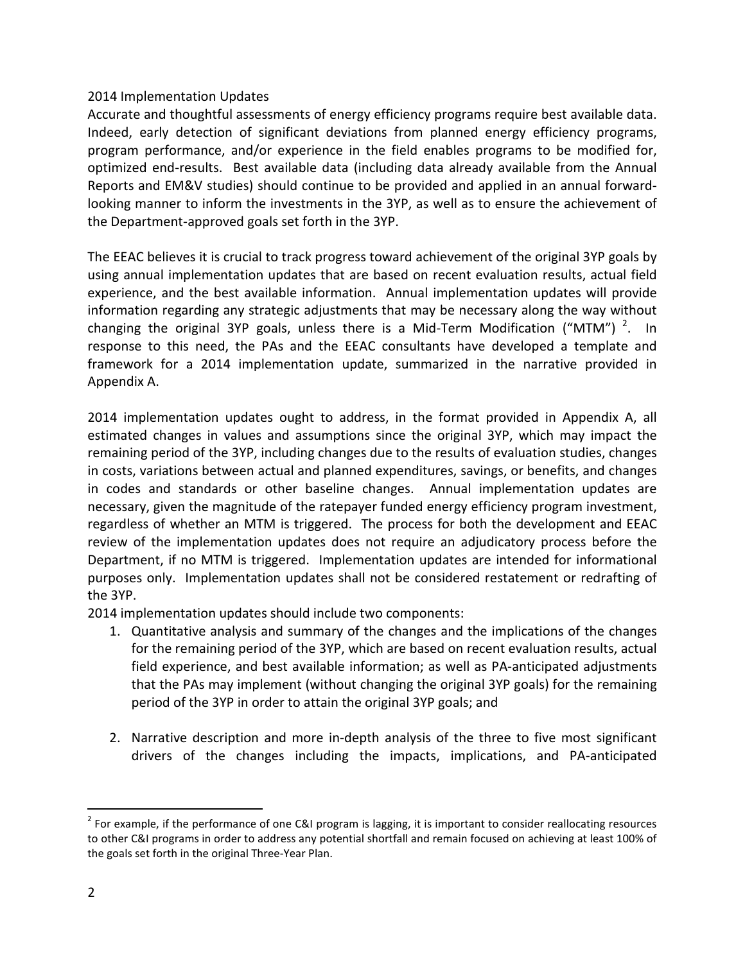# 2014 Implementation Updates

Accurate and thoughtful assessments of energy efficiency programs require best available data. Indeed, early detection of significant deviations from planned energy efficiency programs, program performance, and/or experience in the field enables programs to be modified for, optimized end-results. Best available data (including data already available from the Annual Reports and EM&V studies) should continue to be provided and applied in an annual forwardlooking manner to inform the investments in the 3YP, as well as to ensure the achievement of the Department-approved goals set forth in the 3YP.

The EEAC believes it is crucial to track progress toward achievement of the original 3YP goals by using annual implementation updates that are based on recent evaluation results, actual field experience, and the best available information. Annual implementation updates will provide information regarding any strategic adjustments that may be necessary along the way without changing the original 3YP goals, unless there is a Mid-Term Modification ("MTM")<sup>[2](#page-1-0)</sup>. In response to this need, the PAs and the EEAC consultants have developed a template and framework for a 2014 implementation update, summarized in the narrative provided in Appendix A.

2014 implementation updates ought to address, in the format provided in Appendix A, all estimated changes in values and assumptions since the original 3YP, which may impact the remaining period of the 3YP, including changes due to the results of evaluation studies, changes in costs, variations between actual and planned expenditures, savings, or benefits, and changes in codes and standards or other baseline changes. Annual implementation updates are necessary, given the magnitude of the ratepayer funded energy efficiency program investment, regardless of whether an MTM is triggered. The process for both the development and EEAC review of the implementation updates does not require an adjudicatory process before the Department, if no MTM is triggered. Implementation updates are intended for informational purposes only. Implementation updates shall not be considered restatement or redrafting of the 3YP.

2014 implementation updates should include two components:

- 1. Quantitative analysis and summary of the changes and the implications of the changes for the remaining period of the 3YP, which are based on recent evaluation results, actual field experience, and best available information; as well as PA-anticipated adjustments that the PAs may implement (without changing the original 3YP goals) for the remaining period of the 3YP in order to attain the original 3YP goals; and
- 2. Narrative description and more in-depth analysis of the three to five most significant drivers of the changes including the impacts, implications, and PA-anticipated

 $\overline{a}$ 

<span id="page-1-0"></span><sup>&</sup>lt;sup>2</sup> For example, if the performance of one C&I program is lagging, it is important to consider reallocating resources to other C&I programs in order to address any potential shortfall and remain focused on achieving at least 100% of the goals set forth in the original Three-Year Plan.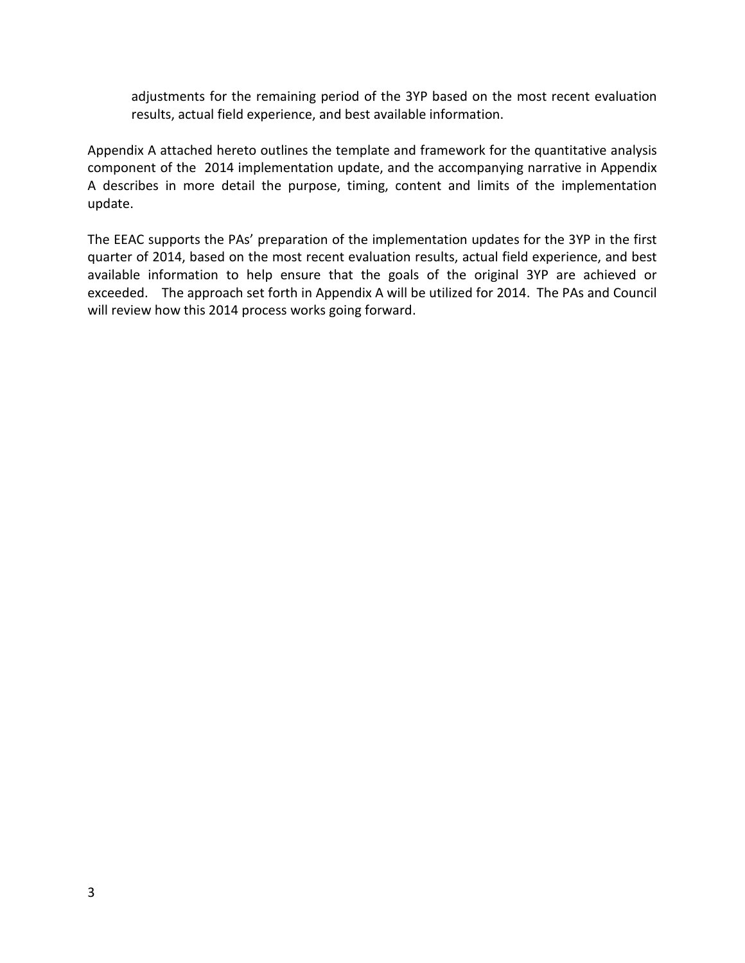adjustments for the remaining period of the 3YP based on the most recent evaluation results, actual field experience, and best available information.

Appendix A attached hereto outlines the template and framework for the quantitative analysis component of the 2014 implementation update, and the accompanying narrative in Appendix A describes in more detail the purpose, timing, content and limits of the implementation update.

The EEAC supports the PAs' preparation of the implementation updates for the 3YP in the first quarter of 2014, based on the most recent evaluation results, actual field experience, and best available information to help ensure that the goals of the original 3YP are achieved or exceeded. The approach set forth in Appendix A will be utilized for 2014. The PAs and Council will review how this 2014 process works going forward.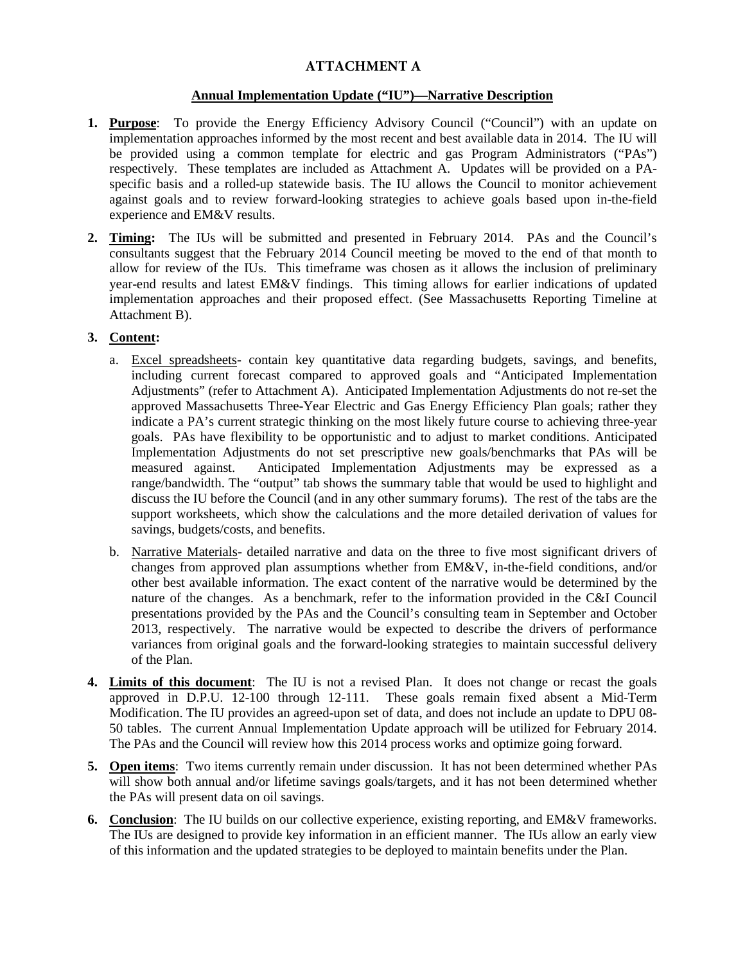# **ATTACHMENT A**

#### **Annual Implementation Update ("IU")—Narrative Description**

- **1. Purpose**: To provide the Energy Efficiency Advisory Council ("Council") with an update on implementation approaches informed by the most recent and best available data in 2014. The IU will be provided using a common template for electric and gas Program Administrators ("PAs") respectively. These templates are included as Attachment A. Updates will be provided on a PAspecific basis and a rolled-up statewide basis. The IU allows the Council to monitor achievement against goals and to review forward-looking strategies to achieve goals based upon in-the-field experience and EM&V results.
- **2. Timing:** The IUs will be submitted and presented in February 2014. PAs and the Council's consultants suggest that the February 2014 Council meeting be moved to the end of that month to allow for review of the IUs. This timeframe was chosen as it allows the inclusion of preliminary year-end results and latest EM&V findings. This timing allows for earlier indications of updated implementation approaches and their proposed effect. (See Massachusetts Reporting Timeline at Attachment B).

#### **3. Content:**

- a. Excel spreadsheets- contain key quantitative data regarding budgets, savings, and benefits, including current forecast compared to approved goals and "Anticipated Implementation Adjustments" (refer to Attachment A). Anticipated Implementation Adjustments do not re-set the approved Massachusetts Three-Year Electric and Gas Energy Efficiency Plan goals; rather they indicate a PA's current strategic thinking on the most likely future course to achieving three-year goals. PAs have flexibility to be opportunistic and to adjust to market conditions. Anticipated Implementation Adjustments do not set prescriptive new goals/benchmarks that PAs will be measured against. Anticipated Implementation Adjustments may be expressed as a range/bandwidth. The "output" tab shows the summary table that would be used to highlight and discuss the IU before the Council (and in any other summary forums). The rest of the tabs are the support worksheets, which show the calculations and the more detailed derivation of values for savings, budgets/costs, and benefits.
- b. Narrative Materials- detailed narrative and data on the three to five most significant drivers of changes from approved plan assumptions whether from EM&V, in-the-field conditions, and/or other best available information. The exact content of the narrative would be determined by the nature of the changes. As a benchmark, refer to the information provided in the C&I Council presentations provided by the PAs and the Council's consulting team in September and October 2013, respectively. The narrative would be expected to describe the drivers of performance variances from original goals and the forward-looking strategies to maintain successful delivery of the Plan.
- **4. Limits of this document**: The IU is not a revised Plan. It does not change or recast the goals approved in D.P.U. 12-100 through 12-111. These goals remain fixed absent a Mid-Term Modification. The IU provides an agreed-upon set of data, and does not include an update to DPU 08- 50 tables. The current Annual Implementation Update approach will be utilized for February 2014. The PAs and the Council will review how this 2014 process works and optimize going forward.
- **5. Open items**: Two items currently remain under discussion. It has not been determined whether PAs will show both annual and/or lifetime savings goals/targets, and it has not been determined whether the PAs will present data on oil savings.
- **6. Conclusion**: The IU builds on our collective experience, existing reporting, and EM&V frameworks. The IUs are designed to provide key information in an efficient manner. The IUs allow an early view of this information and the updated strategies to be deployed to maintain benefits under the Plan.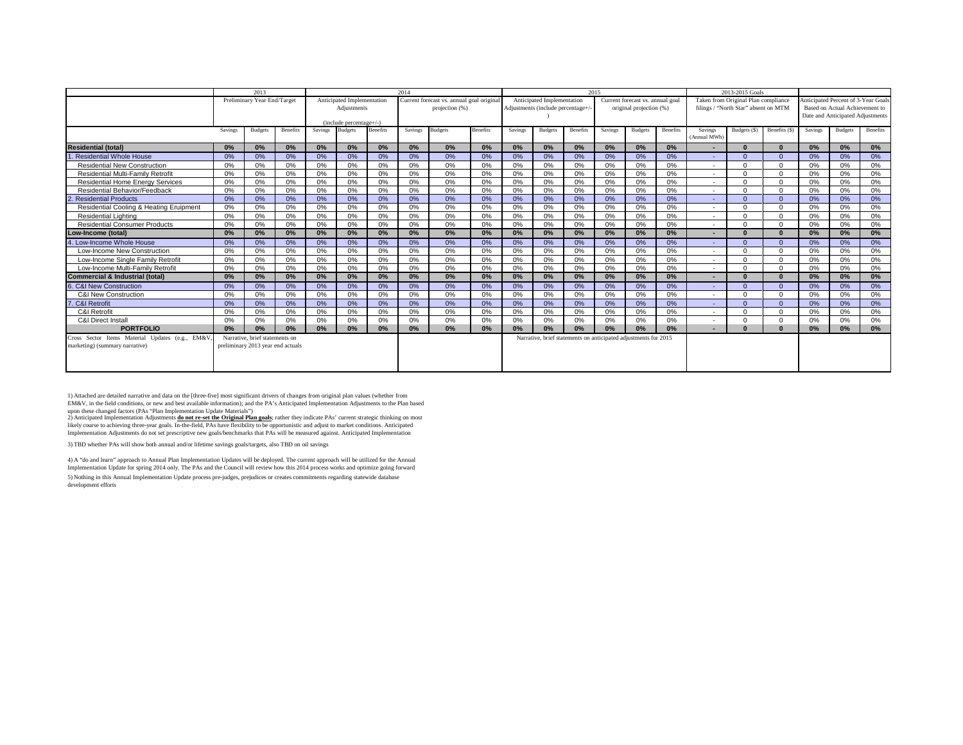|                                                 |         | 2013                              |          |                |                            |          | 2014    |                                           |                 |         |                                   |          | 2015    |                                                                 |                 |                          | 2013-2015 Goals                      |              |         |                                     |          |
|-------------------------------------------------|---------|-----------------------------------|----------|----------------|----------------------------|----------|---------|-------------------------------------------|-----------------|---------|-----------------------------------|----------|---------|-----------------------------------------------------------------|-----------------|--------------------------|--------------------------------------|--------------|---------|-------------------------------------|----------|
|                                                 |         | Preliminary Year End/Target       |          |                | Anticipated Implementation |          |         | Current forecast vs. annual goal original |                 |         | Anticipated Implementation        |          |         | Current forecast vs. annual goal                                |                 |                          | Taken from Original Plan compliance  |              |         | Anticipated Percent of 3-Year Goals |          |
|                                                 |         |                                   |          |                | Adiustments                |          |         | projection (%)                            |                 |         | Adjustments (include percentage+. |          |         | original projection (%)                                         |                 |                          | filings / "North Star" absent on MTM |              |         | Based on Actual Achievement to      |          |
|                                                 |         |                                   |          |                | (include percentage+/-)    |          |         |                                           |                 |         |                                   |          |         |                                                                 |                 |                          |                                      |              |         | Date and Anticipated Adjustments    |          |
|                                                 | Savings | <b>Budgets</b>                    | Benefits | <b>Savings</b> | <b>Budgets</b>             | Benefits | Savings | <b>Budgets</b>                            | <b>Benefits</b> | Savings | <b>Budgets</b>                    | Benefits | Savings | <b>Budgets</b>                                                  | <b>Benefits</b> | Savings<br>(Annual MWh)  | Budgets (\$)                         | Benefits (S) | Savings | <b>Budgets</b>                      | Benefits |
| <b>Residential (total)</b>                      | 0%      | 0%                                | 0%       | 0%             | 0%                         | 0%       | 0%      | 0%                                        | 0%              | 0%      | 0%                                | 0%       | 0%      | 0%                                                              | $0\%$           |                          |                                      |              | 0%      | 0%                                  | 0%       |
| Residential Whole House                         | 0%      | 0%                                | 0%       | 0%             | 0%                         | 0%       | 0%      | 0%                                        | 0%              | 0%      | 0%                                | 0%       | 0%      | 0%                                                              | 0%              | $\overline{\phantom{a}}$ | $\Omega$                             | $\Omega$     | 0%      | 0%                                  | 0%       |
| <b>Residential New Construction</b>             | 0%      | 0%                                | 0%       | 0%             | 0%                         | 0%       | 0%      | 0%                                        | 0%              | 0%      | 0%                                | 0%       | 0%      | 0%                                                              | 0%              | $\sim$                   | $\Omega$                             | $\cap$       | 0%      | 0%                                  | 0%       |
| Residential Multi-Family Retrofit               | 0%      | 0%                                | 0%       | 0%             | 0%                         | 0%       | 0%      | 0%                                        | 0%              | 0%      | 0%                                | 0%       | 0%      | 0%                                                              | 0%              | $\sim$                   | $\Omega$                             | $\Omega$     | 0%      | 0%                                  | 0%       |
| <b>Residential Home Energy Services</b>         | 0%      | 0%                                | 0%       | 0%             | 0%                         | 0%       | 0%      | 0%                                        | 0%              | 0%      | 0%                                | 0%       | 0%      | 0%                                                              | 0%              |                          | $\Omega$                             | $\Omega$     | 0%      | 0%                                  | 0%       |
| Residential Behavior/Feedback                   | 0%      | 0%                                | 0%       | 0%             | 0%                         | 0%       | 0%      | 0%                                        | 0%              | 0%      | 0%                                | 0%       | 0%      | 0%                                                              | 0%              | $\sim$                   | $\Omega$                             | $\Omega$     | 0%      | 0%                                  | 0%       |
| <b>Residential Products</b>                     | 0%      | 0%                                | 0%       | 0%             | 0%                         | 0%       | 0%      | 0%                                        | 0%              | 0%      | 0%                                | 0%       | 0%      | 0%                                                              | 0%              |                          |                                      | $\Omega$     | 0%      | 0%                                  | 0%       |
| Residential Cooling & Heating Eruipment         | 0%      | 0%                                | 0%       | 0%             | 0%                         | 0%       | 0%      | 0%                                        | 0%              | 0%      | 0%                                | 0%       | 0%      | 0%                                                              | 0%              | $\sim$                   | $\Omega$                             | $\Omega$     | 0%      | 0%                                  | 0%       |
| <b>Residential Lighting</b>                     | 0%      | 0%                                | 0%       | 0%             | 0%                         | 0%       | 0%      | 0%                                        | 0%              | 0%      | 0%                                | 0%       | 0%      | 0%                                                              | 0%              |                          | $\bigcap$                            | $\sqrt{ }$   | 0%      | 0%                                  | 0%       |
| <b>Residential Consumer Products</b>            | 0%      | 0%                                | 0%       | 0%             | 0%                         | 0%       | 0%      | 0%                                        | 0%              | 0%      | 0%                                | 0%       | 0%      | 0%                                                              | 0%              | ۰                        | $\Omega$                             | $\Omega$     | 0%      | 0%                                  | 0%       |
| Low-Income (total)                              | 0%      | 0%                                | 0%       | 0%             | 0%                         | 0%       | 0%      | 0%                                        | 0%              | 0%      | 0%                                | 0%       | 0%      | 0%                                                              | 0%              | $\overline{\phantom{a}}$ |                                      |              | 0%      | 0%                                  | 0%       |
| 4. Low-Income Whole House                       | 0%      | 0%                                | 0%       | 0%             | 0%                         | 0%       | 0%      | 0%                                        | 0%              | 0%      | 0%                                | 0%       | 0%      | 0%                                                              | 0%              |                          | $\Omega$                             | $\Omega$     | 0%      | 0%                                  | 0%       |
| Low-Income New Construction                     | 0%      | 0%                                | 0%       | 0%             | 0%                         | 0%       | 0%      | 0%                                        | 0%              | 0%      | 0%                                | 0%       | 0%      | 0%                                                              | 0%              |                          | $\bigcap$                            |              | 0%      | 0%                                  | 0%       |
| Low-Income Single Family Retrofit               | 0%      | 0%                                | 0%       | 0%             | 0%                         | 0%       | 0%      | 0%                                        | 0%              | 0%      | 0%                                | 0%       | 0%      | 0%                                                              | 0%              |                          |                                      | $\Omega$     | 0%      | 0%                                  | 0%       |
| Low-Income Multi-Family Retrofit                | 0%      | 0%                                | 0%       | 0%             | 0%                         | 0%       | 0%      | 0%                                        | 0%              | 0%      | 0%                                | 0%       | 0%      | 0%                                                              | 0%              | $\sim$                   |                                      | $\Omega$     | 0%      | 0%                                  | 0%       |
| Commercial & Industrial (total)                 | 0%      | 0%                                | 0%       | 0%             | 0%                         | 0%       | 0%      | 0%                                        | 0%              | 0%      | 0%                                | 0%       | 0%      | 0%                                                              | $0\%$           |                          | $\Omega$                             | $\mathbf{r}$ | 0%      | 0%                                  | $0\%$    |
| . C&I New Construction                          | 0%      | 0%                                | 0%       | 0%             | 0%                         | 0%       | 0%      | 0%                                        | 0%              | 0%      | 0%                                | 0%       | 0%      | 0%                                                              | 0%              |                          | $\Omega$                             | $\sim$       | 0%      | 0%                                  | 0%       |
| C&I New Construction                            | 0%      | 0%                                | 0%       | 0%             | 0%                         | 0%       | 0%      | 0%                                        | 0%              | 0%      | 0%                                | 0%       | 0%      | 0%                                                              | 0%              | $\sim$                   | $\Omega$                             | $\cap$       | 0%      | 0%                                  | 0%       |
| . C&I Retrofit                                  | 0%      | 0%                                | 0%       | 0%             | 0%                         | 0%       | 0%      | 0%                                        | 0%              | 0%      | 0%                                | 0%       | 0%      | 0%                                                              | 0%              | ٠                        | $\Omega$                             | $\Omega$     | 0%      | 0%                                  | 0%       |
| C&I Retrofit                                    | 0%      | 0%                                | 0%       | 0%             | 0%                         | 0%       | 0%      | 0%                                        | 0%              | 0%      | 0%                                | 0%       | 0%      | 0%                                                              | 0%              |                          | $\Omega$                             | $\Omega$     | 0%      | 0%                                  | 0%       |
| <b>C&amp;I Direct Install</b>                   | 0%      | 0%                                | 0%       | 0%             | 0%                         | 0%       | 0%      | 0%                                        | 0%              | 0%      | 0%                                | 0%       | 0%      | 0%                                                              | 0%              |                          | $\Omega$                             | $\Omega$     | 0%      | 0%                                  | 0%       |
| <b>PORTFOLIO</b>                                | 0%      | 0%                                | 0%       | 0%             | 0%                         | 0%       | 0%      | 0%                                        | 0%              | 0%      | 0%                                | 0%       | 0%      | 0%                                                              | 0%              | $\overline{\phantom{a}}$ |                                      |              | 0%      | 0%                                  | 0%       |
| Cross Sector Items Material Updates (e.g., EM&V |         | Narrative, brief statements on    |          |                |                            |          |         |                                           |                 |         |                                   |          |         | Narrative, brief statements on anticipated adjustments for 2015 |                 |                          |                                      |              |         |                                     |          |
| marketing) (summary narrative)                  |         | preliminary 2013 year end actuals |          |                |                            |          |         |                                           |                 |         |                                   |          |         |                                                                 |                 |                          |                                      |              |         |                                     |          |
|                                                 |         |                                   |          |                |                            |          |         |                                           |                 |         |                                   |          |         |                                                                 |                 |                          |                                      |              |         |                                     |          |
|                                                 |         |                                   |          |                |                            |          |         |                                           |                 |         |                                   |          |         |                                                                 |                 |                          |                                      |              |         |                                     |          |
|                                                 |         |                                   |          |                |                            |          |         |                                           |                 |         |                                   |          |         |                                                                 |                 |                          |                                      |              |         |                                     |          |

1) Attached are detailed narrative and data on the [three-five] most significant drivers of changes from original plan values (whether from<br>EM&V, in the field conditions, or new and best available information); and the PA'

3) TBD whether PAs will show both annual and/or lifetime savings goals/targets, also TBD on oil savings

5) Nothing in this Annual Implementation Update process pre-judges, prejudices or creates commitments regarding statewide database development efforts 4) A "do and learn" approach to Annual Plan Implementation Updates will be deployed. The current approach will be utilized for the Annual Implementation Update for spring 2014 only. The PAs and the Council will review how this 2014 process works and optimize going forward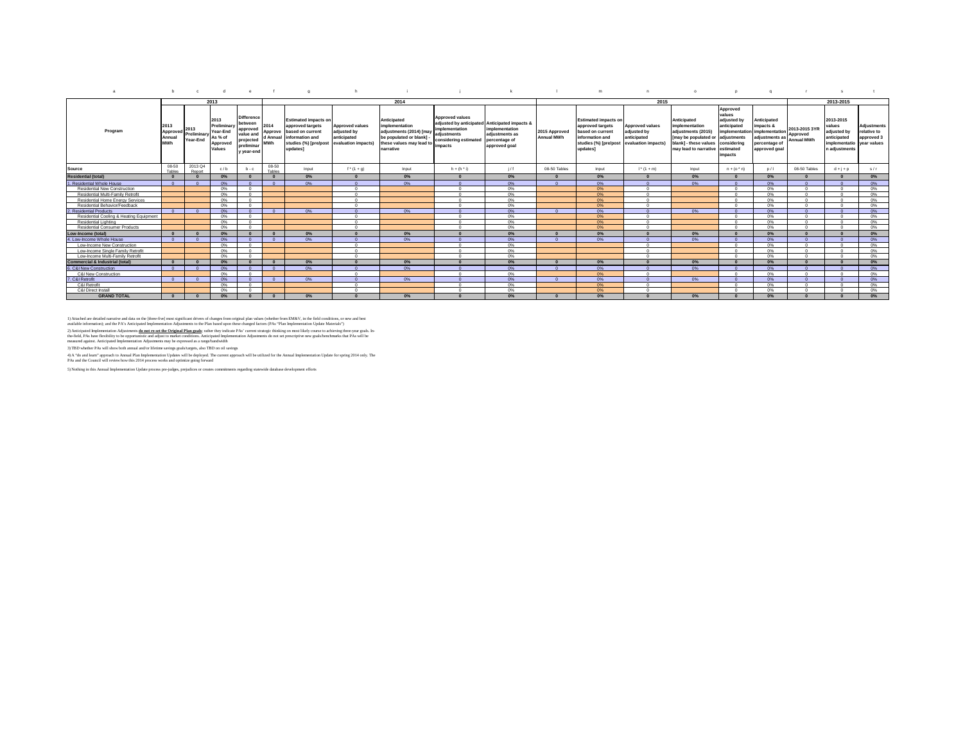|                                            |                                          |                                 |                                                                  | $\theta$                                                                                      |                    | $\sim$                                                                                                                                        |                                                                             |                                                                                                                             |                                                                                                                                              |                                                                    |                                    | m                                                                                                                           | $\sqrt{2}$                                                                  |                                                                                                                                                                 | $\mathbf{D}$                                                                  | $\Omega$                                                                                       |                                                |                                                                                     |                                                         |
|--------------------------------------------|------------------------------------------|---------------------------------|------------------------------------------------------------------|-----------------------------------------------------------------------------------------------|--------------------|-----------------------------------------------------------------------------------------------------------------------------------------------|-----------------------------------------------------------------------------|-----------------------------------------------------------------------------------------------------------------------------|----------------------------------------------------------------------------------------------------------------------------------------------|--------------------------------------------------------------------|------------------------------------|-----------------------------------------------------------------------------------------------------------------------------|-----------------------------------------------------------------------------|-----------------------------------------------------------------------------------------------------------------------------------------------------------------|-------------------------------------------------------------------------------|------------------------------------------------------------------------------------------------|------------------------------------------------|-------------------------------------------------------------------------------------|---------------------------------------------------------|
|                                            |                                          |                                 | 2013                                                             |                                                                                               |                    |                                                                                                                                               |                                                                             | 2014                                                                                                                        |                                                                                                                                              |                                                                    |                                    |                                                                                                                             | 2015                                                                        |                                                                                                                                                                 |                                                                               |                                                                                                |                                                | 2013-2015                                                                           |                                                         |
| Program                                    | 2013<br>Approved<br>Annual<br><b>MWh</b> | 2013<br>Preliminary<br>Year-End | 2013<br>Preliminary<br>Year-End<br>As % of<br>Approved<br>Values | <b>Difference</b><br>between<br>approved<br>value an<br>projected<br>preliminar<br>y year-end | 2014<br><b>MWh</b> | <b>Estimated impacts on</b><br>approved targets<br>Approve based on current<br>d Annual linformation and<br>studies (%) [pre/post<br>updates1 | <b>Approved values</b><br>adjusted by<br>anticipated<br>evaluation impacts) | Anticipated<br>implementation<br>adjustments (2014) [may<br>be populated or blank]<br>these values may lead to<br>narrative | <b>Approved values</b><br>adjusted by anticipated Anticipated impacts &<br>implementation<br>adiustments<br>considering estimated<br>impacts | implementation<br>adiustments as<br>percentage of<br>approved goal | 2015 Approved<br><b>Annual MWh</b> | <b>Estimated impacts on</b><br>approved targets<br>based on current<br>information and<br>studies (%) [pre/post<br>updates] | <b>Approved values</b><br>adjusted by<br>anticipated<br>evaluation impacts) | Anticipated<br>implementation<br>adiustments (2015)<br>[may be populated or adjustments<br>blank1 - these values considering<br>may lead to narrative estimated | Approved<br>values<br>adjusted by<br>anticipated<br>implementation<br>impacts | Anticipated<br>impacts &<br>implementation<br>adjustments as<br>percentage of<br>approved goal | 2013-2015 3YR<br>Approved<br><b>Annual MWh</b> | 2013-2015<br>values<br>adjusted by<br>anticipated<br>implementatio<br>n adiustments | Adjustments<br>relative to<br>approved 3<br>vear values |
| Source                                     | 08-50<br>Tables                          | 2013 Q4<br>Renort               | c/b                                                              | $b - c$                                                                                       | 08-50<br>Tables    | Input                                                                                                                                         | $f^{*}(1 + g)$                                                              | Input                                                                                                                       | $h + (h^h)$                                                                                                                                  | 1/f                                                                | 08-50 Tables                       | Input                                                                                                                       | $1^+(1+m)$                                                                  | Input                                                                                                                                                           | $n + (o \cdot n)$                                                             | D/1                                                                                            | 08-50 Tables                                   | $d + j + p$                                                                         | s/r                                                     |
| <b>Residential (total)</b>                 |                                          |                                 | $0\%$                                                            |                                                                                               |                    | 0%                                                                                                                                            |                                                                             | 0%                                                                                                                          |                                                                                                                                              | 0%                                                                 |                                    | 0%                                                                                                                          |                                                                             | 0%                                                                                                                                                              |                                                                               | $0\%$                                                                                          |                                                |                                                                                     | 0%                                                      |
| 1. Residential Whole House                 | $\sqrt{2}$                               |                                 | 0%                                                               |                                                                                               | $\sqrt{2}$         | 0%                                                                                                                                            | $\Omega$                                                                    | 0%                                                                                                                          |                                                                                                                                              | 0%                                                                 |                                    | 0%                                                                                                                          |                                                                             | 0%                                                                                                                                                              |                                                                               | 0%                                                                                             |                                                |                                                                                     | 0%                                                      |
| <b>Residential New Construction</b>        |                                          |                                 | 0%                                                               |                                                                                               |                    |                                                                                                                                               | $\sim$                                                                      |                                                                                                                             |                                                                                                                                              | 0%                                                                 |                                    | 0%                                                                                                                          |                                                                             |                                                                                                                                                                 |                                                                               | 0%                                                                                             |                                                |                                                                                     | 0%                                                      |
| Residential Multi-Family Retrofit          |                                          |                                 | 0%                                                               |                                                                                               |                    |                                                                                                                                               | $\sim$                                                                      |                                                                                                                             |                                                                                                                                              | 0%                                                                 |                                    | 0%                                                                                                                          |                                                                             |                                                                                                                                                                 |                                                                               | 0%                                                                                             |                                                |                                                                                     | 0%                                                      |
| Residential Home Energy Services           |                                          |                                 | 0%                                                               |                                                                                               |                    |                                                                                                                                               | $\Omega$                                                                    |                                                                                                                             |                                                                                                                                              | 0%                                                                 |                                    | 0%                                                                                                                          |                                                                             |                                                                                                                                                                 |                                                                               | 0%                                                                                             |                                                |                                                                                     | 0%                                                      |
| Residential Behavior/Feedback              |                                          |                                 | 0%                                                               | $\Omega$                                                                                      |                    |                                                                                                                                               | $\Omega$                                                                    |                                                                                                                             |                                                                                                                                              | 0%                                                                 |                                    | 0%                                                                                                                          | $\Omega$                                                                    |                                                                                                                                                                 | $\Omega$                                                                      | 0%                                                                                             | $\Omega$                                       |                                                                                     | 0%                                                      |
| 2. Residential Products                    | $\sqrt{ }$                               |                                 | 0%                                                               | $\sqrt{2}$                                                                                    | $\Omega$           | 0%                                                                                                                                            | $\Omega$                                                                    | 0%                                                                                                                          |                                                                                                                                              | 0%                                                                 |                                    | 0%                                                                                                                          |                                                                             | 0%                                                                                                                                                              |                                                                               | 0%                                                                                             | $\sqrt{2}$                                     |                                                                                     | 0%                                                      |
| Residential Cooling & Heating Equipment    |                                          |                                 | 0%                                                               |                                                                                               |                    |                                                                                                                                               | $\Omega$                                                                    |                                                                                                                             |                                                                                                                                              | 0%                                                                 |                                    | 0%                                                                                                                          |                                                                             |                                                                                                                                                                 | $\sim$                                                                        | 0%                                                                                             |                                                |                                                                                     | 0%                                                      |
| Residential Lighting                       |                                          |                                 | 0%                                                               |                                                                                               |                    |                                                                                                                                               | $\sim$                                                                      |                                                                                                                             |                                                                                                                                              | 0%                                                                 |                                    | 0%                                                                                                                          | $\Omega$                                                                    |                                                                                                                                                                 | $\sim$                                                                        | 0%                                                                                             | $\sim$                                         | $\sim$                                                                              | 0%                                                      |
| Residential Consumer Products              |                                          |                                 | 0%                                                               |                                                                                               |                    |                                                                                                                                               | $\sim$                                                                      |                                                                                                                             |                                                                                                                                              | 0%                                                                 |                                    | nec                                                                                                                         |                                                                             |                                                                                                                                                                 | $\sim$                                                                        | n <sub>o</sub> c                                                                               |                                                |                                                                                     | 0%                                                      |
| Low-Income (total)                         |                                          |                                 | $0\%$                                                            |                                                                                               | $\Omega$           | 0%                                                                                                                                            |                                                                             | 0%                                                                                                                          |                                                                                                                                              | 0%                                                                 |                                    | 0%                                                                                                                          |                                                                             | $0\%$                                                                                                                                                           |                                                                               | 0%                                                                                             |                                                |                                                                                     | 0%                                                      |
| 4. Low-Income Whole House                  |                                          |                                 | 0%                                                               |                                                                                               | $\Omega$           | 0%                                                                                                                                            | $\Omega$                                                                    | 0%                                                                                                                          |                                                                                                                                              | 0%                                                                 |                                    | 0%                                                                                                                          |                                                                             | 0%                                                                                                                                                              |                                                                               | 0%                                                                                             |                                                |                                                                                     | 0%                                                      |
| Low-Income New Construction                |                                          |                                 | 0%                                                               | $\Omega$                                                                                      |                    |                                                                                                                                               | $\Omega$                                                                    |                                                                                                                             |                                                                                                                                              | 0%                                                                 |                                    |                                                                                                                             | $\Omega$                                                                    |                                                                                                                                                                 | $\Omega$                                                                      | 0%                                                                                             | $\Omega$                                       | $\Omega$                                                                            | 0%                                                      |
| Low-Income Single Family Retrofit          |                                          |                                 | 0%                                                               | $\Omega$                                                                                      |                    |                                                                                                                                               | $\Omega$                                                                    |                                                                                                                             |                                                                                                                                              | 0%                                                                 |                                    |                                                                                                                             | $\Omega$                                                                    |                                                                                                                                                                 | $\Omega$                                                                      | 0%                                                                                             | $\Omega$                                       | $\sqrt{2}$                                                                          | 0%                                                      |
| Low-Income Multi-Family Retrofit           |                                          |                                 | 0%                                                               | $\sqrt{2}$                                                                                    |                    |                                                                                                                                               | $\Omega$                                                                    |                                                                                                                             |                                                                                                                                              | 0%                                                                 |                                    |                                                                                                                             | $\Omega$                                                                    |                                                                                                                                                                 | $\Omega$                                                                      | 0%                                                                                             |                                                | $\sqrt{2}$                                                                          | 0%                                                      |
| <b>Commercial &amp; Industrial (total)</b> |                                          |                                 | 0%                                                               |                                                                                               |                    | 0%                                                                                                                                            |                                                                             | 0%                                                                                                                          |                                                                                                                                              | 0%                                                                 |                                    | 0%                                                                                                                          |                                                                             | 0%                                                                                                                                                              |                                                                               | 0%                                                                                             |                                                |                                                                                     | 0%                                                      |
| 6. C&I New Construction                    |                                          |                                 | 0%                                                               |                                                                                               | $\Omega$           | 0%                                                                                                                                            |                                                                             | 0%                                                                                                                          |                                                                                                                                              | 0%                                                                 |                                    | 0%                                                                                                                          |                                                                             | 0%                                                                                                                                                              |                                                                               | 0%                                                                                             |                                                |                                                                                     | 0%                                                      |
| <b>C&amp;I New Construction</b>            |                                          |                                 | 0%                                                               |                                                                                               |                    |                                                                                                                                               | $\sim$                                                                      |                                                                                                                             |                                                                                                                                              | 0%                                                                 |                                    | 0%                                                                                                                          |                                                                             |                                                                                                                                                                 |                                                                               | 0%                                                                                             |                                                |                                                                                     | 0%                                                      |
| 7. C&I Retrofit                            |                                          |                                 | 0%                                                               |                                                                                               | $\Omega$           | 0%                                                                                                                                            | $\Omega$                                                                    | 0%                                                                                                                          |                                                                                                                                              | 0%                                                                 |                                    | 0%                                                                                                                          |                                                                             | 0%                                                                                                                                                              |                                                                               | 0%                                                                                             |                                                |                                                                                     | 0%                                                      |
| C&I Retrofit                               |                                          |                                 | 0%                                                               | $\Omega$                                                                                      |                    |                                                                                                                                               | $\Omega$                                                                    |                                                                                                                             |                                                                                                                                              | 0%                                                                 |                                    | 0%                                                                                                                          | $\Omega$                                                                    |                                                                                                                                                                 | $\Omega$                                                                      | 0%                                                                                             | $\Omega$                                       |                                                                                     | 0%                                                      |
| C&I Direct Install                         |                                          |                                 | 0%                                                               | $\Omega$                                                                                      |                    |                                                                                                                                               | $\Omega$                                                                    |                                                                                                                             |                                                                                                                                              | 0%                                                                 |                                    | 0%                                                                                                                          | $\Omega$                                                                    |                                                                                                                                                                 | $\Omega$                                                                      | 0%                                                                                             |                                                | $\sim$                                                                              | 0%                                                      |
| <b>GRAND TOTAL</b>                         |                                          |                                 | 0%                                                               |                                                                                               |                    | 0%                                                                                                                                            |                                                                             | 0%                                                                                                                          |                                                                                                                                              | 0%                                                                 |                                    | 0%                                                                                                                          |                                                                             | 0%                                                                                                                                                              |                                                                               | 0%                                                                                             |                                                |                                                                                     | 0%                                                      |

1) Attached are detailed narrative and data on the [therefore] most of the marginal particle (with the field conditions, or access one of the field of the most of the field of the field of the field of the field of the fie

4) A "do and learn" approach to Annual Plan Implementation Updates will be deployed. The current approach will be utilized for the Annual Implementation Update for spring 2014 only. The<br>PAs and the Council will review how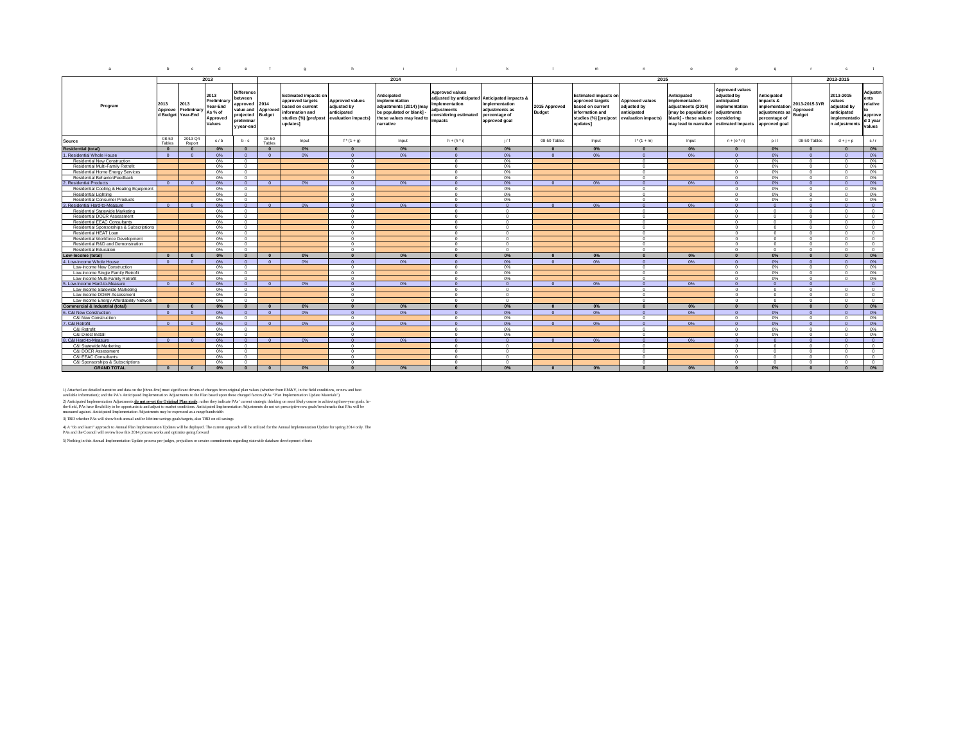| $\mathbf{a}$                               | b                           | $\mathbf{c}$                    | $\mathbf{d}$                                                     | $\theta$                                                                                               |                       | $\alpha$                                                                                                                    | h                                                                           |                                                                                                                               |                                                                                                                      | k                                                                                           |                                | m                                                                                                                           | $\mathsf{n}$                                                                | $\circ$                                                                                                                                         | $\mathbf{r}$                                                                                         | $\mathbf{q}$                                                                                   | <b>COL</b>                                 |                                                                                     |                                                              |
|--------------------------------------------|-----------------------------|---------------------------------|------------------------------------------------------------------|--------------------------------------------------------------------------------------------------------|-----------------------|-----------------------------------------------------------------------------------------------------------------------------|-----------------------------------------------------------------------------|-------------------------------------------------------------------------------------------------------------------------------|----------------------------------------------------------------------------------------------------------------------|---------------------------------------------------------------------------------------------|--------------------------------|-----------------------------------------------------------------------------------------------------------------------------|-----------------------------------------------------------------------------|-------------------------------------------------------------------------------------------------------------------------------------------------|------------------------------------------------------------------------------------------------------|------------------------------------------------------------------------------------------------|--------------------------------------------|-------------------------------------------------------------------------------------|--------------------------------------------------------------|
|                                            |                             |                                 | 2013                                                             |                                                                                                        |                       |                                                                                                                             |                                                                             | 2014                                                                                                                          |                                                                                                                      |                                                                                             |                                |                                                                                                                             | 2015                                                                        |                                                                                                                                                 |                                                                                                      |                                                                                                |                                            | 2013-2015                                                                           |                                                              |
| Program                                    | 2013<br>Approve<br>d Budget | 2013<br>Preliminary<br>Year-End | 2013<br>Preliminary<br>Year-End<br>As % of<br>Approved<br>Values | <b>Difference</b><br>between<br>approved<br>value and Approve<br>projected<br>preliminar<br>y year-end | 2014<br><b>Budget</b> | <b>Estimated impacts on</b><br>approved targets<br>based on current<br>information and<br>studies (%) [pre/post<br>updates] | <b>Approved values</b><br>adjusted by<br>anticipated<br>evaluation impacts) | Anticipated<br>implementation<br>adjustments (2014) [may<br>be populated or blank] -<br>these values may lead to<br>narrative | <b>Approved values</b><br>adjusted by anticipated<br>nplementation<br>adjustments<br>considering estimated<br>mpacts | Anticipated impacts &<br>implementation<br>adjustments as<br>percentage of<br>approved goal | 2015 Approved<br><b>Budget</b> | <b>Estimated impacts on</b><br>approved targets<br>based on current<br>information and<br>studies (%) [pre/post<br>updates] | <b>Approved values</b><br>adjusted by<br>anticipated<br>evaluation impacts) | Anticipated<br>implementation<br>adjustments (2014)<br>[may be populated or<br>blank] - these values<br>may lead to narrative estimated impacts | <b>Approved values</b><br>adjusted by<br>anticipated<br>implementation<br>adjustments<br>considerina | Anticipated<br>impacts &<br>implementation<br>adjustments as<br>percentage of<br>approved goal | 2013-2015 3YR<br>Approved<br><b>Budget</b> | 2013-2015<br>values<br>adjusted by<br>anticipated<br>implementatio<br>n adjustments | Adjustm<br>ents<br>relative<br>approve<br>d 3 year<br>values |
| Source                                     | 08-50<br>Tables             | 2013 Q4<br>Renort               | c/b                                                              | $b - c$                                                                                                | 08-50<br>Tables       | Input                                                                                                                       | $f^{*}(1 + q)$                                                              | Input                                                                                                                         | $h + (h^{\dagger})$                                                                                                  | 1/f                                                                                         | 08-50 Tables                   | Input                                                                                                                       | $1^* (1 + m)$                                                               | Input                                                                                                                                           | $n + (o \cdot n)$                                                                                    | D/1                                                                                            | 08-50 Tables                               | $d + j + p$                                                                         | s/r                                                          |
| <b>Residential (total)</b>                 | $\Omega$                    | $\Omega$                        | 0%                                                               | $\Omega$                                                                                               | $\Omega$              | 0%                                                                                                                          | $\Omega$                                                                    | $0\%$                                                                                                                         |                                                                                                                      | 0%                                                                                          | $\Omega$                       | 0%                                                                                                                          | $\Omega$                                                                    | 0%                                                                                                                                              | $\Omega$                                                                                             | 0%                                                                                             | $\Omega$                                   | $\Omega$                                                                            | 0%                                                           |
| 1. Residential Whole House                 | $\sim$                      |                                 | 0%                                                               |                                                                                                        | $\sim$                | 0%                                                                                                                          | $\Omega$                                                                    | 0%                                                                                                                            |                                                                                                                      | 0%                                                                                          | $\Omega$                       | 0%                                                                                                                          | $\Omega$                                                                    | 0%                                                                                                                                              | $\sqrt{2}$                                                                                           | 0%                                                                                             | $\sim$                                     | $\sqrt{2}$                                                                          | 0%                                                           |
| Residential New Construction               |                             |                                 | 0%                                                               | $\sim$                                                                                                 |                       |                                                                                                                             | $\Omega$                                                                    |                                                                                                                               |                                                                                                                      | 0%                                                                                          |                                |                                                                                                                             | $\Omega$                                                                    |                                                                                                                                                 |                                                                                                      | 0%                                                                                             | $\Omega$                                   | $\sim$                                                                              | 0%                                                           |
| Residential Multi-Family Retrofit          |                             |                                 | 0%                                                               | $\sim$                                                                                                 |                       |                                                                                                                             | $^{\circ}$                                                                  |                                                                                                                               | $\sqrt{2}$                                                                                                           | 0%                                                                                          |                                |                                                                                                                             | $\Omega$                                                                    |                                                                                                                                                 | $\sim$                                                                                               | 0%                                                                                             | $\Omega$                                   | $\Omega$                                                                            | 0%                                                           |
| Residential Home Energy Services           |                             |                                 | 0%                                                               | $\Omega$                                                                                               |                       |                                                                                                                             | $\overline{0}$                                                              |                                                                                                                               | $\Omega$                                                                                                             | 0%                                                                                          |                                |                                                                                                                             | $\Omega$                                                                    |                                                                                                                                                 | $\Omega$                                                                                             | 0%                                                                                             | $\Omega$                                   | $\Omega$                                                                            | 0%                                                           |
| Residential Behavior/Feedback              |                             |                                 | 0%                                                               | $\Omega$                                                                                               |                       |                                                                                                                             | $\Omega$                                                                    |                                                                                                                               |                                                                                                                      | 0%                                                                                          |                                |                                                                                                                             | $\Omega$                                                                    |                                                                                                                                                 | $\sim$                                                                                               | 0%                                                                                             | $\Omega$                                   |                                                                                     | 0%                                                           |
| 2. Residential Products                    | $\Omega$                    | $\Omega$                        | 0%                                                               | $\Omega$                                                                                               | $\overline{0}$        | 0%                                                                                                                          | $\overline{0}$                                                              | 0%                                                                                                                            | - 0                                                                                                                  | 0%                                                                                          | $\overline{0}$                 | 0%                                                                                                                          | $\overline{0}$                                                              | 0%                                                                                                                                              | $\Omega$                                                                                             | 0%                                                                                             | $\overline{0}$                             | $\Omega$                                                                            | 0%                                                           |
| Residential Cooling & Heating Equipment    |                             |                                 | 0%                                                               |                                                                                                        |                       |                                                                                                                             | $\Omega$                                                                    |                                                                                                                               |                                                                                                                      | 0%                                                                                          |                                |                                                                                                                             | $\Omega$                                                                    |                                                                                                                                                 |                                                                                                      | 0%                                                                                             | $\sim$                                     |                                                                                     | 0%                                                           |
| <b>Residential Lighting</b>                |                             |                                 | 0%                                                               | $\Omega$                                                                                               |                       |                                                                                                                             | $\Omega$                                                                    |                                                                                                                               |                                                                                                                      | 0%                                                                                          |                                |                                                                                                                             | $\Omega$                                                                    |                                                                                                                                                 |                                                                                                      | 0%                                                                                             | $\sim$                                     |                                                                                     | 0%                                                           |
| <b>Residential Consumer Products</b>       |                             |                                 | 0%                                                               | $\sim$                                                                                                 |                       |                                                                                                                             | $\overline{0}$                                                              |                                                                                                                               | $\Omega$                                                                                                             | 0%                                                                                          |                                |                                                                                                                             | $\Omega$                                                                    |                                                                                                                                                 | $\sim$                                                                                               | 0%                                                                                             | $\Omega$                                   | $\Omega$                                                                            | 0%                                                           |
| 3. Residential Hard-to-Measure             | $\sqrt{2}$                  |                                 | 0%                                                               | $\sim$                                                                                                 | $\sqrt{2}$            | 0%                                                                                                                          | $\overline{0}$                                                              | 0%                                                                                                                            |                                                                                                                      | $\Omega$                                                                                    | $\Omega$                       | 0%                                                                                                                          | $\Omega$                                                                    | 0%                                                                                                                                              |                                                                                                      |                                                                                                | $\sqrt{2}$                                 |                                                                                     | $\Omega$                                                     |
| Residential Statewide Marketing            |                             |                                 | 0%                                                               | $\sim$                                                                                                 |                       |                                                                                                                             | $\Omega$                                                                    |                                                                                                                               |                                                                                                                      | $\sim$                                                                                      |                                |                                                                                                                             | $\Omega$                                                                    |                                                                                                                                                 |                                                                                                      |                                                                                                | $\Omega$                                   |                                                                                     | $\Omega$                                                     |
| Residential DOER Assessment                |                             |                                 | 0%                                                               | $\Omega$                                                                                               |                       |                                                                                                                             | $\overline{0}$                                                              |                                                                                                                               | $\Omega$                                                                                                             | $\circ$                                                                                     |                                |                                                                                                                             | $\circ$                                                                     |                                                                                                                                                 | $\Omega$                                                                                             | $\Omega$                                                                                       | $\overline{0}$                             | $\Omega$                                                                            | $^{\circ}$                                                   |
| <b>Residential EEAC Consultants</b>        |                             |                                 | $0\%$                                                            | $\circ$                                                                                                |                       |                                                                                                                             | $^{\circ}$                                                                  |                                                                                                                               | $\Omega$                                                                                                             | $\mathbf{0}$                                                                                |                                |                                                                                                                             | $\Omega$                                                                    |                                                                                                                                                 | $\Omega$                                                                                             | $^{\circ}$                                                                                     | $\Omega$                                   | $\Omega$                                                                            | $\overline{0}$                                               |
| Residential Sponsorships & Subscriptions   |                             |                                 | 0%                                                               | $\Omega$                                                                                               |                       |                                                                                                                             | $\Omega$                                                                    |                                                                                                                               |                                                                                                                      | $\Omega$                                                                                    |                                |                                                                                                                             | $\Omega$                                                                    |                                                                                                                                                 | $\sim$                                                                                               |                                                                                                | $\Omega$                                   |                                                                                     | $\Omega$                                                     |
| Residential HFAT Loan                      |                             |                                 | 0%                                                               | $\Omega$                                                                                               |                       |                                                                                                                             | $^{\circ}$                                                                  |                                                                                                                               | $\Omega$                                                                                                             | $\Omega$                                                                                    |                                |                                                                                                                             | $\Omega$                                                                    |                                                                                                                                                 | $\Omega$                                                                                             | $\Omega$                                                                                       | $\Omega$                                   | $\Omega$                                                                            | $\Omega$                                                     |
| Residential Workforce Development          |                             |                                 | 0%                                                               | $\Omega$                                                                                               |                       |                                                                                                                             | $\overline{0}$                                                              |                                                                                                                               |                                                                                                                      | $\Omega$                                                                                    |                                |                                                                                                                             | $\Omega$                                                                    |                                                                                                                                                 | $\Omega$                                                                                             | $\Omega$                                                                                       | $\Omega$                                   | $\Omega$                                                                            | $\Omega$                                                     |
| Residential R&D and Demonstration          |                             |                                 | 0%                                                               | $\Omega$                                                                                               |                       |                                                                                                                             | $\Omega$                                                                    |                                                                                                                               |                                                                                                                      | $\Omega$                                                                                    |                                |                                                                                                                             | $\Omega$                                                                    |                                                                                                                                                 | $\Omega$                                                                                             |                                                                                                | $\Omega$                                   |                                                                                     | $\Omega$                                                     |
| <b>Residential Education</b>               |                             |                                 | 0%                                                               | $\Omega$                                                                                               |                       |                                                                                                                             | $\circ$                                                                     |                                                                                                                               | $\Omega$                                                                                                             | $\Omega$                                                                                    |                                |                                                                                                                             | $\circ$                                                                     |                                                                                                                                                 | $\Omega$                                                                                             | $\Omega$                                                                                       | $\circ$                                    | $\Omega$                                                                            | $^{\circ}$                                                   |
| Low-Income (total)                         | $\Omega$                    |                                 | 0%                                                               | $\sqrt{2}$                                                                                             | $\Omega$              | 0%                                                                                                                          | $\Omega$                                                                    | 0%                                                                                                                            |                                                                                                                      | 0%                                                                                          | $\sqrt{2}$                     | 0%                                                                                                                          | $\Omega$                                                                    | 0%                                                                                                                                              |                                                                                                      | 0%                                                                                             | $\Omega$                                   |                                                                                     | 0%                                                           |
| 4. Low-Income Whole House                  | $\Omega$                    | - 0                             | 0%                                                               | $\Omega$                                                                                               | $\Omega$              | 0%                                                                                                                          | $\overline{0}$                                                              | $0\%$                                                                                                                         |                                                                                                                      | 0%                                                                                          | $\Omega$                       | 0%                                                                                                                          | $\Omega$                                                                    | 0%                                                                                                                                              |                                                                                                      | 0%                                                                                             | $\Omega$                                   |                                                                                     | 0%                                                           |
|                                            |                             |                                 |                                                                  | $\Omega$                                                                                               |                       |                                                                                                                             |                                                                             |                                                                                                                               |                                                                                                                      |                                                                                             |                                |                                                                                                                             |                                                                             |                                                                                                                                                 |                                                                                                      |                                                                                                |                                            | $\sim$                                                                              |                                                              |
| Low-Income New Construction                |                             |                                 | 0%                                                               |                                                                                                        |                       |                                                                                                                             | $\overline{0}$                                                              |                                                                                                                               |                                                                                                                      | 0%                                                                                          |                                |                                                                                                                             | $\Omega$                                                                    |                                                                                                                                                 |                                                                                                      | 0%                                                                                             | $\Omega$                                   |                                                                                     | 0%                                                           |
| Low-Income Single Family Retrofi           |                             |                                 | 0%                                                               | $\sim$<br>$\Omega$                                                                                     |                       |                                                                                                                             | $\Omega$                                                                    |                                                                                                                               |                                                                                                                      | 0%                                                                                          |                                |                                                                                                                             | $\Omega$                                                                    |                                                                                                                                                 | $\Omega$                                                                                             | 0%                                                                                             | $\Omega$<br>$\Omega$                       | $\Omega$                                                                            | 0%                                                           |
| Low-Income Multi-Family Retrofit           |                             |                                 | 0%                                                               |                                                                                                        |                       |                                                                                                                             | $\overline{0}$                                                              |                                                                                                                               |                                                                                                                      | 0%                                                                                          |                                |                                                                                                                             | $\Omega$                                                                    |                                                                                                                                                 |                                                                                                      | 0%<br>$\sqrt{2}$                                                                               |                                            |                                                                                     | 0%                                                           |
| Low-Income Hard-to-Measure                 | $\sqrt{2}$                  |                                 | 0%                                                               |                                                                                                        |                       | 0%                                                                                                                          | $\overline{0}$                                                              | 0%                                                                                                                            |                                                                                                                      | $\overline{0}$                                                                              | $\Omega$                       | 0%                                                                                                                          | $\Omega$                                                                    | 0%                                                                                                                                              | $\Omega$                                                                                             |                                                                                                | $\Omega$                                   |                                                                                     | $\overline{0}$                                               |
| Low-Income Statewide Marketing             |                             |                                 | 0%                                                               | $\Omega$                                                                                               |                       |                                                                                                                             | $\overline{0}$                                                              |                                                                                                                               | $\Omega$                                                                                                             | $\Omega$                                                                                    |                                |                                                                                                                             | $\overline{0}$                                                              |                                                                                                                                                 | $\Omega$                                                                                             | $\Omega$                                                                                       | $\overline{0}$                             | $\Omega$                                                                            | $\overline{0}$                                               |
| Low-Income DOER Assessment                 |                             |                                 | $0\%$                                                            | $\circ$                                                                                                |                       |                                                                                                                             | $\overline{0}$                                                              |                                                                                                                               | $\Omega$<br>$\Omega$                                                                                                 | $\mathbf{0}$<br>$\Omega$                                                                    |                                |                                                                                                                             | $^{\circ}$<br>$\Omega$                                                      |                                                                                                                                                 | $\Omega$<br>$\Omega$                                                                                 | $\Omega$                                                                                       | $\overline{0}$                             | $\Omega$                                                                            | $^{\circ}$                                                   |
| Low-Income Energy Affordability Network    |                             |                                 | 0%                                                               | $\circ$                                                                                                |                       |                                                                                                                             | $\overline{0}$                                                              |                                                                                                                               |                                                                                                                      |                                                                                             |                                |                                                                                                                             |                                                                             |                                                                                                                                                 |                                                                                                      | $^{\circ}$                                                                                     | $\overline{0}$                             | $\Omega$                                                                            | $\overline{0}$                                               |
| <b>Commercial &amp; Industrial (total)</b> | $\Omega$                    |                                 | 0%                                                               | $\Omega$                                                                                               |                       | 0%                                                                                                                          | $\Omega$                                                                    | 0%                                                                                                                            |                                                                                                                      | 0%                                                                                          | $\Omega$                       | 0%                                                                                                                          | $\Omega$                                                                    | 0%                                                                                                                                              | $\Omega$                                                                                             | 0%                                                                                             | $\Omega$                                   | $\sqrt{2}$                                                                          | $0\%$                                                        |
| 6. C&I New Construction                    | $\Omega$                    | $\Omega$                        | 0%                                                               | $\Omega$                                                                                               | $\Omega$              | 0%                                                                                                                          | $\Omega$                                                                    | 0%                                                                                                                            | $\Omega$                                                                                                             | 0%                                                                                          | $\Omega$                       | 0%                                                                                                                          | $\Omega$                                                                    | 0%                                                                                                                                              | $\Omega$                                                                                             | 0%                                                                                             | $\Omega$                                   | $\sqrt{2}$                                                                          | 0%                                                           |
| C&I New Construction                       |                             |                                 | 0%                                                               |                                                                                                        |                       |                                                                                                                             | $\Omega$                                                                    |                                                                                                                               |                                                                                                                      | 0%                                                                                          |                                |                                                                                                                             | $\Omega$                                                                    |                                                                                                                                                 |                                                                                                      | 0%                                                                                             | $\Omega$                                   |                                                                                     | 0%                                                           |
| 7. C&I Retrofit                            | $\Omega$                    |                                 | 0%                                                               |                                                                                                        | $\sqrt{2}$            | 0%                                                                                                                          | $\sqrt{2}$                                                                  | 0%                                                                                                                            |                                                                                                                      | 0%                                                                                          | $\sqrt{2}$                     | 0%                                                                                                                          | $\Omega$                                                                    | 0%                                                                                                                                              |                                                                                                      | 0%                                                                                             | $\sqrt{2}$                                 |                                                                                     | 0%                                                           |
| C&I Retrofit                               |                             |                                 | $0\%$                                                            | $\Omega$                                                                                               |                       |                                                                                                                             | $\Omega$                                                                    |                                                                                                                               | $\Omega$                                                                                                             | 0%                                                                                          |                                |                                                                                                                             | $\Omega$                                                                    |                                                                                                                                                 | $\Omega$                                                                                             | 0%                                                                                             | $^{\circ}$                                 | $\Omega$                                                                            | 0%                                                           |
| C&I Direct Install                         |                             |                                 | 0%                                                               | $\Omega$                                                                                               |                       |                                                                                                                             | $\Omega$                                                                    |                                                                                                                               | $\sqrt{2}$                                                                                                           | 0%                                                                                          |                                |                                                                                                                             | $\Omega$                                                                    |                                                                                                                                                 |                                                                                                      | 0%                                                                                             | $^{\circ}$                                 | $\sim$                                                                              | 0%                                                           |
| 8. C&I Hard-to-Measur                      | $\Omega$                    |                                 | 0%                                                               | $\Omega$                                                                                               | $\Omega$              | 0%                                                                                                                          | $\Omega$                                                                    | 0%                                                                                                                            |                                                                                                                      | $\Omega$                                                                                    | $\Omega$                       | 0%                                                                                                                          | $\Omega$                                                                    | 0%                                                                                                                                              | $\Omega$                                                                                             | $\sqrt{2}$                                                                                     | $\Omega$                                   | $\Omega$                                                                            | $\Omega$                                                     |
| C&I Statewide Marketing                    |                             |                                 | 0%                                                               | $\Omega$                                                                                               |                       |                                                                                                                             | $^{\circ}$                                                                  |                                                                                                                               | $\sqrt{2}$                                                                                                           | $^{\circ}$                                                                                  |                                |                                                                                                                             | $\Omega$                                                                    |                                                                                                                                                 | $\Omega$                                                                                             | $^{\circ}$                                                                                     | $\Omega$                                   | $\Omega$                                                                            | $^{\circ}$                                                   |
| C&I DOER Assessment                        |                             |                                 | 0%                                                               | $\Omega$                                                                                               |                       |                                                                                                                             | $\circ$                                                                     |                                                                                                                               | $\Omega$                                                                                                             | $\Omega$                                                                                    |                                |                                                                                                                             | $\Omega$                                                                    |                                                                                                                                                 | $\Omega$                                                                                             |                                                                                                | $\sim$                                     | $\Omega$                                                                            | $^{\circ}$                                                   |
| C&I EEAC Consultants                       |                             |                                 | 0%                                                               | $\sim$                                                                                                 |                       |                                                                                                                             | $\Omega$                                                                    |                                                                                                                               |                                                                                                                      | $\Omega$                                                                                    |                                |                                                                                                                             | $\Omega$                                                                    |                                                                                                                                                 |                                                                                                      |                                                                                                | $\Omega$                                   |                                                                                     | $\Omega$                                                     |
| C&I Sponsorships & Subscriptions           |                             |                                 | 0%                                                               | $\Omega$                                                                                               |                       |                                                                                                                             | $\Omega$                                                                    |                                                                                                                               | $^{\circ}$                                                                                                           | $\Omega$                                                                                    |                                |                                                                                                                             | $\Omega$                                                                    |                                                                                                                                                 | $\Omega$                                                                                             | $\Omega$                                                                                       | $\Omega$                                   | $\Omega$                                                                            | $\Omega$                                                     |
| <b>GRAND TOTAL</b>                         | $\bullet$                   |                                 | $0\%$                                                            | $\sqrt{2}$                                                                                             | $\mathbf{0}$          | 0%                                                                                                                          | $\mathbf{0}$                                                                | 0%                                                                                                                            |                                                                                                                      | 0%                                                                                          | $\sqrt{2}$                     | 0%                                                                                                                          | $\Omega$                                                                    | 0%                                                                                                                                              |                                                                                                      | 0%                                                                                             | $\sqrt{2}$                                 |                                                                                     | 0%                                                           |

1) Attached are detailed narraive and data on the [three fives of the mass of the state of the offered in the mass of the first of the first of the first of the first of the first of the first of the first of the first of

4) A "do and learn" approach to Annual Plan Implementation Updates will be deployed. The current approach will be utilized for the Annual Implementation Update for spring 2014 only. The<br>PAs and the Council will review how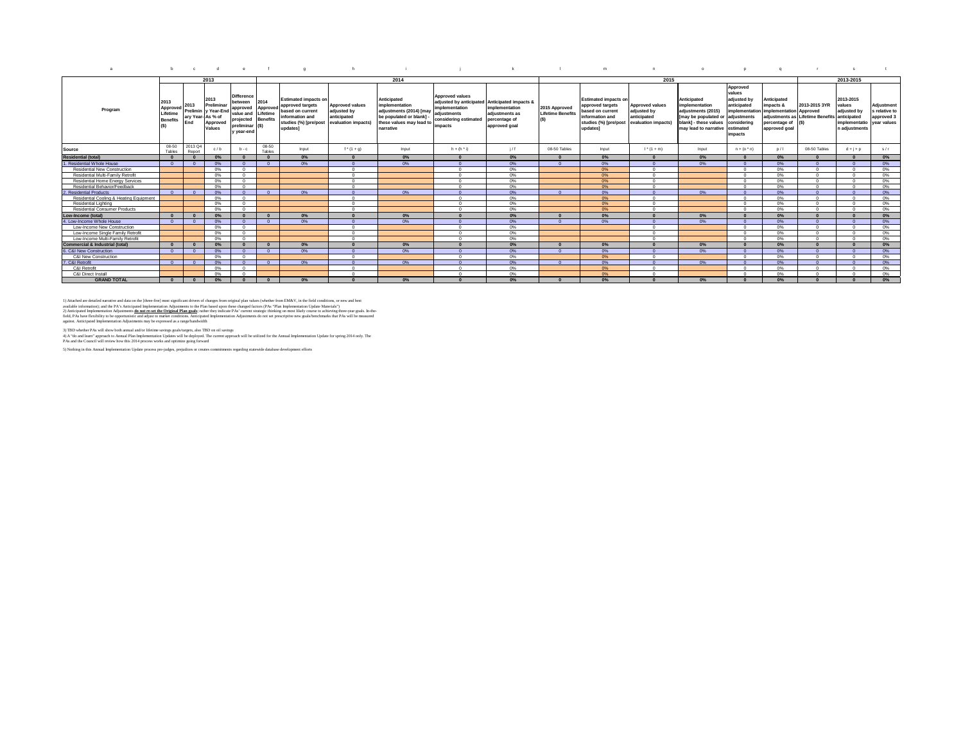|  | bcdef a hijklim no barrst |  |  |  |           |  |
|--|---------------------------|--|--|--|-----------|--|
|  | $\sim$<br>20 I 4          |  |  |  | 2013-2015 |  |

| Program                                    | 2013<br>Approved<br>Lifetime<br><b>Benefits</b><br>(S) | 2013<br>ary Year-As % of<br>End | 2013<br>Preliminar<br>Approv<br>Values | <b>Difference</b><br>between<br>Prelimin y Year-End approved<br>value and<br>projected<br>preliminar (\$)<br>v vear-end | 2014<br>Approved<br>Lifetime<br><b>Benefits</b> | <b>Estimated impacts on</b><br>approved targets<br>based on current<br>information and<br>studies (%) [pre/post<br>updates] | <b>Approved values</b><br>adjusted by<br>anticipated<br>evaluation impacts | Anticipated<br>implementation<br>adjustments (2014) [may<br>be populated or blank]<br>these values may lead to<br>narrative | <b>Approved values</b><br>adjusted by anticipated Anticipated impacts &<br>implementation<br>adiustments<br>considering estimated<br>impacts | implementation<br>adjustments as<br>percentage of<br>approved goal | 2015 Approved<br><b>Lifetime Benefits</b> | <b>Estimated impacts or</b><br>approved targets<br>based on current<br>information and<br>studies (%) [pre/post<br>updates] | <b>Approved values</b><br>adjusted by<br>anticipated<br>evaluation impacts) | Anticipated<br>implementation<br>adiustments (2015)<br>Imay be populated or adiustments<br>blank1 - these values<br>may lead to narrative | Approved<br>values<br>adjusted by<br>anticipated<br>considering<br>estimated<br>impacts | Anticipated<br>impacts &<br>implementation implementation Approved<br>percentage of<br>approved goal | 2013-2015 3YF<br>adjustments as Lifetime Benefits anticipated | 2013-2015<br>values<br>adiusted by<br>implementatio<br>n adiustments | Adjustment<br>s relative to<br>approved 3<br>vear values |
|--------------------------------------------|--------------------------------------------------------|---------------------------------|----------------------------------------|-------------------------------------------------------------------------------------------------------------------------|-------------------------------------------------|-----------------------------------------------------------------------------------------------------------------------------|----------------------------------------------------------------------------|-----------------------------------------------------------------------------------------------------------------------------|----------------------------------------------------------------------------------------------------------------------------------------------|--------------------------------------------------------------------|-------------------------------------------|-----------------------------------------------------------------------------------------------------------------------------|-----------------------------------------------------------------------------|-------------------------------------------------------------------------------------------------------------------------------------------|-----------------------------------------------------------------------------------------|------------------------------------------------------------------------------------------------------|---------------------------------------------------------------|----------------------------------------------------------------------|----------------------------------------------------------|
| Source                                     | 08-50<br>Tables                                        | 2013 Q4<br>Report               |                                        | $b - c$                                                                                                                 | 08-50<br>Tables                                 | Input                                                                                                                       | $f^{*}(1 + g)$                                                             | Input                                                                                                                       | $h + (h * i)$                                                                                                                                | 1/f                                                                | 08-50 Tables                              | Input                                                                                                                       | $1*(1+m)$                                                                   | Input                                                                                                                                     | $n + (o^*n)$                                                                            | D/1                                                                                                  | 08-50 Tables                                                  | $d + j + p$                                                          | s/r                                                      |
| <b>Residential (total)</b>                 |                                                        |                                 |                                        |                                                                                                                         |                                                 | 0%                                                                                                                          |                                                                            | $0\%$                                                                                                                       |                                                                                                                                              | 0%                                                                 |                                           | 0%                                                                                                                          |                                                                             | 0%                                                                                                                                        |                                                                                         | 0%                                                                                                   |                                                               |                                                                      | $0\%$                                                    |
| Residential Whole House                    | $\sqrt{2}$                                             | $\sqrt{2}$                      | n <sub>o</sub> c                       | $\sqrt{2}$                                                                                                              | $\sqrt{2}$                                      | 0%                                                                                                                          |                                                                            | 0%                                                                                                                          |                                                                                                                                              | 0%                                                                 |                                           | 0%                                                                                                                          |                                                                             | 0%                                                                                                                                        |                                                                                         | 0%                                                                                                   |                                                               |                                                                      | 0%                                                       |
| <b>Residential New Construction</b>        |                                                        |                                 | n%                                     |                                                                                                                         |                                                 |                                                                                                                             | $\sim$                                                                     |                                                                                                                             |                                                                                                                                              | 0%                                                                 |                                           | 0%                                                                                                                          |                                                                             |                                                                                                                                           |                                                                                         | 0%                                                                                                   |                                                               |                                                                      | 0%                                                       |
| Residential Multi-Family Retrofit          |                                                        |                                 | 0%                                     | $\Omega$                                                                                                                |                                                 |                                                                                                                             | $\Omega$                                                                   |                                                                                                                             | $\Omega$                                                                                                                                     | 0%                                                                 |                                           | 0%                                                                                                                          | $\Omega$                                                                    |                                                                                                                                           |                                                                                         | 0%                                                                                                   | $\sqrt{2}$                                                    |                                                                      | 0%                                                       |
| Residential Home Energy Services           |                                                        |                                 | n%                                     | $\sim$                                                                                                                  |                                                 |                                                                                                                             | $\sim$                                                                     |                                                                                                                             |                                                                                                                                              | 0%                                                                 |                                           | 0%                                                                                                                          | $\sim$                                                                      |                                                                                                                                           |                                                                                         | 0%                                                                                                   |                                                               |                                                                      | 0%                                                       |
| Residential Behavior/Feedback              |                                                        |                                 | 0%                                     | $\sim$                                                                                                                  |                                                 |                                                                                                                             | $\sqrt{2}$                                                                 |                                                                                                                             | $\Omega$                                                                                                                                     | 0%                                                                 |                                           | 0%                                                                                                                          | $\sim$                                                                      |                                                                                                                                           |                                                                                         | 0%                                                                                                   | $\sqrt{2}$                                                    |                                                                      | 0%                                                       |
| <b>Residential Products</b>                | $\sqrt{2}$                                             | $n -$                           | 0%                                     | $\Omega$                                                                                                                | $\Omega$                                        | 0%                                                                                                                          |                                                                            | 0%                                                                                                                          |                                                                                                                                              | $0\%$                                                              |                                           | $0\%$                                                                                                                       | $\sqrt{2}$                                                                  | $0\%$                                                                                                                                     |                                                                                         | 0%                                                                                                   | $\sqrt{2}$                                                    |                                                                      | 0%                                                       |
| Residential Cooling & Heating Equipment    |                                                        |                                 | 0%                                     | $\sqrt{2}$                                                                                                              |                                                 |                                                                                                                             | $\Omega$                                                                   |                                                                                                                             |                                                                                                                                              | 0%                                                                 |                                           | 0%                                                                                                                          |                                                                             |                                                                                                                                           |                                                                                         | 0%                                                                                                   |                                                               |                                                                      | 0%                                                       |
| Residential Lighting                       |                                                        |                                 | 0%                                     | $\sqrt{2}$                                                                                                              |                                                 |                                                                                                                             | $\Omega$                                                                   |                                                                                                                             | $\sim$                                                                                                                                       | 0%                                                                 |                                           | 0%                                                                                                                          | $\sqrt{2}$                                                                  |                                                                                                                                           |                                                                                         | 0%                                                                                                   | $\Omega$                                                      |                                                                      | 0%                                                       |
| Residential Consumer Products              |                                                        |                                 | n%                                     | $\sim$                                                                                                                  |                                                 |                                                                                                                             | $\sim$                                                                     |                                                                                                                             | $\sim$                                                                                                                                       | 0%                                                                 |                                           | 0%                                                                                                                          | $\sim$                                                                      |                                                                                                                                           |                                                                                         | 0%                                                                                                   |                                                               |                                                                      | 0%                                                       |
| Low-Income (total)                         |                                                        |                                 | 0%                                     |                                                                                                                         |                                                 | $0\%$                                                                                                                       |                                                                            | 0%                                                                                                                          |                                                                                                                                              | 0%                                                                 |                                           | 0%                                                                                                                          |                                                                             | 0%                                                                                                                                        |                                                                                         | $0\%$                                                                                                |                                                               |                                                                      | $0\%$                                                    |
| 4. Low-Income Whole House                  | $\sqrt{2}$                                             |                                 | n <sub>o</sub> c                       | $\sqrt{2}$                                                                                                              | $\sqrt{2}$                                      | 0%                                                                                                                          |                                                                            | 0%                                                                                                                          |                                                                                                                                              | 0%                                                                 |                                           | 0%                                                                                                                          |                                                                             | n <sub>o</sub> c.                                                                                                                         |                                                                                         | 0%                                                                                                   |                                                               |                                                                      | 0%                                                       |
| Low-Income New Construction                |                                                        |                                 | 0%                                     | $\sim$                                                                                                                  |                                                 |                                                                                                                             | $\Omega$                                                                   |                                                                                                                             | $\sim$                                                                                                                                       | 0%                                                                 |                                           |                                                                                                                             | $\sqrt{2}$                                                                  |                                                                                                                                           |                                                                                         | 0%                                                                                                   | $\sim$                                                        |                                                                      | 0%                                                       |
| Low-Income Single Family Retrofit          |                                                        |                                 | 0%                                     |                                                                                                                         |                                                 |                                                                                                                             |                                                                            |                                                                                                                             |                                                                                                                                              | 0%                                                                 |                                           |                                                                                                                             |                                                                             |                                                                                                                                           |                                                                                         | 0%                                                                                                   |                                                               |                                                                      | 0%                                                       |
| Low-Income Multi-Family Retrofit           |                                                        |                                 | 0%                                     | $\sim$                                                                                                                  |                                                 |                                                                                                                             | $\sim$                                                                     |                                                                                                                             |                                                                                                                                              | 0%                                                                 |                                           |                                                                                                                             | $\sim$                                                                      |                                                                                                                                           |                                                                                         | 0%                                                                                                   |                                                               |                                                                      | 0%                                                       |
| <b>Commercial &amp; Industrial (total)</b> |                                                        |                                 | 0%                                     |                                                                                                                         |                                                 | 0%                                                                                                                          |                                                                            | 0%                                                                                                                          |                                                                                                                                              | 0%                                                                 |                                           | 0%                                                                                                                          |                                                                             | 0%                                                                                                                                        |                                                                                         | $0\%$                                                                                                |                                                               |                                                                      | 0%                                                       |
| 6. C&I New Construction                    | $\sqrt{ }$                                             | $\Omega$                        | 0%                                     | $\Omega$                                                                                                                | $\Omega$                                        | 0%                                                                                                                          |                                                                            | 0%                                                                                                                          |                                                                                                                                              | 0%                                                                 |                                           | 0%                                                                                                                          | $\sqrt{2}$                                                                  | 0%                                                                                                                                        | $\sqrt{ }$                                                                              | 0%                                                                                                   |                                                               |                                                                      | 0%                                                       |
| C&I New Construction                       |                                                        |                                 | n%                                     |                                                                                                                         |                                                 |                                                                                                                             |                                                                            |                                                                                                                             |                                                                                                                                              | 0%                                                                 |                                           | 0%                                                                                                                          |                                                                             |                                                                                                                                           |                                                                                         | 0%                                                                                                   |                                                               |                                                                      | 0%                                                       |
| . C&I Retrofit                             |                                                        |                                 | 0%                                     |                                                                                                                         | $\Omega$                                        | 0%                                                                                                                          |                                                                            | 0%                                                                                                                          |                                                                                                                                              | 0%                                                                 |                                           | 0%                                                                                                                          |                                                                             | 0%                                                                                                                                        |                                                                                         | 0%                                                                                                   |                                                               |                                                                      | 0%                                                       |
| C&I Retrofit                               |                                                        |                                 | n%                                     |                                                                                                                         |                                                 |                                                                                                                             | $\sim$                                                                     |                                                                                                                             |                                                                                                                                              | 0%                                                                 |                                           | 0%                                                                                                                          |                                                                             |                                                                                                                                           |                                                                                         | 0%                                                                                                   |                                                               |                                                                      | 0%                                                       |
| C&I Direct Install                         |                                                        |                                 | 0%                                     | $\sim$                                                                                                                  |                                                 |                                                                                                                             | $\sim$                                                                     |                                                                                                                             |                                                                                                                                              | 0%                                                                 |                                           | 0%                                                                                                                          | $\sim$                                                                      |                                                                                                                                           |                                                                                         | O%                                                                                                   |                                                               |                                                                      | 0%                                                       |
| <b>GRAND TOTAL</b>                         | $\sqrt{2}$                                             |                                 | 0%                                     |                                                                                                                         |                                                 | $0\%$                                                                                                                       |                                                                            | 0%                                                                                                                          |                                                                                                                                              | 0%                                                                 |                                           | 0%                                                                                                                          |                                                                             | 0%                                                                                                                                        |                                                                                         | $0\%$                                                                                                |                                                               |                                                                      | $0\%$                                                    |

i) Attafed are desired narries and also onlie (there for past signation) and the more of the more of the base of the more of the state of the more of the state of the Marchain of the Marchain State of the Marchain State of

3) TBD whether PAs will show both annual and/or lifetime savings goals/targets, also TBD on oil savings<br>4) A "do and learn" approxa to Annual Plan Implementation to plate with the content approach will be utilized for the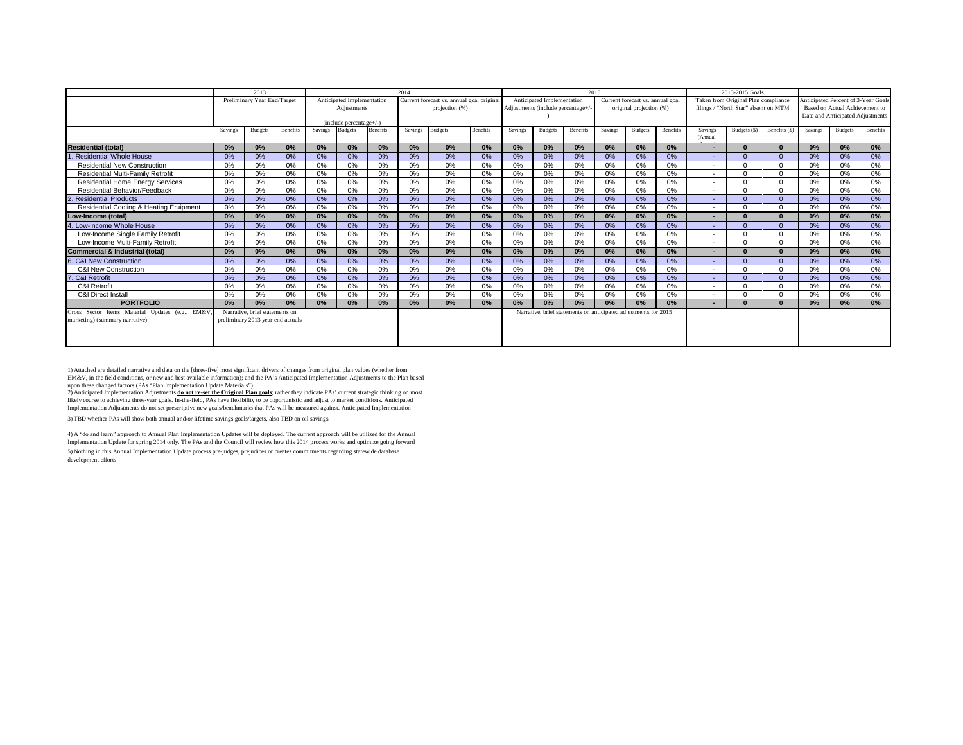|                                                 |         | 2013                              |          |         |                                           |                 | 2014    |                                          |          |         |                                   |                                                                 | 2015    |                                  |          |                          | 2013-2015 Goals                      |              |         |                                     |          |
|-------------------------------------------------|---------|-----------------------------------|----------|---------|-------------------------------------------|-----------------|---------|------------------------------------------|----------|---------|-----------------------------------|-----------------------------------------------------------------|---------|----------------------------------|----------|--------------------------|--------------------------------------|--------------|---------|-------------------------------------|----------|
|                                                 |         | Preliminary Year End/Target       |          |         | Anticipated Implementation                |                 |         | Current forecast vs. annual goal origina |          |         | Anticipated Implementation        |                                                                 |         | Current forecast vs. annual goal |          |                          | Taken from Original Plan compliance  |              |         | Anticipated Percent of 3-Year Goals |          |
|                                                 |         |                                   |          |         | Adiustments                               |                 |         | projection (%)                           |          |         | Adjustments (include percentage+/ |                                                                 |         | original projection (%)          |          |                          | filings / "North Star" absent on MTM |              |         | Based on Actual Achievement to      |          |
|                                                 |         |                                   |          |         |                                           |                 |         |                                          |          |         |                                   |                                                                 |         |                                  |          |                          |                                      |              |         | Date and Anticipated Adjustments    |          |
|                                                 | Savings | <b>Budgets</b>                    | Benefits | Savings | (include percentage+/-)<br><b>Budgets</b> | <b>Benefits</b> | Savings | <b>Budgets</b>                           | Benefits | Savings | <b>Budgets</b>                    | Benefits                                                        | Savings | Budgets                          | Benefits | Savings                  | Budgets (\$)                         | Benefits (S) | Savings | <b>Budgets</b>                      | Benefits |
|                                                 |         |                                   |          |         |                                           |                 |         |                                          |          |         |                                   |                                                                 |         |                                  |          | (Annual                  |                                      |              |         |                                     |          |
| <b>Residential (total)</b>                      | 0%      | 0%                                | 0%       | 0%      | 0%                                        | 0%              | 0%      | 0%                                       | 0%       | 0%      | 0%                                | 0%                                                              | 0%      | 0%                               | 0%       | $\overline{\phantom{a}}$ | $\Omega$                             |              | 0%      | 0%                                  | $0\%$    |
| <b>Residential Whole House</b>                  | 0%      | 0%                                | 0%       | 0%      | 0%                                        | 0%              | 0%      | 0%                                       | 0%       | $0\%$   | 0%                                | 0%                                                              | 0%      | 0%                               | 0%       |                          |                                      |              | 0%      | 0%                                  | 0%       |
| <b>Residential New Construction</b>             | 0%      | 0%                                | 0%       | 0%      | 0%                                        | 0%              | 0%      | 0%                                       | 0%       | 0%      | 0%                                | 0%                                                              | 0%      | 0%                               | $0\%$    | $\sim$                   |                                      |              | 0%      | 0%                                  | $0\%$    |
| <b>Residential Multi-Family Retrofit</b>        | 0%      | 0%                                | 0%       | 0%      | 0%                                        | 0%              | 0%      | 0%                                       | 0%       | 0%      | 0%                                | 0%                                                              | 0%      | 0%                               | $0\%$    | $\sim$                   |                                      |              | 0%      | 0%                                  | 0%       |
| <b>Residential Home Energy Services</b>         | 0%      | 0%                                | 0%       | 0%      | 0%                                        | 0%              | 0%      | 0%                                       | 0%       | 0%      | 0%                                | 0%                                                              | 0%      | 0%                               | $0\%$    | $\sim$                   |                                      |              | 0%      | 0%                                  | 0%       |
| Residential Behavior/Feedback                   | 0%      | 0%                                | 0%       | 0%      | 0%                                        | 0%              | 0%      | 0%                                       | 0%       | 0%      | 0%                                | 0%                                                              | 0%      | 0%                               | 0%       | $\sim$                   |                                      |              | 0%      | 0%                                  | 0%       |
| <b>Residential Products</b>                     | 0%      | 0%                                | 0%       | 0%      | 0%                                        | 0%              | 0%      | 0%                                       | 0%       | 0%      | 0%                                | 0%                                                              | 0%      | 0%                               | 0%       |                          |                                      |              | 0%      | 0%                                  | 0%       |
| Residential Cooling & Heating Eruipment         | 0%      | 0%                                | 0%       | 0%      | 0%                                        | 0%              | 0%      | 0%                                       | 0%       | 0%      | 0%                                | 0%                                                              | 0%      | 0%                               | 0%       | $\sim$                   |                                      |              | 0%      | 0%                                  | 0%       |
| Low-Income (total)                              | 0%      | 0%                                | 0%       | 0%      | 0%                                        | 0%              | 0%      | 0%                                       | 0%       | 0%      | 0%                                | 0%                                                              | 0%      | 0%                               | 0%       |                          |                                      |              | 0%      | 0%                                  | 0%       |
| 4. Low-Income Whole House                       | 0%      | 0%                                | 0%       | 0%      | 0%                                        | 0%              | 0%      | 0%                                       | 0%       | $0\%$   | 0%                                | 0%                                                              | 0%      | 0%                               | 0%       |                          | $\Omega$                             |              | 0%      | 0%                                  | 0%       |
| Low-Income Single Family Retrofit               | 0%      | 0%                                | 0%       | 0%      | 0%                                        | 0%              | 0%      | 0%                                       | 0%       | 0%      | 0%                                | 0%                                                              | 0%      | 0%                               | $0\%$    | $\sim$                   |                                      |              | 0%      | 0%                                  | 0%       |
| Low-Income Multi-Family Retrofit                | 0%      | 0%                                | 0%       | 0%      | 0%                                        | 0%              | 0%      | 0%                                       | 0%       | 0%      | 0%                                | 0%                                                              | 0%      | 0%                               | 0%       | $\sim$                   |                                      |              | 0%      | 0%                                  | $0\%$    |
| <b>Commercial &amp; Industrial (total)</b>      | 0%      | 0%                                | 0%       | 0%      | 0%                                        | 0%              | 0%      | 0%                                       | 0%       | 0%      | 0%                                | 0%                                                              | 0%      | 0%                               | 0%       |                          |                                      |              | 0%      | 0%                                  | 0%       |
| 6. C&I New Construction                         | 0%      | 0%                                | 0%       | 0%      | 0%                                        | 0%              | 0%      | 0%                                       | 0%       | 0%      | 0%                                | 0%                                                              | 0%      | 0%                               | 0%       |                          |                                      |              | 0%      | 0%                                  | 0%       |
| <b>C&amp;I New Construction</b>                 | 0%      | 0%                                | 0%       | 0%      | 0%                                        | 0%              | 0%      | 0%                                       | 0%       | 0%      | 0%                                | 0%                                                              | 0%      | 0%                               | 0%       | $\sim$                   |                                      |              | 0%      | 0%                                  | 0%       |
| . C&I Retrofit<br>Б                             | 0%      | 0%                                | 0%       | 0%      | 0%                                        | 0%              | 0%      | 0%                                       | 0%       | 0%      | 0%                                | 0%                                                              | 0%      | 0%                               | 0%       | ۰.                       | $\Omega$                             |              | 0%      | 0%                                  | 0%       |
| C&I Retrofit                                    | 0%      | 0%                                | 0%       | 0%      | 0%                                        | 0%              | 0%      | 0%                                       | 0%       | 0%      | 0%                                | 0%                                                              | 0%      | 0%                               | 0%       |                          |                                      |              | 0%      | 0%                                  | 0%       |
| C&I Direct Install                              | 0%      | 0%                                | 0%       | 0%      | 0%                                        | 0%              | 0%      | 0%                                       | 0%       | 0%      | $0\%$                             | 0%                                                              | 0%      | 0%                               | 0%       |                          |                                      |              | 0%      | 0%                                  | 0%       |
| <b>PORTFOLIO</b>                                | 0%      | 0%                                | 0%       | 0%      | 0%                                        | 0%              | 0%      | 0%                                       | 0%       | 0%      | 0%                                | 0%                                                              | 0%      | 0%                               | 0%       | $\sim$                   |                                      |              | 0%      | 0%                                  | 0%       |
| Cross Sector Items Material Updates (e.g., EM&V |         | Narrative, brief statements on    |          |         |                                           |                 |         |                                          |          |         |                                   | Narrative, brief statements on anticipated adjustments for 2015 |         |                                  |          |                          |                                      |              |         |                                     |          |
| marketing) (summary narrative)                  |         | preliminary 2013 year end actuals |          |         |                                           |                 |         |                                          |          |         |                                   |                                                                 |         |                                  |          |                          |                                      |              |         |                                     |          |
|                                                 |         |                                   |          |         |                                           |                 |         |                                          |          |         |                                   |                                                                 |         |                                  |          |                          |                                      |              |         |                                     |          |
|                                                 |         |                                   |          |         |                                           |                 |         |                                          |          |         |                                   |                                                                 |         |                                  |          |                          |                                      |              |         |                                     |          |
|                                                 |         |                                   |          |         |                                           |                 |         |                                          |          |         |                                   |                                                                 |         |                                  |          |                          |                                      |              |         |                                     |          |

1) Attached are detailed narrative and data on the [three-five] most significant drivers of changes from original plan values (whether from<br>EM&V, in the field conditions, or new and best available information); and the PA'

upon these changed factors (PAs "Plan Implementation Update Materials")<br>2) Anticipated Implementation Adjustments <mark>do not re-set the Original Plan goals</mark>; rather they indicate PAs' current strategic thinking on most likely course to achieving three-year goals. In-the-field, PAs have flexibility to be opportunistic and adjust to market conditions. Anticipated<br>Implementation Adjustments do not set prescriptive new goals/benchmarks that

3) TBD whether PAs will show both annual and/or lifetime savings goals/targets, also TBD on oil savings

5) Nothing in this Annual Implementation Update process pre-judges, prejudices or creates commitments regarding statewide database development efforts 4) A "do and learn" approach to Annual Plan Implementation Updates will be deployed. The current approach will be utilized for the Annual Implementation Update for spring 2014 only. The PAs and the Council will review how this 2014 process works and optimize going forward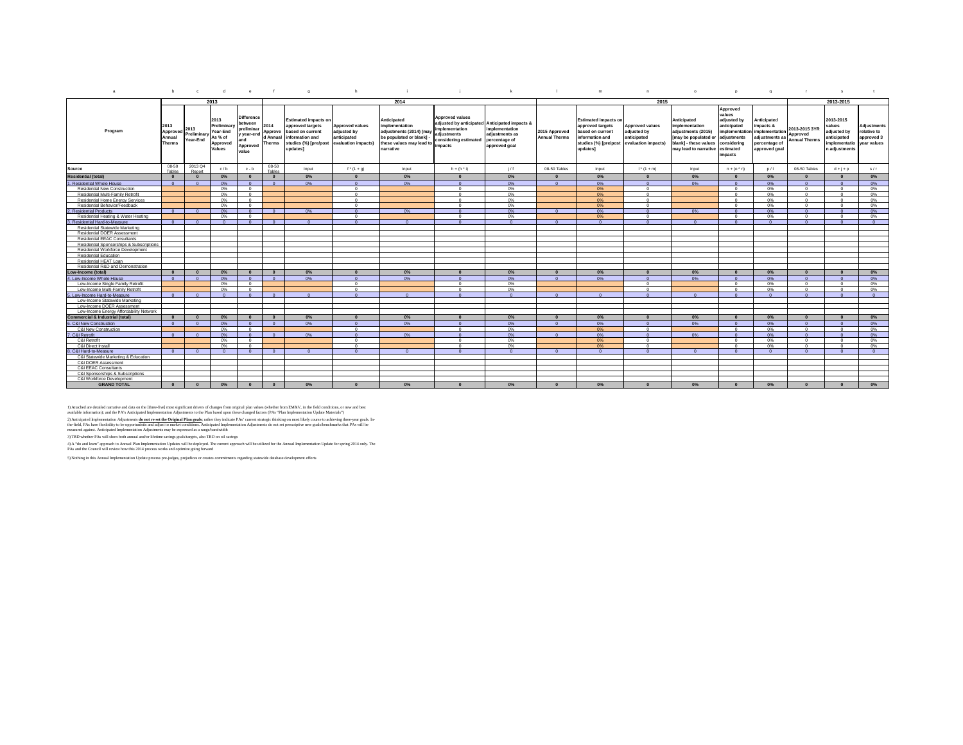| a                                          | b                                           | $\circ$                         | d                                                                | $^{\circ}$                                                                          |                                              | q                                                                                                                           | h                                                                    |                                                                                                                             |                                                                                                                                            | $\mathbf{k}$                                                       |                                       | m                                                                                                                           | n.                                                                          | $\circ$                                                                                                                      | P.                                                                                                                      | q                                                                                              | $\mathbf{r}$                                      | s                                                                                  | t                                                       |
|--------------------------------------------|---------------------------------------------|---------------------------------|------------------------------------------------------------------|-------------------------------------------------------------------------------------|----------------------------------------------|-----------------------------------------------------------------------------------------------------------------------------|----------------------------------------------------------------------|-----------------------------------------------------------------------------------------------------------------------------|--------------------------------------------------------------------------------------------------------------------------------------------|--------------------------------------------------------------------|---------------------------------------|-----------------------------------------------------------------------------------------------------------------------------|-----------------------------------------------------------------------------|------------------------------------------------------------------------------------------------------------------------------|-------------------------------------------------------------------------------------------------------------------------|------------------------------------------------------------------------------------------------|---------------------------------------------------|------------------------------------------------------------------------------------|---------------------------------------------------------|
|                                            |                                             |                                 | 2013                                                             |                                                                                     |                                              |                                                                                                                             |                                                                      | 2014                                                                                                                        |                                                                                                                                            |                                                                    |                                       |                                                                                                                             | 2015                                                                        |                                                                                                                              |                                                                                                                         |                                                                                                |                                                   | 2013-2015                                                                          |                                                         |
| Program                                    | 2013<br>Approved<br>Annual<br><b>Therms</b> | 2013<br>Preliminary<br>Year-End | 2013<br>Preliminary<br>Year-End<br>As % of<br>Approved<br>Values | <b>Difference</b><br>between<br>prelimina<br>y year-end<br>and<br>Approved<br>value | 2014<br>Approve<br>d Annual<br><b>Therms</b> | <b>Estimated impacts on</b><br>approved targets<br>based on current<br>information and<br>studies (%) [pre/post<br>updates1 | Approved values<br>adjusted by<br>anticipated<br>evaluation impacts) | Anticipated<br>implementation<br>adjustments (2014) [may<br>be populated or blank]<br>these values may lead to<br>narrative | <b>Approved values</b><br>adjusted by anticipated Anticipated impacts &<br>mplementation<br>adjustments<br>considering estimated<br>mpacts | implementation<br>adjustments as<br>percentage of<br>approved goal | 2015 Approved<br><b>Annual Therms</b> | <b>Estimated impacts on</b><br>approved targets<br>based on current<br>information and<br>studies (%) [pre/post<br>updates] | <b>Approved values</b><br>adjusted by<br>anticipated<br>evaluation impacts) | Anticipated<br>implementation<br>adjustments (2015)<br>may be populated or<br>blank] - these values<br>may lead to narrative | Approved<br>values<br>adjusted by<br>anticipated<br>implementation<br>adjustments<br>considering<br>estimated<br>mpacts | Anticipated<br>impacts &<br>implementation<br>adjustments as<br>percentage of<br>approved goal | 2013-2015 3YR<br>Approved<br><b>Annual Therms</b> | 2013-2015<br>values<br>adjusted by<br>anticipated<br>mplementatio<br>n adjustments | Adjustments<br>relative to<br>approved 3<br>year values |
| Source                                     | 08-50<br>Tables                             | 2013 Q4<br>Report               | c/b                                                              | $c - b$                                                                             | 08-50<br>Tables                              | Input                                                                                                                       | $f^{*}(1 + g)$                                                       | Input                                                                                                                       | $h + (h^h)$                                                                                                                                | 1/f                                                                | 08-50 Tables                          | Input                                                                                                                       | $1^* (1 + m)$                                                               | Input                                                                                                                        | $n + (o^*n)$                                                                                                            | p/1                                                                                            | 08-50 Tables                                      | $d + i + p$                                                                        | s/r                                                     |
| <b>Residential (total)</b>                 | $\Omega$                                    | $\Omega$                        | 0%                                                               | $\sqrt{2}$                                                                          | $\mathbf{0}$                                 | 0%                                                                                                                          | $\mathbf{0}$                                                         | 0%                                                                                                                          | $\Omega$                                                                                                                                   | 0%                                                                 | $\Omega$                              | 0%                                                                                                                          | $\Omega$                                                                    | 0%                                                                                                                           | $\Omega$                                                                                                                | $0\%$                                                                                          | $\sqrt{2}$                                        | $\Omega$                                                                           | $0\%$                                                   |
| 1. Residential Whole House                 | $\sqrt{ }$                                  |                                 | 0%                                                               |                                                                                     | $\Omega$                                     | 0%                                                                                                                          | $\sqrt{2}$                                                           | 0%                                                                                                                          |                                                                                                                                            | 0%                                                                 | $\sqrt{ }$                            | 0%                                                                                                                          |                                                                             | 0%                                                                                                                           |                                                                                                                         | 0%                                                                                             |                                                   |                                                                                    | 0%                                                      |
| Residential New Construction               |                                             |                                 | 0%                                                               | $\sim$                                                                              |                                              |                                                                                                                             | $\Omega$                                                             |                                                                                                                             | $\sim$                                                                                                                                     | 0%                                                                 |                                       | 0%                                                                                                                          | $^{\circ}$                                                                  |                                                                                                                              | $\sim$                                                                                                                  | 0%                                                                                             | $\sim$                                            | $\Omega$                                                                           | 0%                                                      |
| Residential Multi-Family Retrofit          |                                             |                                 | 0%                                                               | $\sqrt{2}$                                                                          |                                              |                                                                                                                             | $\Omega$                                                             |                                                                                                                             | $\sim$                                                                                                                                     | 0%                                                                 |                                       | 0%                                                                                                                          | $\Omega$                                                                    |                                                                                                                              | $\Omega$                                                                                                                | 0%                                                                                             | $\sim$                                            | $\Omega$                                                                           | 0%                                                      |
| <b>Residential Home Energy Services</b>    |                                             |                                 | 0%                                                               |                                                                                     |                                              |                                                                                                                             | $\Omega$                                                             |                                                                                                                             |                                                                                                                                            | 0%                                                                 |                                       | 0%                                                                                                                          | $\sim$                                                                      |                                                                                                                              | $\Omega$                                                                                                                | 0%                                                                                             | $\Omega$                                          | $\Omega$                                                                           | 0%                                                      |
| Residential Behavior/Feedback              |                                             |                                 | 0%                                                               | $\Omega$                                                                            |                                              |                                                                                                                             | $\Omega$                                                             |                                                                                                                             | $\Omega$                                                                                                                                   | 0%                                                                 |                                       | 0%                                                                                                                          | $\Omega$                                                                    |                                                                                                                              | $\Omega$                                                                                                                | 0%                                                                                             | $\Omega$                                          | $\Omega$                                                                           | 0%                                                      |
| <b>Residential Products</b>                | $\Omega$                                    | $\Omega$                        | $0\%$                                                            | $\Omega$                                                                            | $\overline{0}$                               | 0%                                                                                                                          | $\Omega$                                                             | 0%                                                                                                                          | - 0                                                                                                                                        | 0%                                                                 | $\Omega$                              | 0%                                                                                                                          | $\Omega$                                                                    | 0%                                                                                                                           | $\Omega$                                                                                                                | $0\%$                                                                                          | $\Omega$                                          | $\Omega$                                                                           | $0\%$                                                   |
| Residential Heating & Water Heating        |                                             |                                 | 0%                                                               | $\Omega$                                                                            |                                              |                                                                                                                             | $\Omega$                                                             |                                                                                                                             | $^{\circ}$                                                                                                                                 | 0%                                                                 |                                       | 0%                                                                                                                          | $\Omega$                                                                    |                                                                                                                              | $\Omega$                                                                                                                | 0%                                                                                             | $\Omega$                                          | $\Omega$                                                                           | 0%                                                      |
| Residential Hard-to-Measure                | $\sim$                                      | $\sqrt{2}$                      | $\sqrt{2}$                                                       | $\Omega$                                                                            | $\Omega$                                     |                                                                                                                             | $\Omega$                                                             | $\Omega$                                                                                                                    | $\sqrt{2}$                                                                                                                                 | $\Omega$                                                           | $\sqrt{2}$                            | $\Omega$                                                                                                                    | $\Omega$                                                                    | $\Omega$                                                                                                                     | $\Omega$                                                                                                                | $\Omega$                                                                                       | $\Omega$                                          | $\Omega$                                                                           | $\Omega$                                                |
| Residential Statewide Marketing            |                                             |                                 |                                                                  |                                                                                     |                                              |                                                                                                                             |                                                                      |                                                                                                                             |                                                                                                                                            |                                                                    |                                       |                                                                                                                             |                                                                             |                                                                                                                              |                                                                                                                         |                                                                                                |                                                   |                                                                                    |                                                         |
| Residential DOER Assessment                |                                             |                                 |                                                                  |                                                                                     |                                              |                                                                                                                             |                                                                      |                                                                                                                             |                                                                                                                                            |                                                                    |                                       |                                                                                                                             |                                                                             |                                                                                                                              |                                                                                                                         |                                                                                                |                                                   |                                                                                    |                                                         |
| Residential EEAC Consultants               |                                             |                                 |                                                                  |                                                                                     |                                              |                                                                                                                             |                                                                      |                                                                                                                             |                                                                                                                                            |                                                                    |                                       |                                                                                                                             |                                                                             |                                                                                                                              |                                                                                                                         |                                                                                                |                                                   |                                                                                    |                                                         |
| Residential Sponsorships & Subscriptions   |                                             |                                 |                                                                  |                                                                                     |                                              |                                                                                                                             |                                                                      |                                                                                                                             |                                                                                                                                            |                                                                    |                                       |                                                                                                                             |                                                                             |                                                                                                                              |                                                                                                                         |                                                                                                |                                                   |                                                                                    |                                                         |
| Residential Workforce Development          |                                             |                                 |                                                                  |                                                                                     |                                              |                                                                                                                             |                                                                      |                                                                                                                             |                                                                                                                                            |                                                                    |                                       |                                                                                                                             |                                                                             |                                                                                                                              |                                                                                                                         |                                                                                                |                                                   |                                                                                    |                                                         |
| <b>Residential Education</b>               |                                             |                                 |                                                                  |                                                                                     |                                              |                                                                                                                             |                                                                      |                                                                                                                             |                                                                                                                                            |                                                                    |                                       |                                                                                                                             |                                                                             |                                                                                                                              |                                                                                                                         |                                                                                                |                                                   |                                                                                    |                                                         |
| Residential HEAT Loan                      |                                             |                                 |                                                                  |                                                                                     |                                              |                                                                                                                             |                                                                      |                                                                                                                             |                                                                                                                                            |                                                                    |                                       |                                                                                                                             |                                                                             |                                                                                                                              |                                                                                                                         |                                                                                                |                                                   |                                                                                    |                                                         |
| Residential R&D and Demonstration          |                                             |                                 |                                                                  |                                                                                     |                                              |                                                                                                                             |                                                                      |                                                                                                                             |                                                                                                                                            |                                                                    |                                       |                                                                                                                             |                                                                             |                                                                                                                              |                                                                                                                         |                                                                                                |                                                   |                                                                                    |                                                         |
| ow-Income (total)                          | $\Omega$                                    |                                 | $0\%$                                                            |                                                                                     | $\Omega$                                     | 0%                                                                                                                          | $\Omega$                                                             | 0%                                                                                                                          |                                                                                                                                            | $0\%$                                                              | $\Omega$                              | 0%                                                                                                                          |                                                                             | 0%                                                                                                                           | $\sqrt{2}$                                                                                                              | $0\%$                                                                                          |                                                   | $\sqrt{2}$                                                                         | $0\%$                                                   |
| 1. Low-Income Whole House                  | $\Omega$                                    | $\Omega$                        | $0\%$                                                            | $\Omega$                                                                            | $\overline{0}$                               | 0%                                                                                                                          | $\overline{0}$                                                       | 0%                                                                                                                          | $\Omega$                                                                                                                                   | 0%                                                                 | $\overline{0}$                        | 0%                                                                                                                          | $\Omega$                                                                    | $0\%$                                                                                                                        | $\Omega$                                                                                                                | $0\%$                                                                                          | $\sqrt{2}$                                        | $\overline{0}$                                                                     | $0\%$                                                   |
| Low-Income Single Family Retrofit          |                                             |                                 | 0%                                                               | $\Omega$                                                                            |                                              |                                                                                                                             | $\circ$                                                              |                                                                                                                             | $\Omega$                                                                                                                                   | 0%                                                                 |                                       |                                                                                                                             | $\Omega$                                                                    |                                                                                                                              | $\Omega$                                                                                                                | 0%                                                                                             | $\Omega$                                          | $\Omega$                                                                           | 0%                                                      |
| Low-Income Multi-Family Retrofit           |                                             |                                 | 0%                                                               | $\sim$                                                                              |                                              |                                                                                                                             | $\Omega$                                                             |                                                                                                                             | $\sim$                                                                                                                                     | 0%                                                                 |                                       |                                                                                                                             | $\Omega$                                                                    |                                                                                                                              | $\Omega$                                                                                                                | 0%                                                                                             | $\sim$                                            | $\sim$                                                                             | 0%                                                      |
| 5. Low-Income Hard-to-Measure              | $\sim$                                      | $\sqrt{2}$                      | $\sqrt{2}$                                                       | $\sqrt{2}$                                                                          | $\sqrt{2}$                                   | $\Omega$                                                                                                                    | $\Omega$                                                             | $\sqrt{2}$                                                                                                                  | $\sqrt{2}$                                                                                                                                 | $\Omega$                                                           | <b>0</b>                              | $\Omega$                                                                                                                    | $\Omega$                                                                    | $\Omega$                                                                                                                     | $\Omega$                                                                                                                | $\Omega$                                                                                       | $\sqrt{2}$                                        | $\Omega$                                                                           | $\Omega$                                                |
| Low-Income Statewide Marketing             |                                             |                                 |                                                                  |                                                                                     |                                              |                                                                                                                             |                                                                      |                                                                                                                             |                                                                                                                                            |                                                                    |                                       |                                                                                                                             |                                                                             |                                                                                                                              |                                                                                                                         |                                                                                                |                                                   |                                                                                    |                                                         |
| Low-Income DOER Assessment                 |                                             |                                 |                                                                  |                                                                                     |                                              |                                                                                                                             |                                                                      |                                                                                                                             |                                                                                                                                            |                                                                    |                                       |                                                                                                                             |                                                                             |                                                                                                                              |                                                                                                                         |                                                                                                |                                                   |                                                                                    |                                                         |
| Low-Income Energy Affordability Network    |                                             |                                 |                                                                  |                                                                                     |                                              |                                                                                                                             |                                                                      |                                                                                                                             |                                                                                                                                            |                                                                    |                                       |                                                                                                                             |                                                                             |                                                                                                                              |                                                                                                                         |                                                                                                |                                                   |                                                                                    |                                                         |
| <b>Commercial &amp; Industrial (total)</b> | $\sqrt{2}$                                  | $\sqrt{2}$                      | 0%                                                               |                                                                                     | $\Omega$                                     | 0%                                                                                                                          | $\Omega$                                                             | 0%                                                                                                                          |                                                                                                                                            | 0%                                                                 | $\Omega$                              | 0%                                                                                                                          | $\Omega$                                                                    | $0\%$                                                                                                                        | $\Omega$                                                                                                                | $0\%$                                                                                          | $\sqrt{2}$                                        | $\Omega$                                                                           | $0\%$                                                   |
| 6. C&I New Construction                    | $\Omega$                                    | $\overline{0}$                  | 0%                                                               | $\overline{0}$                                                                      | $\overline{0}$                               | 0%                                                                                                                          | $\overline{0}$                                                       | 0%                                                                                                                          | - 0                                                                                                                                        | 0%                                                                 | $\Omega$                              | 0%                                                                                                                          | $\Omega$                                                                    | 0%                                                                                                                           | $\Omega$                                                                                                                | $0\%$                                                                                          | $\Omega$                                          | $\Omega$                                                                           | $0\%$                                                   |
| <b>C&amp;I New Construction</b>            |                                             |                                 | 0%                                                               | $\Omega$                                                                            |                                              |                                                                                                                             | $\Omega$                                                             |                                                                                                                             | $^{\circ}$                                                                                                                                 | 0%                                                                 |                                       | 0%                                                                                                                          | $\Omega$                                                                    |                                                                                                                              | $^{\circ}$                                                                                                              | 0%                                                                                             | $\Omega$                                          | $\Omega$                                                                           | 0%                                                      |
| . C&I Retrofit                             | $\Omega$                                    | $\Omega$                        | 0%                                                               | $\Omega$                                                                            | $\Omega$                                     | $0\%$                                                                                                                       | $\Omega$                                                             | 0%                                                                                                                          | $\sqrt{2}$                                                                                                                                 | 0%                                                                 | $\Omega$                              | 0%                                                                                                                          | $\Omega$                                                                    | 0%                                                                                                                           | $\sqrt{2}$                                                                                                              | 0%                                                                                             | $\sqrt{2}$                                        | $\Omega$                                                                           | 0%                                                      |
| C&I Retrofit                               |                                             |                                 | 0%                                                               | $\Omega$                                                                            |                                              |                                                                                                                             | $\Omega$                                                             |                                                                                                                             | $\sim$                                                                                                                                     | 0%                                                                 |                                       | 0%                                                                                                                          | $\Omega$                                                                    |                                                                                                                              | $\Omega$                                                                                                                | 0%                                                                                             | $\Omega$                                          | $\Omega$                                                                           | 0%                                                      |
| C&I Direct Install                         |                                             |                                 | 0%                                                               | $^{\circ}$                                                                          |                                              |                                                                                                                             | $\Omega$                                                             |                                                                                                                             | $\Omega$                                                                                                                                   | 0%                                                                 |                                       | 0%                                                                                                                          | $\Omega$                                                                    |                                                                                                                              | $\Omega$                                                                                                                | 0%                                                                                             | $\Omega$                                          | $\Omega$                                                                           | 0%                                                      |
| C&I Hard-to-Measure                        | $\Omega$                                    | $\Omega$                        | $\Omega$                                                         | $\Omega$                                                                            | $\Omega$                                     | $\Omega$                                                                                                                    | $\Omega$                                                             | $\Omega$                                                                                                                    | $\sqrt{2}$                                                                                                                                 | $\Omega$                                                           | - 0                                   | $\Omega$                                                                                                                    | $\Omega$                                                                    | $\Omega$                                                                                                                     | $\Omega$                                                                                                                | $\Omega$                                                                                       | $\Omega$                                          | $\Omega$                                                                           | $\Omega$                                                |
| C&I Statewide Marketing & Education        |                                             |                                 |                                                                  |                                                                                     |                                              |                                                                                                                             |                                                                      |                                                                                                                             |                                                                                                                                            |                                                                    |                                       |                                                                                                                             |                                                                             |                                                                                                                              |                                                                                                                         |                                                                                                |                                                   |                                                                                    |                                                         |
| C&I DOER Assessment                        |                                             |                                 |                                                                  |                                                                                     |                                              |                                                                                                                             |                                                                      |                                                                                                                             |                                                                                                                                            |                                                                    |                                       |                                                                                                                             |                                                                             |                                                                                                                              |                                                                                                                         |                                                                                                |                                                   |                                                                                    |                                                         |
| C&I EEAC Consultants                       |                                             |                                 |                                                                  |                                                                                     |                                              |                                                                                                                             |                                                                      |                                                                                                                             |                                                                                                                                            |                                                                    |                                       |                                                                                                                             |                                                                             |                                                                                                                              |                                                                                                                         |                                                                                                |                                                   |                                                                                    |                                                         |
| C&I Sponsorships & Subscriptions           |                                             |                                 |                                                                  |                                                                                     |                                              |                                                                                                                             |                                                                      |                                                                                                                             |                                                                                                                                            |                                                                    |                                       |                                                                                                                             |                                                                             |                                                                                                                              |                                                                                                                         |                                                                                                |                                                   |                                                                                    |                                                         |
| C&I Workforce Developmen                   |                                             |                                 |                                                                  |                                                                                     |                                              |                                                                                                                             |                                                                      |                                                                                                                             |                                                                                                                                            |                                                                    |                                       |                                                                                                                             |                                                                             |                                                                                                                              |                                                                                                                         |                                                                                                |                                                   |                                                                                    |                                                         |
| <b>GRAND TOTAL</b>                         |                                             |                                 | 0%                                                               |                                                                                     |                                              | 0%                                                                                                                          |                                                                      | 0%                                                                                                                          |                                                                                                                                            | 0%                                                                 |                                       | 0%                                                                                                                          |                                                                             | 0%                                                                                                                           |                                                                                                                         | 0%                                                                                             |                                                   |                                                                                    | 0%                                                      |
|                                            |                                             |                                 |                                                                  |                                                                                     |                                              |                                                                                                                             |                                                                      |                                                                                                                             |                                                                                                                                            |                                                                    |                                       |                                                                                                                             |                                                                             |                                                                                                                              |                                                                                                                         |                                                                                                |                                                   |                                                                                    |                                                         |

1) Attached are detailed narrative and data on the [three fives of the mass of the compared in the state of the first of the first of the first of the first of the first of the conditions, or and the state of the state of

4) A "do and learn" approach to Annual Plan Implementation Updates will be deployed. The current approach will be utilized for the Annual Implementation Update for spring 2014 only. The<br>PAs and the Council will review how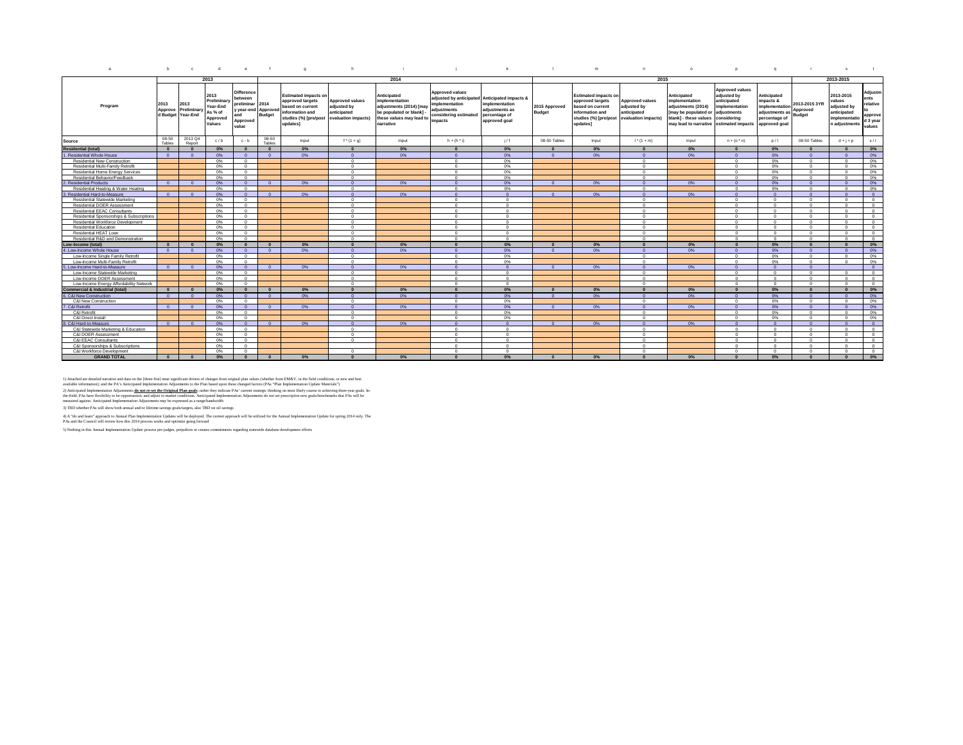| a                                                            | b               | $\mathbf{c}$                             | d.                                                               | $\mathbf{e}$                                                                                | $\mathbf{f}$          | $\alpha$                                                                                                                    | h                                                                           |                                                                                                                             |                                                                                             | $\mathbf{k}$                                                                                                        | $\blacksquare$                 | m                                                                                                                           | $\mathsf{n}$                                                                | $\circ$                                                                                                                                        | $\mathbf{D}$                                                                                         | $\alpha$                                                                                              | <b>I</b>                                   | s                                                                                   |                                                              |
|--------------------------------------------------------------|-----------------|------------------------------------------|------------------------------------------------------------------|---------------------------------------------------------------------------------------------|-----------------------|-----------------------------------------------------------------------------------------------------------------------------|-----------------------------------------------------------------------------|-----------------------------------------------------------------------------------------------------------------------------|---------------------------------------------------------------------------------------------|---------------------------------------------------------------------------------------------------------------------|--------------------------------|-----------------------------------------------------------------------------------------------------------------------------|-----------------------------------------------------------------------------|------------------------------------------------------------------------------------------------------------------------------------------------|------------------------------------------------------------------------------------------------------|-------------------------------------------------------------------------------------------------------|--------------------------------------------|-------------------------------------------------------------------------------------|--------------------------------------------------------------|
|                                                              |                 |                                          | 2013                                                             |                                                                                             |                       |                                                                                                                             |                                                                             | 2014                                                                                                                        |                                                                                             |                                                                                                                     |                                |                                                                                                                             | 2015                                                                        |                                                                                                                                                |                                                                                                      |                                                                                                       |                                            | 2013-2015                                                                           |                                                              |
| Program                                                      | 2013<br>Approve | 2013<br>Preliminary<br>d Budget Year-End | 2013<br>Preliminary<br>Year-End<br>As % of<br>Approved<br>Values | <b>Difference</b><br>between<br>preliminar<br>y year-end Approv<br>and<br>Approved<br>value | 2014<br><b>Budget</b> | <b>Estimated impacts on</b><br>approved targets<br>based on current<br>information and<br>studies (%) [pre/post<br>updates] | <b>Approved values</b><br>adiusted by<br>anticipated<br>evaluation impacts) | Anticipated<br>implementation<br>adjustments (2014) [may<br>be populated or blank]<br>these values may lead to<br>narrative | <b>Approved values</b><br>implementation<br>adiustments<br>considering estimated<br>impacts | adjusted by anticipated Anticipated impacts &<br>implementation<br>adiustments as<br>percentage of<br>approved goal | 2015 Approved<br><b>Budget</b> | <b>Estimated impacts on</b><br>approved targets<br>based on current<br>information and<br>studies (%) [pre/post<br>updates] | <b>Approved values</b><br>adjusted by<br>anticipated<br>evaluation impacts) | Anticipated<br>implementation<br>adiustments (2014)<br>[may be populated o<br>blank] - these values<br>may lead to narrative estimated impacts | <b>Approved values</b><br>adjusted by<br>anticipated<br>implementation<br>adjustments<br>considerina | Anticipated<br>impacts &<br><i>implementation</i><br>adjustments as<br>percentage of<br>approved goal | 2013-2015 3YR<br>Approved<br><b>Budget</b> | 2013-2015<br>values<br>adjusted by<br>anticipated<br>implementatio<br>n adjustments | Adjustm<br>ents<br>relative<br>approve<br>d 3 year<br>values |
| Source                                                       | 08-50<br>Tables | 2013 Q4<br>Report                        | c/b                                                              | $c - b$                                                                                     | 08-50<br>Tables       | Input                                                                                                                       | $f^{*}(1 + q)$                                                              | Input                                                                                                                       | $h + (h * i)$                                                                               | 1/f                                                                                                                 | 08-50 Tables                   | Input                                                                                                                       | $1*(1 + m)$                                                                 | Input                                                                                                                                          | $n + (o * n)$                                                                                        | D/1                                                                                                   | 08-50 Tables                               | $d + j + p$                                                                         | s/r                                                          |
| <b>Residential (total)</b>                                   | $\Omega$        | $\Omega$                                 | 0%                                                               | $\sqrt{2}$                                                                                  | $\mathbf{0}$          | 0%                                                                                                                          | $\mathbf{0}$                                                                | $0\%$                                                                                                                       | $\Omega$                                                                                    | 0%                                                                                                                  |                                | 0%                                                                                                                          | $\Omega$                                                                    | 0%                                                                                                                                             | $\Omega$                                                                                             | $0\%$                                                                                                 | $\sqrt{ }$                                 | $\overline{\mathbf{0}}$                                                             | $0\%$                                                        |
| 1. Residential Whole House                                   | $\sqrt{2}$      |                                          | 0%                                                               |                                                                                             | $\sqrt{2}$            | 0%                                                                                                                          | $\Omega$                                                                    | 0%                                                                                                                          | $\sqrt{2}$                                                                                  | 0%                                                                                                                  | $\sqrt{2}$                     | 0%                                                                                                                          | $\Omega$                                                                    | 0%                                                                                                                                             | $\Omega$                                                                                             | 0%                                                                                                    | $\sqrt{2}$                                 | $\Omega$                                                                            | 0%                                                           |
| Residential New Construction                                 |                 |                                          | 0%                                                               | $\Omega$                                                                                    |                       |                                                                                                                             | $\Omega$                                                                    |                                                                                                                             | $\sim$                                                                                      | 0%                                                                                                                  |                                |                                                                                                                             | $\sim$                                                                      |                                                                                                                                                | $\Omega$                                                                                             | 0%                                                                                                    | $\sqrt{2}$                                 | $\Omega$                                                                            | 0%                                                           |
| Residential Multi-Family Retrofit                            |                 |                                          | 0%                                                               | $\Omega$                                                                                    |                       |                                                                                                                             | $^{\circ}$                                                                  |                                                                                                                             | $\sqrt{2}$                                                                                  | 0%                                                                                                                  |                                |                                                                                                                             | $\Omega$                                                                    |                                                                                                                                                | $\Omega$                                                                                             | 0%                                                                                                    | $^{\circ}$                                 | $\Omega$                                                                            | $0\%$                                                        |
| Residential Home Energy Services                             |                 |                                          | 0%                                                               | $\sim$                                                                                      |                       |                                                                                                                             | $\Omega$                                                                    |                                                                                                                             | $\Omega$                                                                                    | 0%                                                                                                                  |                                |                                                                                                                             | $\Omega$                                                                    |                                                                                                                                                | $\Omega$                                                                                             | 0%                                                                                                    | $^{\circ}$                                 | $\Omega$                                                                            | 0%                                                           |
| Residential Behavior/Feedback                                |                 |                                          | 0%                                                               | $\sim$                                                                                      |                       |                                                                                                                             | $\Omega$                                                                    |                                                                                                                             | $\sim$                                                                                      | 0%                                                                                                                  |                                |                                                                                                                             | $\Omega$                                                                    |                                                                                                                                                | $\Omega$                                                                                             | 0%                                                                                                    | $\sim$                                     | $\Omega$                                                                            | $0\%$                                                        |
| 2. Residential Products                                      | $\Omega$        | $\Omega$                                 | 0%                                                               | $\Omega$                                                                                    | $\overline{0}$        | 0%                                                                                                                          | $\overline{0}$                                                              | 0%                                                                                                                          | $\Omega$                                                                                    | 0%                                                                                                                  | $\Omega$                       | 0%                                                                                                                          | $\Omega$                                                                    | 0%                                                                                                                                             | $\overline{0}$                                                                                       | 0%                                                                                                    | $\Omega$                                   | $\overline{0}$                                                                      | 0%                                                           |
| Residential Heating & Water Heating                          |                 |                                          | 0%                                                               | $\Omega$                                                                                    |                       |                                                                                                                             | $\Omega$                                                                    |                                                                                                                             | $\sqrt{2}$                                                                                  | 0%                                                                                                                  |                                |                                                                                                                             | $\Omega$                                                                    |                                                                                                                                                | $\Omega$                                                                                             | 0%                                                                                                    | $\Omega$                                   | $\Omega$                                                                            | 0%                                                           |
| 3. Residential Hard-to-Measure                               | $\Omega$        |                                          | 0%                                                               |                                                                                             | $\Omega$              | 0%                                                                                                                          | $\Omega$                                                                    | 0%                                                                                                                          | $\sqrt{2}$                                                                                  | $\Omega$                                                                                                            | $\Omega$                       | 0%                                                                                                                          | $\Omega$                                                                    | 0%                                                                                                                                             | $\Omega$                                                                                             | $\Omega$                                                                                              | $\Omega$                                   | $\Omega$                                                                            | $\Omega$                                                     |
| Residential Statewide Marketing                              |                 |                                          | 0%                                                               | $\Omega$                                                                                    |                       |                                                                                                                             | $\Omega$                                                                    |                                                                                                                             | $\sim$                                                                                      | $\Omega$                                                                                                            |                                |                                                                                                                             | $\Omega$                                                                    |                                                                                                                                                | $\Omega$                                                                                             | $\Omega$                                                                                              | $\Omega$                                   | $\Omega$                                                                            | $\Omega$                                                     |
| Residential DOER Assessment                                  |                 |                                          | 0%                                                               | $\sim$                                                                                      |                       |                                                                                                                             | $\Omega$                                                                    |                                                                                                                             | $\sim$                                                                                      | $\Omega$                                                                                                            |                                |                                                                                                                             | $\Omega$                                                                    |                                                                                                                                                | $\Omega$                                                                                             | $\Omega$                                                                                              | $\sim$                                     | $\Omega$                                                                            | $\Omega$                                                     |
| Residential EEAC Consultants                                 |                 |                                          | 0%                                                               | $\Omega$                                                                                    |                       |                                                                                                                             | $\Omega$                                                                    |                                                                                                                             | $\Omega$                                                                                    | $^{\circ}$                                                                                                          |                                |                                                                                                                             | $\overline{0}$                                                              |                                                                                                                                                | $\Omega$                                                                                             | $\Omega$                                                                                              | $\Omega$                                   | $\Omega$                                                                            | $\overline{0}$                                               |
| Residential Sponsorships & Subscriptions                     |                 |                                          | 0%                                                               | $\Omega$                                                                                    |                       |                                                                                                                             | $\overline{0}$                                                              |                                                                                                                             | $\Omega$                                                                                    | $^{\circ}$                                                                                                          |                                |                                                                                                                             | $^{\circ}$                                                                  |                                                                                                                                                | $\overline{0}$                                                                                       | $\overline{0}$                                                                                        | $\Omega$                                   | $\overline{0}$                                                                      | $\overline{0}$                                               |
| Residential Workforce Development                            |                 |                                          | $0\%$                                                            | $\Omega$                                                                                    |                       |                                                                                                                             | $\Omega$                                                                    |                                                                                                                             | $\Omega$                                                                                    | $^{\circ}$                                                                                                          |                                |                                                                                                                             | $\Omega$                                                                    |                                                                                                                                                | $\overline{0}$                                                                                       | $\Omega$                                                                                              | $\Omega$                                   | $\overline{0}$                                                                      | $\circ$                                                      |
| <b>Residential Education</b>                                 |                 |                                          | 0%                                                               | $\sim$                                                                                      |                       |                                                                                                                             | $\Omega$                                                                    |                                                                                                                             | $\sim$                                                                                      | $\Omega$                                                                                                            |                                |                                                                                                                             | $\Omega$                                                                    |                                                                                                                                                | $\Omega$                                                                                             | $\Omega$                                                                                              | $\sim$                                     | $\Omega$                                                                            | $\Omega$                                                     |
| Residential HEAT Loan                                        |                 |                                          | 0%                                                               | $\sim$                                                                                      |                       |                                                                                                                             | $\sim$                                                                      |                                                                                                                             | $\sim$                                                                                      | $^{\circ}$                                                                                                          |                                |                                                                                                                             | $\Omega$                                                                    |                                                                                                                                                | $\sim$                                                                                               | $\sim$                                                                                                | $\sim$                                     | $\sim$                                                                              | $\Omega$                                                     |
| Residential R&D and Demonstration                            |                 |                                          | 0%                                                               | $\Omega$                                                                                    |                       |                                                                                                                             | $\Omega$                                                                    |                                                                                                                             | $\sim$                                                                                      | $^{\circ}$                                                                                                          |                                |                                                                                                                             | $\Omega$                                                                    |                                                                                                                                                | $\Omega$                                                                                             | $\Omega$                                                                                              | $\Omega$                                   | $\Omega$                                                                            | $\circ$                                                      |
| Low-Income (total)                                           | $\Omega$        |                                          | 0%                                                               | $\Omega$                                                                                    | $\Omega$              | 0%                                                                                                                          | $\Omega$                                                                    | 0%                                                                                                                          |                                                                                             | 0%                                                                                                                  |                                | 0%                                                                                                                          | $\Omega$                                                                    | 0%                                                                                                                                             |                                                                                                      | $0\%$                                                                                                 |                                            | $\Omega$                                                                            | $0\%$                                                        |
| 4. Low-Income Whole House                                    | $\Omega$        |                                          | 0%                                                               |                                                                                             | $\Omega$              | $0\%$                                                                                                                       | $\Omega$                                                                    | 0%                                                                                                                          | $\sqrt{2}$                                                                                  | 0%                                                                                                                  | - 0                            | 0%                                                                                                                          | $\Omega$                                                                    | 0%                                                                                                                                             | $\Omega$                                                                                             | 0%                                                                                                    |                                            | $\Omega$                                                                            | 0%                                                           |
| Low-Income Single Family Retrofit                            |                 |                                          | 0%                                                               | $\Omega$                                                                                    |                       |                                                                                                                             | $\overline{0}$                                                              |                                                                                                                             | $\sim$                                                                                      | 0%                                                                                                                  |                                |                                                                                                                             | $\Omega$                                                                    |                                                                                                                                                | $\Omega$                                                                                             | 0%                                                                                                    | $\Omega$                                   | $\Omega$                                                                            | 0%                                                           |
| Low-Income Multi-Family Retrofit                             |                 |                                          | 0%                                                               | $\Omega$                                                                                    |                       |                                                                                                                             | $\Omega$                                                                    |                                                                                                                             | $\sim$                                                                                      | 0%                                                                                                                  |                                |                                                                                                                             | $\Omega$                                                                    |                                                                                                                                                | $\Omega$                                                                                             | 0%                                                                                                    | $\Omega$                                   | $\Omega$                                                                            | $0\%$                                                        |
| 5. Low-Income Hard-to-Measure                                | $\sim$ 0        |                                          | 0%                                                               | $\sqrt{2}$                                                                                  | $\sqrt{2}$            | 0%                                                                                                                          | $\sqrt{2}$                                                                  | 0%                                                                                                                          | $\sqrt{2}$                                                                                  | $\Omega$                                                                                                            | $\sqrt{2}$                     | 0%                                                                                                                          | $\sqrt{2}$                                                                  | 0%                                                                                                                                             | $\Omega$                                                                                             | $\sqrt{2}$                                                                                            | $\sqrt{2}$                                 |                                                                                     | $\Omega$                                                     |
|                                                              |                 |                                          | 0%                                                               | $\sqrt{2}$                                                                                  |                       |                                                                                                                             | $\Omega$                                                                    |                                                                                                                             | $\sim$                                                                                      | $\Omega$                                                                                                            |                                |                                                                                                                             | $\sqrt{2}$                                                                  |                                                                                                                                                | $\Omega$                                                                                             | $^{\circ}$                                                                                            | $^{\circ}$                                 | $\Omega$                                                                            | $\Omega$                                                     |
| Low-Income Statewide Marketing<br>Low-Income DOER Assessment |                 |                                          | $0\%$                                                            | $\sim$                                                                                      |                       |                                                                                                                             | $\sim$                                                                      |                                                                                                                             | $\sim$                                                                                      | $^{\circ}$                                                                                                          |                                |                                                                                                                             | $\Omega$                                                                    |                                                                                                                                                | $\Omega$                                                                                             | $\Omega$                                                                                              | $\Omega$                                   | $\Omega$                                                                            | $\overline{0}$                                               |
| Low-Income Energy Affordability Network                      |                 |                                          | 0%                                                               | $\overline{0}$                                                                              |                       |                                                                                                                             | $\overline{0}$                                                              |                                                                                                                             | $\Omega$                                                                                    | $\circ$                                                                                                             |                                |                                                                                                                             | $\Omega$                                                                    |                                                                                                                                                | $\Omega$                                                                                             | $\overline{0}$                                                                                        | $\overline{0}$                             | $\overline{0}$                                                                      | $\overline{0}$                                               |
| <b>Commercial &amp; Industrial (total)</b>                   | $\Omega$        |                                          | $0\%$                                                            | $\Omega$                                                                                    | $\Omega$              | 0%                                                                                                                          | $\Omega$                                                                    | $0\%$                                                                                                                       | $\Omega$                                                                                    | 0%                                                                                                                  | $\sqrt{2}$                     | 0%                                                                                                                          | $\Omega$                                                                    | 0%                                                                                                                                             | $\sqrt{2}$                                                                                           | $0\%$                                                                                                 | $\Omega$                                   | $\mathbf{0}$                                                                        | 0%                                                           |
|                                                              |                 |                                          |                                                                  |                                                                                             |                       |                                                                                                                             |                                                                             | 0%                                                                                                                          |                                                                                             |                                                                                                                     |                                |                                                                                                                             |                                                                             | 0%                                                                                                                                             |                                                                                                      |                                                                                                       |                                            |                                                                                     |                                                              |
| 6. C&I New Construction                                      | $\Omega$        | $\Omega$                                 | $0\%$                                                            | $\Omega$                                                                                    | $\Omega$              | 0%                                                                                                                          | $\Omega$                                                                    |                                                                                                                             | $\Omega$<br>$\sim$                                                                          | 0%                                                                                                                  | $\Omega$                       | 0%                                                                                                                          | $\Omega$                                                                    |                                                                                                                                                | $\Omega$                                                                                             | $0\%$                                                                                                 | $\Omega$                                   | $\Omega$                                                                            | $0\%$                                                        |
| C&I New Construction                                         |                 |                                          | 0%                                                               | $^{\circ}$                                                                                  |                       |                                                                                                                             | $\Omega$                                                                    |                                                                                                                             |                                                                                             | 0%                                                                                                                  |                                |                                                                                                                             | $\Omega$                                                                    |                                                                                                                                                | $\Omega$                                                                                             | 0%                                                                                                    | $\Omega$                                   | $\Omega$                                                                            | 0%                                                           |
| 7. C&I Retrofit                                              | $\sim$ 0        | $\Omega$                                 | 0%                                                               | $\sqrt{2}$                                                                                  | $\Omega$              | 0%                                                                                                                          | $\Omega$                                                                    | 0%                                                                                                                          | $\Omega$                                                                                    | 0%                                                                                                                  | $\Omega$                       | 0%                                                                                                                          | $\Omega$                                                                    | 0%                                                                                                                                             | $\Omega$                                                                                             | 0%                                                                                                    | $\Omega$                                   | $\Omega$                                                                            | 0%                                                           |
| C&I Retrofit                                                 |                 |                                          | $0\%$<br>0%                                                      | $\Omega$<br>$\Omega$                                                                        |                       |                                                                                                                             | $\Omega$                                                                    |                                                                                                                             | $\sim$<br>$\sim$                                                                            | 0%                                                                                                                  |                                |                                                                                                                             | $\Omega$<br>$\Omega$                                                        |                                                                                                                                                | $\Omega$                                                                                             | 0%<br>0%                                                                                              | $^{\circ}$<br>$\sim$                       | $\Omega$                                                                            | 0%                                                           |
| C&I Direct Install                                           |                 | $\sqrt{2}$                               |                                                                  | $\Omega$                                                                                    |                       |                                                                                                                             | $\Omega$<br>$\sqrt{2}$                                                      |                                                                                                                             | $\sqrt{2}$                                                                                  | 0%                                                                                                                  | $\sqrt{2}$                     |                                                                                                                             | $\sqrt{2}$                                                                  |                                                                                                                                                | $\Omega$<br>$\sqrt{2}$                                                                               | $\sqrt{2}$                                                                                            | $\sqrt{2}$                                 | $\Omega$<br>$\sqrt{2}$                                                              | 0%                                                           |
| 8. C&I Hard-to-Measure                                       | $\Omega$        |                                          | 0%<br>0%                                                         |                                                                                             | $\Omega$              | 0%                                                                                                                          |                                                                             | 0%                                                                                                                          | $\Omega$                                                                                    | $\Omega$                                                                                                            |                                | 0%                                                                                                                          | $\Omega$                                                                    | 0%                                                                                                                                             | $\Omega$                                                                                             |                                                                                                       | $\Omega$                                   |                                                                                     | $\overline{0}$<br>$\overline{0}$                             |
| C&I Statewide Marketing & Education                          |                 |                                          |                                                                  | $\overline{0}$                                                                              |                       |                                                                                                                             | $\overline{0}$                                                              |                                                                                                                             |                                                                                             | $^{\circ}$                                                                                                          |                                |                                                                                                                             |                                                                             |                                                                                                                                                |                                                                                                      | $\overline{0}$                                                                                        |                                            | $\overline{0}$                                                                      |                                                              |
| C&I DOER Assessment                                          |                 |                                          | 0%                                                               | $\Omega$                                                                                    |                       |                                                                                                                             | $\Omega$                                                                    |                                                                                                                             | $\Omega$                                                                                    | $\Omega$                                                                                                            |                                |                                                                                                                             | $\Omega$                                                                    |                                                                                                                                                | $\Omega$                                                                                             | $\Omega$                                                                                              | $\Omega$                                   | $\Omega$                                                                            | $\Omega$                                                     |
| C&I EEAC Consultants                                         |                 |                                          | 0%                                                               |                                                                                             |                       |                                                                                                                             | $\Omega$                                                                    |                                                                                                                             | $\Omega$<br>$\sim$                                                                          | $\Omega$                                                                                                            |                                |                                                                                                                             | $\Omega$                                                                    |                                                                                                                                                | $\Omega$                                                                                             | $\Omega$                                                                                              | $\Omega$<br>$\sim$                         | $\Omega$                                                                            | $\Omega$                                                     |
| C&I Sponsorships & Subscriptions                             |                 |                                          | 0%                                                               | $\Omega$                                                                                    |                       |                                                                                                                             |                                                                             |                                                                                                                             |                                                                                             | $\Omega$                                                                                                            |                                |                                                                                                                             | $\Omega$                                                                    |                                                                                                                                                | $\sim$                                                                                               | $\Omega$                                                                                              |                                            | $\sim$                                                                              | $\Omega$                                                     |
| C&I Workforce Development                                    |                 |                                          | 0%                                                               | $\Omega$                                                                                    |                       |                                                                                                                             | $\Omega$                                                                    |                                                                                                                             | $\Omega$                                                                                    | $\Omega$                                                                                                            |                                |                                                                                                                             | $\Omega$                                                                    |                                                                                                                                                | $\Omega$                                                                                             | $\Omega$                                                                                              | $\Omega$                                   | $\Omega$                                                                            | $\Omega$                                                     |
| <b>GRAND TOTAL</b>                                           | $\bullet$       |                                          | 0%                                                               | $\Omega$                                                                                    | $\Omega$              | 0%                                                                                                                          | $\Omega$                                                                    | 0%                                                                                                                          | $\Omega$                                                                                    | 0%                                                                                                                  |                                | 0%                                                                                                                          | $\Omega$                                                                    | 0%                                                                                                                                             |                                                                                                      | 0%                                                                                                    | $\Omega$                                   | $\Omega$                                                                            | 0%                                                           |

1) Attached ser destido marrior and data on the [three Steps] moves the Phanges from original play values (whether from MANC). The field conditions, or easy and best and the product in the field conditions, or the field co

4) A "do and learn" approach to Annual Plan Implementation Updates will be deployed. The current approach will be utilized for the Annual Implementation Update for spring 2014 only. The<br>PAs and the Council will review how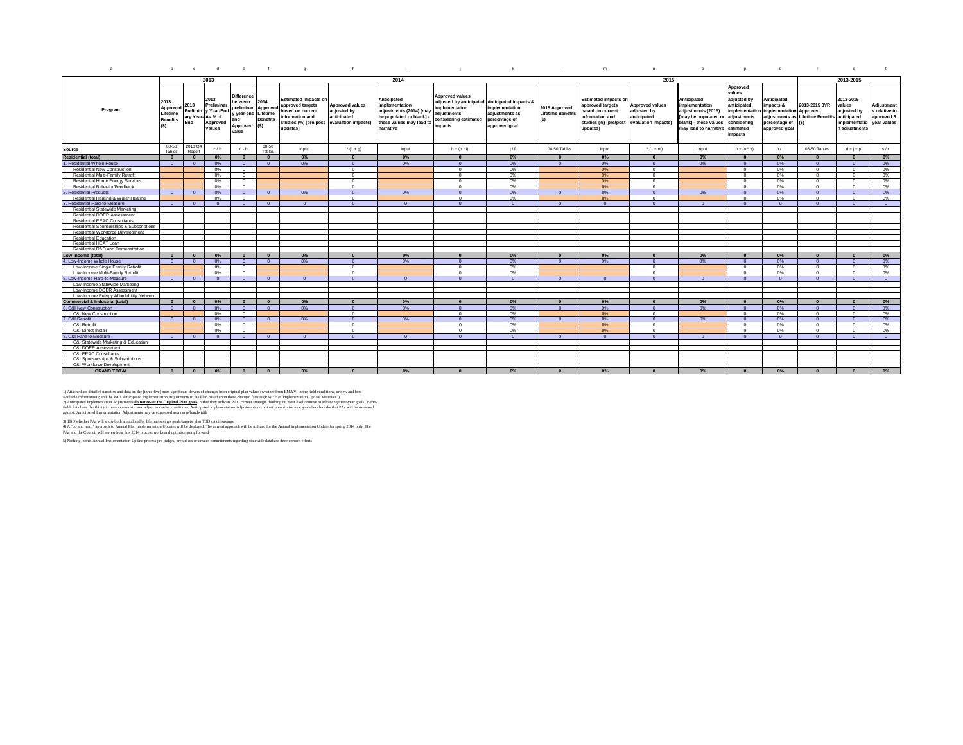| 2013<br>2014<br>2015<br>2013-2015<br>Approved<br>values<br><b>Difference</b><br><b>Approved values</b><br>2013-2015<br>2013<br><b>Estimated impacts on</b><br>Anticipated<br><b>Estimated impacts or</b><br>Anticipated<br>adjusted by<br>Anticipated<br>2013<br>2014<br>adjusted by anticipated Anticipated impacts &<br><b>between</b><br>Prelimina<br>anticipated<br>2013-2015 3YR<br>implementation<br>implementation<br>impacts &<br>values<br>Adjustment<br>2013<br>approved targets<br><b>Approved values</b><br>approved targets<br><b>Approved values</b><br>implementation<br>implementation<br>2015 Approved<br>preliminar<br>Approved<br>Approved<br>Program<br>Prelimin<br>adjustments (2014) [may<br>adjusted by<br>adjustments (2015)<br>implementation<br>adjusted by<br>v Year-En<br>adjusted by<br>implementation Approved<br>s relative to<br>ased on current<br>ased on current<br><b>Lifetime Benefits</b><br>Lifetime<br>Lifetime<br>adjustments<br>adjustments as<br>y year-end<br>As % of<br>anticipated<br>be populated or blank] -<br>anticipated<br>adjustments as Lifetime Benefits anticipated<br>information and<br>information and<br>[may be populated or<br>adjustments<br>approved 3<br>ary Year<br><b>Benefits</b><br>considering estimated<br><b>Benefits</b><br>percentage of<br>and<br>evaluation impacts)<br>blank] - these values<br>studies (%) [pre/post<br>evaluation impacts)<br>these values may lead to<br>studies (%) [pre/post<br>considering<br>End<br>percentage of<br>(S)<br>year values<br>Approved<br>implementatio<br>(S)<br>Approved<br>(S)<br>impacts<br>approved goal<br>Values<br>narrative<br>updates]<br>n adjustments<br>updates]<br>may lead to narrative<br>approved goal<br>estimated<br>value<br>impacts<br>08-50<br>2013 Q4<br>08-50<br>1/1<br>c/b<br>Input<br>$f^{*}(1 + q)$<br>Input<br>$h + (h * i)$<br>08-50 Tables<br>$1^* (1 + m)$<br>$n + (o^*n)$<br>D/1<br>08-50 Tables<br>Input<br>Input<br>$d + j + p$<br>s/r<br>$c - b$<br>Tables<br>Renort<br>Tables<br>0%<br>$0\%$<br>$0\%$<br>$0\%$<br>$0\%$<br>0%<br>$0\%$<br>0%<br>$\Omega$<br>$\sqrt{2}$<br>$\Omega$<br>$\sqrt{ }$<br>$\sqrt{2}$<br>$\Omega$<br>Residential Whole House<br>0%<br>0%<br>0%<br>0%<br>0%<br>0%<br>$\Omega$<br>0%<br>$\Omega$<br>$\sqrt{2}$<br>0%<br>$\Omega$<br>$\overline{0}$<br>$\sqrt{2}$<br>$\Omega$<br>$\Omega$<br>$\Omega$<br>$\overline{0}$<br>$\sqrt{2}$<br>0%<br>0%<br>$\Omega$<br>$\Omega$<br>0%<br>$\sqrt{2}$<br>0%<br>0%<br><b>Residential New Construction</b><br>$\sim$<br>$\Omega$<br>$\sim$<br>$\sim$<br>0%<br>0%<br>0%<br>Residential Multi-Family Retrofit<br>0%<br>$^{\circ}$<br>$\sqrt{2}$<br>$\Omega$<br>$\Omega$<br>$\Omega$<br>0%<br>$\sqrt{2}$<br>$^{\circ}$<br>0%<br>0%<br>0%<br><b>Residential Home Energy Services</b><br>$^{\circ}$<br>$^{\circ}$<br>$\Omega$<br>$\sqrt{2}$<br>0%<br>0%<br>$\Omega$<br>$\sqrt{2}$<br>$\sqrt{2}$<br>Residential Behavior/Feedback<br>0%<br>$0\%$<br>$0\%$<br>0%<br>$^{\circ}$<br>$\sqrt{2}$<br>$\Omega$<br>0%<br>$\Omega$<br>$\Omega$<br>$\Omega$<br>$\Omega$<br>$0\%$<br><b>Residential Products</b><br>$0\%$<br>$0\%$<br>0%<br>$0\%$<br>0%<br>$\Omega$<br>0%<br>$\overline{0}$<br>$\overline{0}$<br>$\Omega$<br>$\sqrt{2}$<br>0%<br>$\sqrt{2}$<br>$\Omega$<br>$\Omega$<br>$\Omega$<br>0%<br>Residential Heating & Water Heating<br>$\Omega$<br>0%<br>$\Omega$<br>0%<br>0%<br>0%<br>$^{\circ}$<br>$\Omega$<br>$^{\circ}$<br>$\Omega$<br>$^{\circ}$<br>Residential Hard-to-Measure<br>$\overline{0}$<br>$\Omega$<br>$\sqrt{2}$<br>$\Omega$<br>$\Omega$<br>$\Omega$<br>$\Omega$<br>$\Omega$<br>$\overline{0}$<br>$\sqrt{2}$<br>$\Omega$<br>$\Omega$<br>$\Omega$<br>$\Omega$<br>$\Omega$<br>$\sqrt{2}$<br>$\Omega$<br>Residential Statewide Marketing<br><b>Residential DOER Assessment</b><br><b>Residential EEAC Consultants</b><br>Residential Sponsorships & Subscriptions<br>Residential Workforce Development<br><b>Residential Education</b><br>Residential HEAT Loan<br>Residential R&D and Demonstration<br>.ow-Income (total)<br>$0\%$<br>$0\%$<br>$0\%$<br>$0\%$<br>$\overline{\mathbf{0}}$<br>0%<br>$\mathbf{0}$<br>$\mathbf{0}$<br>$0\%$<br>$\sqrt{2}$<br>$\Omega$<br>$0\%$<br>$0\%$<br>$\Omega$<br>$\Omega$<br>$\Omega$<br>$\Omega$<br>. Low-Income Whole House<br>$0\%$<br>0%<br>0%<br>0%<br>0%<br>0%<br>0%<br>$\overline{0}$<br>$\Omega$<br>0%<br>$\overline{0}$<br>$\overline{0}$<br>$\Omega$<br>$\Omega$<br>n<br>0%<br>0%<br>Low-Income Single Family Retrofit<br>0%<br>$\Omega$<br>0%<br>0%<br>0%<br>Low-Income Multi-Family Retrofit<br>0%<br>$^{\circ}$<br>$\Omega$<br>$\circ$<br>$\Omega$<br>$\circ$<br>$^{\circ}$<br>0%<br>$\Omega$<br>Low-Income Hard-to-Measure<br>$\Omega$<br>$\Omega$<br>$\sqrt{2}$<br>$\Omega$<br>$\sqrt{2}$<br>$\Omega$<br>$\Omega$<br>$\Omega$<br>$\Omega$<br>$\sqrt{2}$<br>$\sqrt{2}$<br>$\sqrt{2}$<br>$\sqrt{2}$<br>$\sqrt{2}$<br>$\sim$<br>$\Omega$<br>$\sqrt{2}$<br>Low-Income Statewide Marketing<br>Low-Income DOER Assessment<br>Low-Income Energy Affordability Network<br>$0\%$<br>$0\%$<br>$0\%$<br>$0\%$<br>$0\%$<br>$0\%$<br>$0\%$<br>$\mathbf{0}$<br>0%<br>$\mathbf{0}$<br>$\mathbf{0}$<br>$\Omega$<br>$\bf{0}$<br>$\Omega$<br>$\sqrt{2}$<br>$\Omega$<br>$\Omega$<br>$\Omega$<br>C&I New Construction<br>$0\%$<br>$0\%$<br>$0\%$<br>0%<br>0%<br>$0\%$<br>0%<br>$\Omega$<br>0%<br>$\overline{0}$<br>$\Omega$<br>$\Omega$<br>$\overline{0}$<br>$\overline{0}$<br>$\Omega$<br>$\Omega$<br>$\Omega$<br>$\Omega$<br>- 0<br>C&I New Construction<br>$0\%$<br>0%<br>0%<br>0%<br>0%<br>$\circ$<br>$\overline{0}$<br>$^{\circ}$<br>$^{\circ}$<br>$^{\circ}$<br>$^{\circ}$<br>$^{\circ}$<br>0%<br>0%<br>C&I Retrofit<br>0%<br>0%<br>0%<br>$\Omega$<br>$\Omega$<br>0%<br>0%<br>$\Omega$<br>$\Omega$<br>0%<br>$\Omega$<br>$\sqrt{2}$<br>$\sqrt{2}$<br>$\sqrt{2}$<br>$\sqrt{2}$<br>- 0<br>$\circ$<br>0%<br>0%<br>0%<br>0%<br>C&I Retrofit<br>0%<br>$^{\circ}$<br>$\sqrt{2}$<br>$\Omega$<br>$\circ$<br>$\Omega$<br>$\Omega$<br>$\sim$<br>0%<br>0%<br>0%<br>0%<br>C&I Direct Install<br>0%<br>$\sim$<br>$\Omega$<br>$\Omega$<br>$\Omega$<br>$\sim$<br>$\sim$<br>C&I Hard-to-Measure<br>$\overline{0}$<br>$\overline{0}$<br>$\overline{0}$<br>$\overline{0}$<br>$\overline{0}$<br>$\Omega$<br>$\overline{0}$<br>$\overline{0}$<br>$\sqrt{2}$<br>$\overline{0}$<br>$\overline{0}$<br>$\sqrt{2}$<br>$\Omega$<br>$\overline{0}$<br>$\Omega$<br>$\sqrt{2}$<br>$\Omega$<br>$\Omega$<br>$\Omega$<br>C&I Statewide Marketing & Education<br>C&I DOER Assessment<br>C&I EEAC Consultants<br>C&I Sponsorships & Subscriptions<br>C&I Workforce Development<br><b>GRAND TOTAL</b><br>0%<br>0%<br>0%<br>0%<br>0%<br>0%<br>0%<br>0% | a                                          | b | $\mathbf{C}$ | d | $\mathbf{e}$ | f | $\mathbf{q}$ |  | k | m | $\mathbf{r}$ | $\circ$ | P. | $\mathbf{q}$ | $\mathbf{r}$ | s | $\mathbf{t}$ |
|-----------------------------------------------------------------------------------------------------------------------------------------------------------------------------------------------------------------------------------------------------------------------------------------------------------------------------------------------------------------------------------------------------------------------------------------------------------------------------------------------------------------------------------------------------------------------------------------------------------------------------------------------------------------------------------------------------------------------------------------------------------------------------------------------------------------------------------------------------------------------------------------------------------------------------------------------------------------------------------------------------------------------------------------------------------------------------------------------------------------------------------------------------------------------------------------------------------------------------------------------------------------------------------------------------------------------------------------------------------------------------------------------------------------------------------------------------------------------------------------------------------------------------------------------------------------------------------------------------------------------------------------------------------------------------------------------------------------------------------------------------------------------------------------------------------------------------------------------------------------------------------------------------------------------------------------------------------------------------------------------------------------------------------------------------------------------------------------------------------------------------------------------------------------------------------------------------------------------------------------------------------------------------------------------------------------------------------------------------------------------------------------------------------------------------------------------------------------------------------------------------------------------------------------------------------------------------------------------------------------------------------------------------------------------------------------------------------------------------------------------------------------------------------------------------------------------------------------------------------------------------------------------------------------------------------------------------------------------------------------------------------------------------------------------------------------------------------------------------------------------------------------------------------------------------------------------------------------------------------------------------------------------------------------------------------------------------------------------------------------------------------------------------------------------------------------------------------------------------------------------------------------------------------------------------------------------------------------------------------------------------------------------------------------------------------------------------------------------------------------------------------------------------------------------------------------------------------------------------------------------------------------------------------------------------------------------------------------------------------------------------------------------------------------------------------------------------------------------------------------------------------------------------------------------------------------------------------------------------------------------------------------------------------------------------------------------------------------------------------------------------------------------------------------------------------------------------------------------------------------------------------------------------------------------------------------------------------------------------------------------------------------------------------------------------------------------------------------------------------------------------------------------------------------------------------------------------------------------------------------------------------------------------------------------------------------------------------------------------------------------------------------------------------------------------------------------------------------------------------------------------------------------------------------------------------------------------------------------------------------------------------------------------------------------------------------------------------------------------------------------------------------------------------------------------------------------------------------------------------------------------------------------------------------------------------------------------------------------------------------------------------------------------------------------------------------------------------------------------------------------------------------------------------------------------------------------------------------------------------------------------------------------------------------------------------------------------------------------------------------------------------------------------------------------------------------------------------------------------------------------------------------------------------------------------------------------------------------------------------------------------------------------------------------------------------------------------------------------------------------------------------------------------------------------------------------------------------------------------------------------------------------------------------------------------------------------------------------------------------------------------------------------------------------------------|--------------------------------------------|---|--------------|---|--------------|---|--------------|--|---|---|--------------|---------|----|--------------|--------------|---|--------------|
|                                                                                                                                                                                                                                                                                                                                                                                                                                                                                                                                                                                                                                                                                                                                                                                                                                                                                                                                                                                                                                                                                                                                                                                                                                                                                                                                                                                                                                                                                                                                                                                                                                                                                                                                                                                                                                                                                                                                                                                                                                                                                                                                                                                                                                                                                                                                                                                                                                                                                                                                                                                                                                                                                                                                                                                                                                                                                                                                                                                                                                                                                                                                                                                                                                                                                                                                                                                                                                                                                                                                                                                                                                                                                                                                                                                                                                                                                                                                                                                                                                                                                                                                                                                                                                                                                                                                                                                                                                                                                                                                                                                                                                                                                                                                                                                                                                                                                                                                                                                                                                                                                                                                                                                                                                                                                                                                                                                                                                                                                                                                                                                                                                                                                                                                                                                                                                                                                                                                                                                                                                                                                                                                                                                                                                                                                                                                                                                                                                                                                                                                                                                                                                                                             |                                            |   |              |   |              |   |              |  |   |   |              |         |    |              |              |   |              |
|                                                                                                                                                                                                                                                                                                                                                                                                                                                                                                                                                                                                                                                                                                                                                                                                                                                                                                                                                                                                                                                                                                                                                                                                                                                                                                                                                                                                                                                                                                                                                                                                                                                                                                                                                                                                                                                                                                                                                                                                                                                                                                                                                                                                                                                                                                                                                                                                                                                                                                                                                                                                                                                                                                                                                                                                                                                                                                                                                                                                                                                                                                                                                                                                                                                                                                                                                                                                                                                                                                                                                                                                                                                                                                                                                                                                                                                                                                                                                                                                                                                                                                                                                                                                                                                                                                                                                                                                                                                                                                                                                                                                                                                                                                                                                                                                                                                                                                                                                                                                                                                                                                                                                                                                                                                                                                                                                                                                                                                                                                                                                                                                                                                                                                                                                                                                                                                                                                                                                                                                                                                                                                                                                                                                                                                                                                                                                                                                                                                                                                                                                                                                                                                                             |                                            |   |              |   |              |   |              |  |   |   |              |         |    |              |              |   |              |
|                                                                                                                                                                                                                                                                                                                                                                                                                                                                                                                                                                                                                                                                                                                                                                                                                                                                                                                                                                                                                                                                                                                                                                                                                                                                                                                                                                                                                                                                                                                                                                                                                                                                                                                                                                                                                                                                                                                                                                                                                                                                                                                                                                                                                                                                                                                                                                                                                                                                                                                                                                                                                                                                                                                                                                                                                                                                                                                                                                                                                                                                                                                                                                                                                                                                                                                                                                                                                                                                                                                                                                                                                                                                                                                                                                                                                                                                                                                                                                                                                                                                                                                                                                                                                                                                                                                                                                                                                                                                                                                                                                                                                                                                                                                                                                                                                                                                                                                                                                                                                                                                                                                                                                                                                                                                                                                                                                                                                                                                                                                                                                                                                                                                                                                                                                                                                                                                                                                                                                                                                                                                                                                                                                                                                                                                                                                                                                                                                                                                                                                                                                                                                                                                             | Source                                     |   |              |   |              |   |              |  |   |   |              |         |    |              |              |   |              |
|                                                                                                                                                                                                                                                                                                                                                                                                                                                                                                                                                                                                                                                                                                                                                                                                                                                                                                                                                                                                                                                                                                                                                                                                                                                                                                                                                                                                                                                                                                                                                                                                                                                                                                                                                                                                                                                                                                                                                                                                                                                                                                                                                                                                                                                                                                                                                                                                                                                                                                                                                                                                                                                                                                                                                                                                                                                                                                                                                                                                                                                                                                                                                                                                                                                                                                                                                                                                                                                                                                                                                                                                                                                                                                                                                                                                                                                                                                                                                                                                                                                                                                                                                                                                                                                                                                                                                                                                                                                                                                                                                                                                                                                                                                                                                                                                                                                                                                                                                                                                                                                                                                                                                                                                                                                                                                                                                                                                                                                                                                                                                                                                                                                                                                                                                                                                                                                                                                                                                                                                                                                                                                                                                                                                                                                                                                                                                                                                                                                                                                                                                                                                                                                                             | <b>Residential (total)</b>                 |   |              |   |              |   |              |  |   |   |              |         |    |              |              |   |              |
|                                                                                                                                                                                                                                                                                                                                                                                                                                                                                                                                                                                                                                                                                                                                                                                                                                                                                                                                                                                                                                                                                                                                                                                                                                                                                                                                                                                                                                                                                                                                                                                                                                                                                                                                                                                                                                                                                                                                                                                                                                                                                                                                                                                                                                                                                                                                                                                                                                                                                                                                                                                                                                                                                                                                                                                                                                                                                                                                                                                                                                                                                                                                                                                                                                                                                                                                                                                                                                                                                                                                                                                                                                                                                                                                                                                                                                                                                                                                                                                                                                                                                                                                                                                                                                                                                                                                                                                                                                                                                                                                                                                                                                                                                                                                                                                                                                                                                                                                                                                                                                                                                                                                                                                                                                                                                                                                                                                                                                                                                                                                                                                                                                                                                                                                                                                                                                                                                                                                                                                                                                                                                                                                                                                                                                                                                                                                                                                                                                                                                                                                                                                                                                                                             |                                            |   |              |   |              |   |              |  |   |   |              |         |    |              |              |   |              |
|                                                                                                                                                                                                                                                                                                                                                                                                                                                                                                                                                                                                                                                                                                                                                                                                                                                                                                                                                                                                                                                                                                                                                                                                                                                                                                                                                                                                                                                                                                                                                                                                                                                                                                                                                                                                                                                                                                                                                                                                                                                                                                                                                                                                                                                                                                                                                                                                                                                                                                                                                                                                                                                                                                                                                                                                                                                                                                                                                                                                                                                                                                                                                                                                                                                                                                                                                                                                                                                                                                                                                                                                                                                                                                                                                                                                                                                                                                                                                                                                                                                                                                                                                                                                                                                                                                                                                                                                                                                                                                                                                                                                                                                                                                                                                                                                                                                                                                                                                                                                                                                                                                                                                                                                                                                                                                                                                                                                                                                                                                                                                                                                                                                                                                                                                                                                                                                                                                                                                                                                                                                                                                                                                                                                                                                                                                                                                                                                                                                                                                                                                                                                                                                                             |                                            |   |              |   |              |   |              |  |   |   |              |         |    |              |              |   |              |
|                                                                                                                                                                                                                                                                                                                                                                                                                                                                                                                                                                                                                                                                                                                                                                                                                                                                                                                                                                                                                                                                                                                                                                                                                                                                                                                                                                                                                                                                                                                                                                                                                                                                                                                                                                                                                                                                                                                                                                                                                                                                                                                                                                                                                                                                                                                                                                                                                                                                                                                                                                                                                                                                                                                                                                                                                                                                                                                                                                                                                                                                                                                                                                                                                                                                                                                                                                                                                                                                                                                                                                                                                                                                                                                                                                                                                                                                                                                                                                                                                                                                                                                                                                                                                                                                                                                                                                                                                                                                                                                                                                                                                                                                                                                                                                                                                                                                                                                                                                                                                                                                                                                                                                                                                                                                                                                                                                                                                                                                                                                                                                                                                                                                                                                                                                                                                                                                                                                                                                                                                                                                                                                                                                                                                                                                                                                                                                                                                                                                                                                                                                                                                                                                             |                                            |   |              |   |              |   |              |  |   |   |              |         |    |              |              |   |              |
|                                                                                                                                                                                                                                                                                                                                                                                                                                                                                                                                                                                                                                                                                                                                                                                                                                                                                                                                                                                                                                                                                                                                                                                                                                                                                                                                                                                                                                                                                                                                                                                                                                                                                                                                                                                                                                                                                                                                                                                                                                                                                                                                                                                                                                                                                                                                                                                                                                                                                                                                                                                                                                                                                                                                                                                                                                                                                                                                                                                                                                                                                                                                                                                                                                                                                                                                                                                                                                                                                                                                                                                                                                                                                                                                                                                                                                                                                                                                                                                                                                                                                                                                                                                                                                                                                                                                                                                                                                                                                                                                                                                                                                                                                                                                                                                                                                                                                                                                                                                                                                                                                                                                                                                                                                                                                                                                                                                                                                                                                                                                                                                                                                                                                                                                                                                                                                                                                                                                                                                                                                                                                                                                                                                                                                                                                                                                                                                                                                                                                                                                                                                                                                                                             |                                            |   |              |   |              |   |              |  |   |   |              |         |    |              |              |   |              |
|                                                                                                                                                                                                                                                                                                                                                                                                                                                                                                                                                                                                                                                                                                                                                                                                                                                                                                                                                                                                                                                                                                                                                                                                                                                                                                                                                                                                                                                                                                                                                                                                                                                                                                                                                                                                                                                                                                                                                                                                                                                                                                                                                                                                                                                                                                                                                                                                                                                                                                                                                                                                                                                                                                                                                                                                                                                                                                                                                                                                                                                                                                                                                                                                                                                                                                                                                                                                                                                                                                                                                                                                                                                                                                                                                                                                                                                                                                                                                                                                                                                                                                                                                                                                                                                                                                                                                                                                                                                                                                                                                                                                                                                                                                                                                                                                                                                                                                                                                                                                                                                                                                                                                                                                                                                                                                                                                                                                                                                                                                                                                                                                                                                                                                                                                                                                                                                                                                                                                                                                                                                                                                                                                                                                                                                                                                                                                                                                                                                                                                                                                                                                                                                                             |                                            |   |              |   |              |   |              |  |   |   |              |         |    |              |              |   |              |
|                                                                                                                                                                                                                                                                                                                                                                                                                                                                                                                                                                                                                                                                                                                                                                                                                                                                                                                                                                                                                                                                                                                                                                                                                                                                                                                                                                                                                                                                                                                                                                                                                                                                                                                                                                                                                                                                                                                                                                                                                                                                                                                                                                                                                                                                                                                                                                                                                                                                                                                                                                                                                                                                                                                                                                                                                                                                                                                                                                                                                                                                                                                                                                                                                                                                                                                                                                                                                                                                                                                                                                                                                                                                                                                                                                                                                                                                                                                                                                                                                                                                                                                                                                                                                                                                                                                                                                                                                                                                                                                                                                                                                                                                                                                                                                                                                                                                                                                                                                                                                                                                                                                                                                                                                                                                                                                                                                                                                                                                                                                                                                                                                                                                                                                                                                                                                                                                                                                                                                                                                                                                                                                                                                                                                                                                                                                                                                                                                                                                                                                                                                                                                                                                             |                                            |   |              |   |              |   |              |  |   |   |              |         |    |              |              |   |              |
|                                                                                                                                                                                                                                                                                                                                                                                                                                                                                                                                                                                                                                                                                                                                                                                                                                                                                                                                                                                                                                                                                                                                                                                                                                                                                                                                                                                                                                                                                                                                                                                                                                                                                                                                                                                                                                                                                                                                                                                                                                                                                                                                                                                                                                                                                                                                                                                                                                                                                                                                                                                                                                                                                                                                                                                                                                                                                                                                                                                                                                                                                                                                                                                                                                                                                                                                                                                                                                                                                                                                                                                                                                                                                                                                                                                                                                                                                                                                                                                                                                                                                                                                                                                                                                                                                                                                                                                                                                                                                                                                                                                                                                                                                                                                                                                                                                                                                                                                                                                                                                                                                                                                                                                                                                                                                                                                                                                                                                                                                                                                                                                                                                                                                                                                                                                                                                                                                                                                                                                                                                                                                                                                                                                                                                                                                                                                                                                                                                                                                                                                                                                                                                                                             |                                            |   |              |   |              |   |              |  |   |   |              |         |    |              |              |   |              |
|                                                                                                                                                                                                                                                                                                                                                                                                                                                                                                                                                                                                                                                                                                                                                                                                                                                                                                                                                                                                                                                                                                                                                                                                                                                                                                                                                                                                                                                                                                                                                                                                                                                                                                                                                                                                                                                                                                                                                                                                                                                                                                                                                                                                                                                                                                                                                                                                                                                                                                                                                                                                                                                                                                                                                                                                                                                                                                                                                                                                                                                                                                                                                                                                                                                                                                                                                                                                                                                                                                                                                                                                                                                                                                                                                                                                                                                                                                                                                                                                                                                                                                                                                                                                                                                                                                                                                                                                                                                                                                                                                                                                                                                                                                                                                                                                                                                                                                                                                                                                                                                                                                                                                                                                                                                                                                                                                                                                                                                                                                                                                                                                                                                                                                                                                                                                                                                                                                                                                                                                                                                                                                                                                                                                                                                                                                                                                                                                                                                                                                                                                                                                                                                                             |                                            |   |              |   |              |   |              |  |   |   |              |         |    |              |              |   |              |
|                                                                                                                                                                                                                                                                                                                                                                                                                                                                                                                                                                                                                                                                                                                                                                                                                                                                                                                                                                                                                                                                                                                                                                                                                                                                                                                                                                                                                                                                                                                                                                                                                                                                                                                                                                                                                                                                                                                                                                                                                                                                                                                                                                                                                                                                                                                                                                                                                                                                                                                                                                                                                                                                                                                                                                                                                                                                                                                                                                                                                                                                                                                                                                                                                                                                                                                                                                                                                                                                                                                                                                                                                                                                                                                                                                                                                                                                                                                                                                                                                                                                                                                                                                                                                                                                                                                                                                                                                                                                                                                                                                                                                                                                                                                                                                                                                                                                                                                                                                                                                                                                                                                                                                                                                                                                                                                                                                                                                                                                                                                                                                                                                                                                                                                                                                                                                                                                                                                                                                                                                                                                                                                                                                                                                                                                                                                                                                                                                                                                                                                                                                                                                                                                             |                                            |   |              |   |              |   |              |  |   |   |              |         |    |              |              |   |              |
|                                                                                                                                                                                                                                                                                                                                                                                                                                                                                                                                                                                                                                                                                                                                                                                                                                                                                                                                                                                                                                                                                                                                                                                                                                                                                                                                                                                                                                                                                                                                                                                                                                                                                                                                                                                                                                                                                                                                                                                                                                                                                                                                                                                                                                                                                                                                                                                                                                                                                                                                                                                                                                                                                                                                                                                                                                                                                                                                                                                                                                                                                                                                                                                                                                                                                                                                                                                                                                                                                                                                                                                                                                                                                                                                                                                                                                                                                                                                                                                                                                                                                                                                                                                                                                                                                                                                                                                                                                                                                                                                                                                                                                                                                                                                                                                                                                                                                                                                                                                                                                                                                                                                                                                                                                                                                                                                                                                                                                                                                                                                                                                                                                                                                                                                                                                                                                                                                                                                                                                                                                                                                                                                                                                                                                                                                                                                                                                                                                                                                                                                                                                                                                                                             |                                            |   |              |   |              |   |              |  |   |   |              |         |    |              |              |   |              |
|                                                                                                                                                                                                                                                                                                                                                                                                                                                                                                                                                                                                                                                                                                                                                                                                                                                                                                                                                                                                                                                                                                                                                                                                                                                                                                                                                                                                                                                                                                                                                                                                                                                                                                                                                                                                                                                                                                                                                                                                                                                                                                                                                                                                                                                                                                                                                                                                                                                                                                                                                                                                                                                                                                                                                                                                                                                                                                                                                                                                                                                                                                                                                                                                                                                                                                                                                                                                                                                                                                                                                                                                                                                                                                                                                                                                                                                                                                                                                                                                                                                                                                                                                                                                                                                                                                                                                                                                                                                                                                                                                                                                                                                                                                                                                                                                                                                                                                                                                                                                                                                                                                                                                                                                                                                                                                                                                                                                                                                                                                                                                                                                                                                                                                                                                                                                                                                                                                                                                                                                                                                                                                                                                                                                                                                                                                                                                                                                                                                                                                                                                                                                                                                                             |                                            |   |              |   |              |   |              |  |   |   |              |         |    |              |              |   |              |
|                                                                                                                                                                                                                                                                                                                                                                                                                                                                                                                                                                                                                                                                                                                                                                                                                                                                                                                                                                                                                                                                                                                                                                                                                                                                                                                                                                                                                                                                                                                                                                                                                                                                                                                                                                                                                                                                                                                                                                                                                                                                                                                                                                                                                                                                                                                                                                                                                                                                                                                                                                                                                                                                                                                                                                                                                                                                                                                                                                                                                                                                                                                                                                                                                                                                                                                                                                                                                                                                                                                                                                                                                                                                                                                                                                                                                                                                                                                                                                                                                                                                                                                                                                                                                                                                                                                                                                                                                                                                                                                                                                                                                                                                                                                                                                                                                                                                                                                                                                                                                                                                                                                                                                                                                                                                                                                                                                                                                                                                                                                                                                                                                                                                                                                                                                                                                                                                                                                                                                                                                                                                                                                                                                                                                                                                                                                                                                                                                                                                                                                                                                                                                                                                             |                                            |   |              |   |              |   |              |  |   |   |              |         |    |              |              |   |              |
|                                                                                                                                                                                                                                                                                                                                                                                                                                                                                                                                                                                                                                                                                                                                                                                                                                                                                                                                                                                                                                                                                                                                                                                                                                                                                                                                                                                                                                                                                                                                                                                                                                                                                                                                                                                                                                                                                                                                                                                                                                                                                                                                                                                                                                                                                                                                                                                                                                                                                                                                                                                                                                                                                                                                                                                                                                                                                                                                                                                                                                                                                                                                                                                                                                                                                                                                                                                                                                                                                                                                                                                                                                                                                                                                                                                                                                                                                                                                                                                                                                                                                                                                                                                                                                                                                                                                                                                                                                                                                                                                                                                                                                                                                                                                                                                                                                                                                                                                                                                                                                                                                                                                                                                                                                                                                                                                                                                                                                                                                                                                                                                                                                                                                                                                                                                                                                                                                                                                                                                                                                                                                                                                                                                                                                                                                                                                                                                                                                                                                                                                                                                                                                                                             |                                            |   |              |   |              |   |              |  |   |   |              |         |    |              |              |   |              |
|                                                                                                                                                                                                                                                                                                                                                                                                                                                                                                                                                                                                                                                                                                                                                                                                                                                                                                                                                                                                                                                                                                                                                                                                                                                                                                                                                                                                                                                                                                                                                                                                                                                                                                                                                                                                                                                                                                                                                                                                                                                                                                                                                                                                                                                                                                                                                                                                                                                                                                                                                                                                                                                                                                                                                                                                                                                                                                                                                                                                                                                                                                                                                                                                                                                                                                                                                                                                                                                                                                                                                                                                                                                                                                                                                                                                                                                                                                                                                                                                                                                                                                                                                                                                                                                                                                                                                                                                                                                                                                                                                                                                                                                                                                                                                                                                                                                                                                                                                                                                                                                                                                                                                                                                                                                                                                                                                                                                                                                                                                                                                                                                                                                                                                                                                                                                                                                                                                                                                                                                                                                                                                                                                                                                                                                                                                                                                                                                                                                                                                                                                                                                                                                                             |                                            |   |              |   |              |   |              |  |   |   |              |         |    |              |              |   |              |
|                                                                                                                                                                                                                                                                                                                                                                                                                                                                                                                                                                                                                                                                                                                                                                                                                                                                                                                                                                                                                                                                                                                                                                                                                                                                                                                                                                                                                                                                                                                                                                                                                                                                                                                                                                                                                                                                                                                                                                                                                                                                                                                                                                                                                                                                                                                                                                                                                                                                                                                                                                                                                                                                                                                                                                                                                                                                                                                                                                                                                                                                                                                                                                                                                                                                                                                                                                                                                                                                                                                                                                                                                                                                                                                                                                                                                                                                                                                                                                                                                                                                                                                                                                                                                                                                                                                                                                                                                                                                                                                                                                                                                                                                                                                                                                                                                                                                                                                                                                                                                                                                                                                                                                                                                                                                                                                                                                                                                                                                                                                                                                                                                                                                                                                                                                                                                                                                                                                                                                                                                                                                                                                                                                                                                                                                                                                                                                                                                                                                                                                                                                                                                                                                             |                                            |   |              |   |              |   |              |  |   |   |              |         |    |              |              |   |              |
|                                                                                                                                                                                                                                                                                                                                                                                                                                                                                                                                                                                                                                                                                                                                                                                                                                                                                                                                                                                                                                                                                                                                                                                                                                                                                                                                                                                                                                                                                                                                                                                                                                                                                                                                                                                                                                                                                                                                                                                                                                                                                                                                                                                                                                                                                                                                                                                                                                                                                                                                                                                                                                                                                                                                                                                                                                                                                                                                                                                                                                                                                                                                                                                                                                                                                                                                                                                                                                                                                                                                                                                                                                                                                                                                                                                                                                                                                                                                                                                                                                                                                                                                                                                                                                                                                                                                                                                                                                                                                                                                                                                                                                                                                                                                                                                                                                                                                                                                                                                                                                                                                                                                                                                                                                                                                                                                                                                                                                                                                                                                                                                                                                                                                                                                                                                                                                                                                                                                                                                                                                                                                                                                                                                                                                                                                                                                                                                                                                                                                                                                                                                                                                                                             |                                            |   |              |   |              |   |              |  |   |   |              |         |    |              |              |   |              |
|                                                                                                                                                                                                                                                                                                                                                                                                                                                                                                                                                                                                                                                                                                                                                                                                                                                                                                                                                                                                                                                                                                                                                                                                                                                                                                                                                                                                                                                                                                                                                                                                                                                                                                                                                                                                                                                                                                                                                                                                                                                                                                                                                                                                                                                                                                                                                                                                                                                                                                                                                                                                                                                                                                                                                                                                                                                                                                                                                                                                                                                                                                                                                                                                                                                                                                                                                                                                                                                                                                                                                                                                                                                                                                                                                                                                                                                                                                                                                                                                                                                                                                                                                                                                                                                                                                                                                                                                                                                                                                                                                                                                                                                                                                                                                                                                                                                                                                                                                                                                                                                                                                                                                                                                                                                                                                                                                                                                                                                                                                                                                                                                                                                                                                                                                                                                                                                                                                                                                                                                                                                                                                                                                                                                                                                                                                                                                                                                                                                                                                                                                                                                                                                                             |                                            |   |              |   |              |   |              |  |   |   |              |         |    |              |              |   |              |
|                                                                                                                                                                                                                                                                                                                                                                                                                                                                                                                                                                                                                                                                                                                                                                                                                                                                                                                                                                                                                                                                                                                                                                                                                                                                                                                                                                                                                                                                                                                                                                                                                                                                                                                                                                                                                                                                                                                                                                                                                                                                                                                                                                                                                                                                                                                                                                                                                                                                                                                                                                                                                                                                                                                                                                                                                                                                                                                                                                                                                                                                                                                                                                                                                                                                                                                                                                                                                                                                                                                                                                                                                                                                                                                                                                                                                                                                                                                                                                                                                                                                                                                                                                                                                                                                                                                                                                                                                                                                                                                                                                                                                                                                                                                                                                                                                                                                                                                                                                                                                                                                                                                                                                                                                                                                                                                                                                                                                                                                                                                                                                                                                                                                                                                                                                                                                                                                                                                                                                                                                                                                                                                                                                                                                                                                                                                                                                                                                                                                                                                                                                                                                                                                             |                                            |   |              |   |              |   |              |  |   |   |              |         |    |              |              |   |              |
|                                                                                                                                                                                                                                                                                                                                                                                                                                                                                                                                                                                                                                                                                                                                                                                                                                                                                                                                                                                                                                                                                                                                                                                                                                                                                                                                                                                                                                                                                                                                                                                                                                                                                                                                                                                                                                                                                                                                                                                                                                                                                                                                                                                                                                                                                                                                                                                                                                                                                                                                                                                                                                                                                                                                                                                                                                                                                                                                                                                                                                                                                                                                                                                                                                                                                                                                                                                                                                                                                                                                                                                                                                                                                                                                                                                                                                                                                                                                                                                                                                                                                                                                                                                                                                                                                                                                                                                                                                                                                                                                                                                                                                                                                                                                                                                                                                                                                                                                                                                                                                                                                                                                                                                                                                                                                                                                                                                                                                                                                                                                                                                                                                                                                                                                                                                                                                                                                                                                                                                                                                                                                                                                                                                                                                                                                                                                                                                                                                                                                                                                                                                                                                                                             |                                            |   |              |   |              |   |              |  |   |   |              |         |    |              |              |   |              |
|                                                                                                                                                                                                                                                                                                                                                                                                                                                                                                                                                                                                                                                                                                                                                                                                                                                                                                                                                                                                                                                                                                                                                                                                                                                                                                                                                                                                                                                                                                                                                                                                                                                                                                                                                                                                                                                                                                                                                                                                                                                                                                                                                                                                                                                                                                                                                                                                                                                                                                                                                                                                                                                                                                                                                                                                                                                                                                                                                                                                                                                                                                                                                                                                                                                                                                                                                                                                                                                                                                                                                                                                                                                                                                                                                                                                                                                                                                                                                                                                                                                                                                                                                                                                                                                                                                                                                                                                                                                                                                                                                                                                                                                                                                                                                                                                                                                                                                                                                                                                                                                                                                                                                                                                                                                                                                                                                                                                                                                                                                                                                                                                                                                                                                                                                                                                                                                                                                                                                                                                                                                                                                                                                                                                                                                                                                                                                                                                                                                                                                                                                                                                                                                                             |                                            |   |              |   |              |   |              |  |   |   |              |         |    |              |              |   |              |
|                                                                                                                                                                                                                                                                                                                                                                                                                                                                                                                                                                                                                                                                                                                                                                                                                                                                                                                                                                                                                                                                                                                                                                                                                                                                                                                                                                                                                                                                                                                                                                                                                                                                                                                                                                                                                                                                                                                                                                                                                                                                                                                                                                                                                                                                                                                                                                                                                                                                                                                                                                                                                                                                                                                                                                                                                                                                                                                                                                                                                                                                                                                                                                                                                                                                                                                                                                                                                                                                                                                                                                                                                                                                                                                                                                                                                                                                                                                                                                                                                                                                                                                                                                                                                                                                                                                                                                                                                                                                                                                                                                                                                                                                                                                                                                                                                                                                                                                                                                                                                                                                                                                                                                                                                                                                                                                                                                                                                                                                                                                                                                                                                                                                                                                                                                                                                                                                                                                                                                                                                                                                                                                                                                                                                                                                                                                                                                                                                                                                                                                                                                                                                                                                             |                                            |   |              |   |              |   |              |  |   |   |              |         |    |              |              |   |              |
|                                                                                                                                                                                                                                                                                                                                                                                                                                                                                                                                                                                                                                                                                                                                                                                                                                                                                                                                                                                                                                                                                                                                                                                                                                                                                                                                                                                                                                                                                                                                                                                                                                                                                                                                                                                                                                                                                                                                                                                                                                                                                                                                                                                                                                                                                                                                                                                                                                                                                                                                                                                                                                                                                                                                                                                                                                                                                                                                                                                                                                                                                                                                                                                                                                                                                                                                                                                                                                                                                                                                                                                                                                                                                                                                                                                                                                                                                                                                                                                                                                                                                                                                                                                                                                                                                                                                                                                                                                                                                                                                                                                                                                                                                                                                                                                                                                                                                                                                                                                                                                                                                                                                                                                                                                                                                                                                                                                                                                                                                                                                                                                                                                                                                                                                                                                                                                                                                                                                                                                                                                                                                                                                                                                                                                                                                                                                                                                                                                                                                                                                                                                                                                                                             |                                            |   |              |   |              |   |              |  |   |   |              |         |    |              |              |   |              |
|                                                                                                                                                                                                                                                                                                                                                                                                                                                                                                                                                                                                                                                                                                                                                                                                                                                                                                                                                                                                                                                                                                                                                                                                                                                                                                                                                                                                                                                                                                                                                                                                                                                                                                                                                                                                                                                                                                                                                                                                                                                                                                                                                                                                                                                                                                                                                                                                                                                                                                                                                                                                                                                                                                                                                                                                                                                                                                                                                                                                                                                                                                                                                                                                                                                                                                                                                                                                                                                                                                                                                                                                                                                                                                                                                                                                                                                                                                                                                                                                                                                                                                                                                                                                                                                                                                                                                                                                                                                                                                                                                                                                                                                                                                                                                                                                                                                                                                                                                                                                                                                                                                                                                                                                                                                                                                                                                                                                                                                                                                                                                                                                                                                                                                                                                                                                                                                                                                                                                                                                                                                                                                                                                                                                                                                                                                                                                                                                                                                                                                                                                                                                                                                                             |                                            |   |              |   |              |   |              |  |   |   |              |         |    |              |              |   |              |
|                                                                                                                                                                                                                                                                                                                                                                                                                                                                                                                                                                                                                                                                                                                                                                                                                                                                                                                                                                                                                                                                                                                                                                                                                                                                                                                                                                                                                                                                                                                                                                                                                                                                                                                                                                                                                                                                                                                                                                                                                                                                                                                                                                                                                                                                                                                                                                                                                                                                                                                                                                                                                                                                                                                                                                                                                                                                                                                                                                                                                                                                                                                                                                                                                                                                                                                                                                                                                                                                                                                                                                                                                                                                                                                                                                                                                                                                                                                                                                                                                                                                                                                                                                                                                                                                                                                                                                                                                                                                                                                                                                                                                                                                                                                                                                                                                                                                                                                                                                                                                                                                                                                                                                                                                                                                                                                                                                                                                                                                                                                                                                                                                                                                                                                                                                                                                                                                                                                                                                                                                                                                                                                                                                                                                                                                                                                                                                                                                                                                                                                                                                                                                                                                             |                                            |   |              |   |              |   |              |  |   |   |              |         |    |              |              |   |              |
|                                                                                                                                                                                                                                                                                                                                                                                                                                                                                                                                                                                                                                                                                                                                                                                                                                                                                                                                                                                                                                                                                                                                                                                                                                                                                                                                                                                                                                                                                                                                                                                                                                                                                                                                                                                                                                                                                                                                                                                                                                                                                                                                                                                                                                                                                                                                                                                                                                                                                                                                                                                                                                                                                                                                                                                                                                                                                                                                                                                                                                                                                                                                                                                                                                                                                                                                                                                                                                                                                                                                                                                                                                                                                                                                                                                                                                                                                                                                                                                                                                                                                                                                                                                                                                                                                                                                                                                                                                                                                                                                                                                                                                                                                                                                                                                                                                                                                                                                                                                                                                                                                                                                                                                                                                                                                                                                                                                                                                                                                                                                                                                                                                                                                                                                                                                                                                                                                                                                                                                                                                                                                                                                                                                                                                                                                                                                                                                                                                                                                                                                                                                                                                                                             | <b>Commercial &amp; Industrial (total)</b> |   |              |   |              |   |              |  |   |   |              |         |    |              |              |   |              |
|                                                                                                                                                                                                                                                                                                                                                                                                                                                                                                                                                                                                                                                                                                                                                                                                                                                                                                                                                                                                                                                                                                                                                                                                                                                                                                                                                                                                                                                                                                                                                                                                                                                                                                                                                                                                                                                                                                                                                                                                                                                                                                                                                                                                                                                                                                                                                                                                                                                                                                                                                                                                                                                                                                                                                                                                                                                                                                                                                                                                                                                                                                                                                                                                                                                                                                                                                                                                                                                                                                                                                                                                                                                                                                                                                                                                                                                                                                                                                                                                                                                                                                                                                                                                                                                                                                                                                                                                                                                                                                                                                                                                                                                                                                                                                                                                                                                                                                                                                                                                                                                                                                                                                                                                                                                                                                                                                                                                                                                                                                                                                                                                                                                                                                                                                                                                                                                                                                                                                                                                                                                                                                                                                                                                                                                                                                                                                                                                                                                                                                                                                                                                                                                                             |                                            |   |              |   |              |   |              |  |   |   |              |         |    |              |              |   |              |
|                                                                                                                                                                                                                                                                                                                                                                                                                                                                                                                                                                                                                                                                                                                                                                                                                                                                                                                                                                                                                                                                                                                                                                                                                                                                                                                                                                                                                                                                                                                                                                                                                                                                                                                                                                                                                                                                                                                                                                                                                                                                                                                                                                                                                                                                                                                                                                                                                                                                                                                                                                                                                                                                                                                                                                                                                                                                                                                                                                                                                                                                                                                                                                                                                                                                                                                                                                                                                                                                                                                                                                                                                                                                                                                                                                                                                                                                                                                                                                                                                                                                                                                                                                                                                                                                                                                                                                                                                                                                                                                                                                                                                                                                                                                                                                                                                                                                                                                                                                                                                                                                                                                                                                                                                                                                                                                                                                                                                                                                                                                                                                                                                                                                                                                                                                                                                                                                                                                                                                                                                                                                                                                                                                                                                                                                                                                                                                                                                                                                                                                                                                                                                                                                             |                                            |   |              |   |              |   |              |  |   |   |              |         |    |              |              |   |              |
|                                                                                                                                                                                                                                                                                                                                                                                                                                                                                                                                                                                                                                                                                                                                                                                                                                                                                                                                                                                                                                                                                                                                                                                                                                                                                                                                                                                                                                                                                                                                                                                                                                                                                                                                                                                                                                                                                                                                                                                                                                                                                                                                                                                                                                                                                                                                                                                                                                                                                                                                                                                                                                                                                                                                                                                                                                                                                                                                                                                                                                                                                                                                                                                                                                                                                                                                                                                                                                                                                                                                                                                                                                                                                                                                                                                                                                                                                                                                                                                                                                                                                                                                                                                                                                                                                                                                                                                                                                                                                                                                                                                                                                                                                                                                                                                                                                                                                                                                                                                                                                                                                                                                                                                                                                                                                                                                                                                                                                                                                                                                                                                                                                                                                                                                                                                                                                                                                                                                                                                                                                                                                                                                                                                                                                                                                                                                                                                                                                                                                                                                                                                                                                                                             |                                            |   |              |   |              |   |              |  |   |   |              |         |    |              |              |   |              |
|                                                                                                                                                                                                                                                                                                                                                                                                                                                                                                                                                                                                                                                                                                                                                                                                                                                                                                                                                                                                                                                                                                                                                                                                                                                                                                                                                                                                                                                                                                                                                                                                                                                                                                                                                                                                                                                                                                                                                                                                                                                                                                                                                                                                                                                                                                                                                                                                                                                                                                                                                                                                                                                                                                                                                                                                                                                                                                                                                                                                                                                                                                                                                                                                                                                                                                                                                                                                                                                                                                                                                                                                                                                                                                                                                                                                                                                                                                                                                                                                                                                                                                                                                                                                                                                                                                                                                                                                                                                                                                                                                                                                                                                                                                                                                                                                                                                                                                                                                                                                                                                                                                                                                                                                                                                                                                                                                                                                                                                                                                                                                                                                                                                                                                                                                                                                                                                                                                                                                                                                                                                                                                                                                                                                                                                                                                                                                                                                                                                                                                                                                                                                                                                                             |                                            |   |              |   |              |   |              |  |   |   |              |         |    |              |              |   |              |
|                                                                                                                                                                                                                                                                                                                                                                                                                                                                                                                                                                                                                                                                                                                                                                                                                                                                                                                                                                                                                                                                                                                                                                                                                                                                                                                                                                                                                                                                                                                                                                                                                                                                                                                                                                                                                                                                                                                                                                                                                                                                                                                                                                                                                                                                                                                                                                                                                                                                                                                                                                                                                                                                                                                                                                                                                                                                                                                                                                                                                                                                                                                                                                                                                                                                                                                                                                                                                                                                                                                                                                                                                                                                                                                                                                                                                                                                                                                                                                                                                                                                                                                                                                                                                                                                                                                                                                                                                                                                                                                                                                                                                                                                                                                                                                                                                                                                                                                                                                                                                                                                                                                                                                                                                                                                                                                                                                                                                                                                                                                                                                                                                                                                                                                                                                                                                                                                                                                                                                                                                                                                                                                                                                                                                                                                                                                                                                                                                                                                                                                                                                                                                                                                             |                                            |   |              |   |              |   |              |  |   |   |              |         |    |              |              |   |              |
|                                                                                                                                                                                                                                                                                                                                                                                                                                                                                                                                                                                                                                                                                                                                                                                                                                                                                                                                                                                                                                                                                                                                                                                                                                                                                                                                                                                                                                                                                                                                                                                                                                                                                                                                                                                                                                                                                                                                                                                                                                                                                                                                                                                                                                                                                                                                                                                                                                                                                                                                                                                                                                                                                                                                                                                                                                                                                                                                                                                                                                                                                                                                                                                                                                                                                                                                                                                                                                                                                                                                                                                                                                                                                                                                                                                                                                                                                                                                                                                                                                                                                                                                                                                                                                                                                                                                                                                                                                                                                                                                                                                                                                                                                                                                                                                                                                                                                                                                                                                                                                                                                                                                                                                                                                                                                                                                                                                                                                                                                                                                                                                                                                                                                                                                                                                                                                                                                                                                                                                                                                                                                                                                                                                                                                                                                                                                                                                                                                                                                                                                                                                                                                                                             |                                            |   |              |   |              |   |              |  |   |   |              |         |    |              |              |   |              |
|                                                                                                                                                                                                                                                                                                                                                                                                                                                                                                                                                                                                                                                                                                                                                                                                                                                                                                                                                                                                                                                                                                                                                                                                                                                                                                                                                                                                                                                                                                                                                                                                                                                                                                                                                                                                                                                                                                                                                                                                                                                                                                                                                                                                                                                                                                                                                                                                                                                                                                                                                                                                                                                                                                                                                                                                                                                                                                                                                                                                                                                                                                                                                                                                                                                                                                                                                                                                                                                                                                                                                                                                                                                                                                                                                                                                                                                                                                                                                                                                                                                                                                                                                                                                                                                                                                                                                                                                                                                                                                                                                                                                                                                                                                                                                                                                                                                                                                                                                                                                                                                                                                                                                                                                                                                                                                                                                                                                                                                                                                                                                                                                                                                                                                                                                                                                                                                                                                                                                                                                                                                                                                                                                                                                                                                                                                                                                                                                                                                                                                                                                                                                                                                                             |                                            |   |              |   |              |   |              |  |   |   |              |         |    |              |              |   |              |
|                                                                                                                                                                                                                                                                                                                                                                                                                                                                                                                                                                                                                                                                                                                                                                                                                                                                                                                                                                                                                                                                                                                                                                                                                                                                                                                                                                                                                                                                                                                                                                                                                                                                                                                                                                                                                                                                                                                                                                                                                                                                                                                                                                                                                                                                                                                                                                                                                                                                                                                                                                                                                                                                                                                                                                                                                                                                                                                                                                                                                                                                                                                                                                                                                                                                                                                                                                                                                                                                                                                                                                                                                                                                                                                                                                                                                                                                                                                                                                                                                                                                                                                                                                                                                                                                                                                                                                                                                                                                                                                                                                                                                                                                                                                                                                                                                                                                                                                                                                                                                                                                                                                                                                                                                                                                                                                                                                                                                                                                                                                                                                                                                                                                                                                                                                                                                                                                                                                                                                                                                                                                                                                                                                                                                                                                                                                                                                                                                                                                                                                                                                                                                                                                             |                                            |   |              |   |              |   |              |  |   |   |              |         |    |              |              |   |              |
|                                                                                                                                                                                                                                                                                                                                                                                                                                                                                                                                                                                                                                                                                                                                                                                                                                                                                                                                                                                                                                                                                                                                                                                                                                                                                                                                                                                                                                                                                                                                                                                                                                                                                                                                                                                                                                                                                                                                                                                                                                                                                                                                                                                                                                                                                                                                                                                                                                                                                                                                                                                                                                                                                                                                                                                                                                                                                                                                                                                                                                                                                                                                                                                                                                                                                                                                                                                                                                                                                                                                                                                                                                                                                                                                                                                                                                                                                                                                                                                                                                                                                                                                                                                                                                                                                                                                                                                                                                                                                                                                                                                                                                                                                                                                                                                                                                                                                                                                                                                                                                                                                                                                                                                                                                                                                                                                                                                                                                                                                                                                                                                                                                                                                                                                                                                                                                                                                                                                                                                                                                                                                                                                                                                                                                                                                                                                                                                                                                                                                                                                                                                                                                                                             |                                            |   |              |   |              |   |              |  |   |   |              |         |    |              |              |   |              |
|                                                                                                                                                                                                                                                                                                                                                                                                                                                                                                                                                                                                                                                                                                                                                                                                                                                                                                                                                                                                                                                                                                                                                                                                                                                                                                                                                                                                                                                                                                                                                                                                                                                                                                                                                                                                                                                                                                                                                                                                                                                                                                                                                                                                                                                                                                                                                                                                                                                                                                                                                                                                                                                                                                                                                                                                                                                                                                                                                                                                                                                                                                                                                                                                                                                                                                                                                                                                                                                                                                                                                                                                                                                                                                                                                                                                                                                                                                                                                                                                                                                                                                                                                                                                                                                                                                                                                                                                                                                                                                                                                                                                                                                                                                                                                                                                                                                                                                                                                                                                                                                                                                                                                                                                                                                                                                                                                                                                                                                                                                                                                                                                                                                                                                                                                                                                                                                                                                                                                                                                                                                                                                                                                                                                                                                                                                                                                                                                                                                                                                                                                                                                                                                                             |                                            |   |              |   |              |   |              |  |   |   |              |         |    |              |              |   |              |
|                                                                                                                                                                                                                                                                                                                                                                                                                                                                                                                                                                                                                                                                                                                                                                                                                                                                                                                                                                                                                                                                                                                                                                                                                                                                                                                                                                                                                                                                                                                                                                                                                                                                                                                                                                                                                                                                                                                                                                                                                                                                                                                                                                                                                                                                                                                                                                                                                                                                                                                                                                                                                                                                                                                                                                                                                                                                                                                                                                                                                                                                                                                                                                                                                                                                                                                                                                                                                                                                                                                                                                                                                                                                                                                                                                                                                                                                                                                                                                                                                                                                                                                                                                                                                                                                                                                                                                                                                                                                                                                                                                                                                                                                                                                                                                                                                                                                                                                                                                                                                                                                                                                                                                                                                                                                                                                                                                                                                                                                                                                                                                                                                                                                                                                                                                                                                                                                                                                                                                                                                                                                                                                                                                                                                                                                                                                                                                                                                                                                                                                                                                                                                                                                             |                                            |   |              |   |              |   |              |  |   |   |              |         |    |              |              |   |              |
|                                                                                                                                                                                                                                                                                                                                                                                                                                                                                                                                                                                                                                                                                                                                                                                                                                                                                                                                                                                                                                                                                                                                                                                                                                                                                                                                                                                                                                                                                                                                                                                                                                                                                                                                                                                                                                                                                                                                                                                                                                                                                                                                                                                                                                                                                                                                                                                                                                                                                                                                                                                                                                                                                                                                                                                                                                                                                                                                                                                                                                                                                                                                                                                                                                                                                                                                                                                                                                                                                                                                                                                                                                                                                                                                                                                                                                                                                                                                                                                                                                                                                                                                                                                                                                                                                                                                                                                                                                                                                                                                                                                                                                                                                                                                                                                                                                                                                                                                                                                                                                                                                                                                                                                                                                                                                                                                                                                                                                                                                                                                                                                                                                                                                                                                                                                                                                                                                                                                                                                                                                                                                                                                                                                                                                                                                                                                                                                                                                                                                                                                                                                                                                                                             |                                            |   |              |   |              |   |              |  |   |   |              |         |    |              |              |   |              |

1) Attached are detailed narrative and data on the [three-five] most significant drivers of changes from original plan values (whether from EM&V, in the field conditions, or new and best available information); and the PA's Anticipated Implementation Adjustments to the Plan based upon these changed factors (PAs "Plan Implementation Update Materials") 2) Anticipated Implementation Adjustments **do not re-set the Original Plan goals**; rather they indicate PAs' current strategic thinking on most likely course to achieving three-year goals. In-the-field, PAs have flexibility to be opportunistic and adjust to market conditions. Anticipated Implementation Adjustments do not set prescriptive new goals/benchmarks that PAs will be measured against. Anticipated Implementation Adjustments may be expressed as a range/bandwidth

3)TBD whether PAs will show both annual and/or lifetime savings goals/targets, also TBD on oil savings<br>4)A "do and learn" approxa to Annual Plan Implementation Updates will be deployed. The current approach will be utilize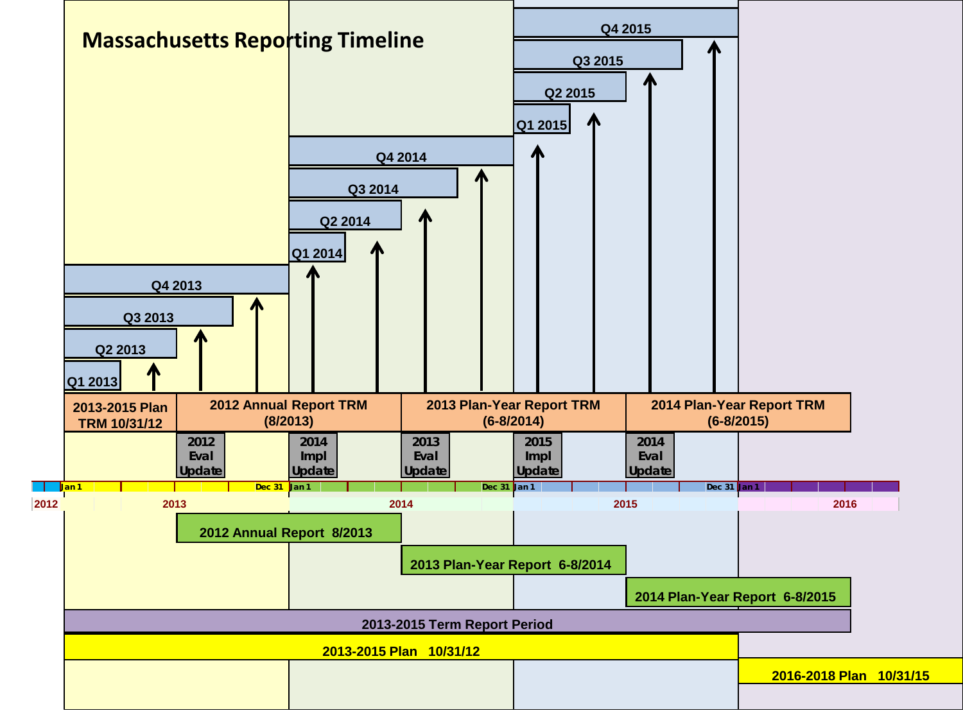